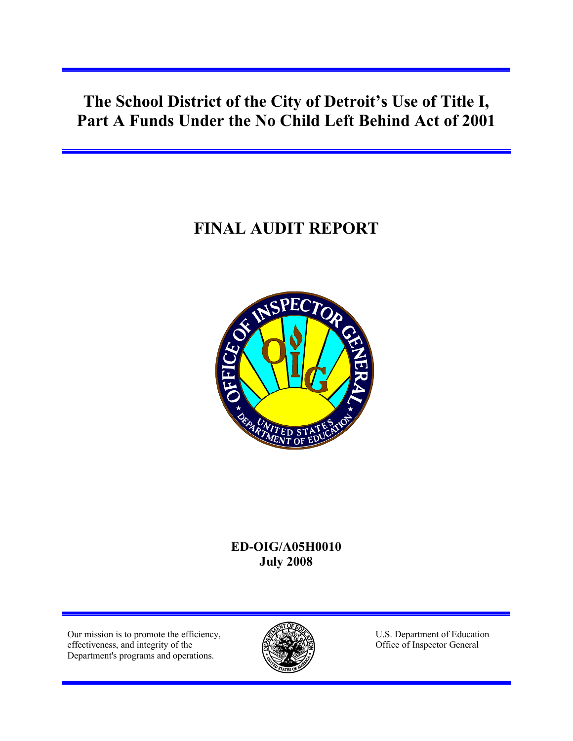**The School District of the City of Detroit's Use of Title I, Part A Funds Under the No Child Left Behind Act of 2001**

# **FINAL AUDIT REPORT**



# **ED-OIG/A05H0010 July 2008**

Our mission is to promote the efficiency, effectiveness, and integrity of the Department's programs and operations.



U.S. Department of Education Office of Inspector General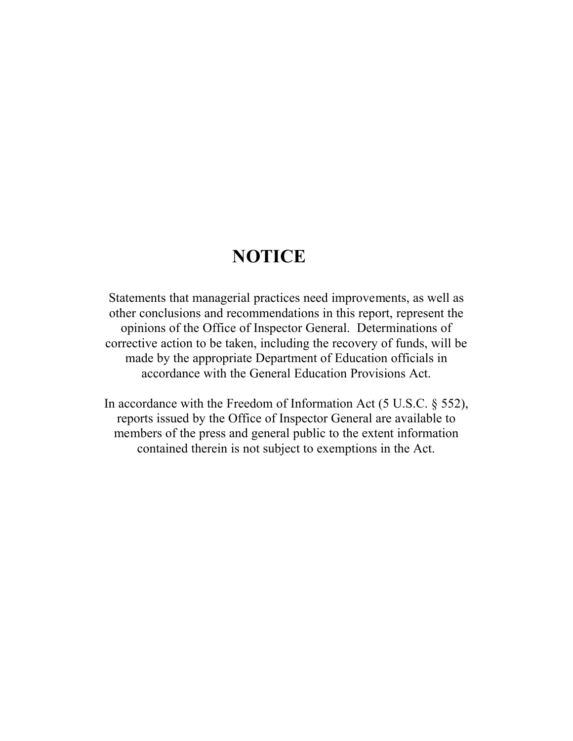# **NOTICE**

Statements that managerial practices need improvements, as well as other conclusions and recommendations in this report, represent the opinions of the Office of Inspector General. Determinations of corrective action to be taken, including the recovery of funds, will be made by the appropriate Department of Education officials in accordance with the General Education Provisions Act.

In accordance with the Freedom of Information Act (5 U.S.C. § 552), reports issued by the Office of Inspector General are available to members of the press and general public to the extent information contained therein is not subject to exemptions in the Act.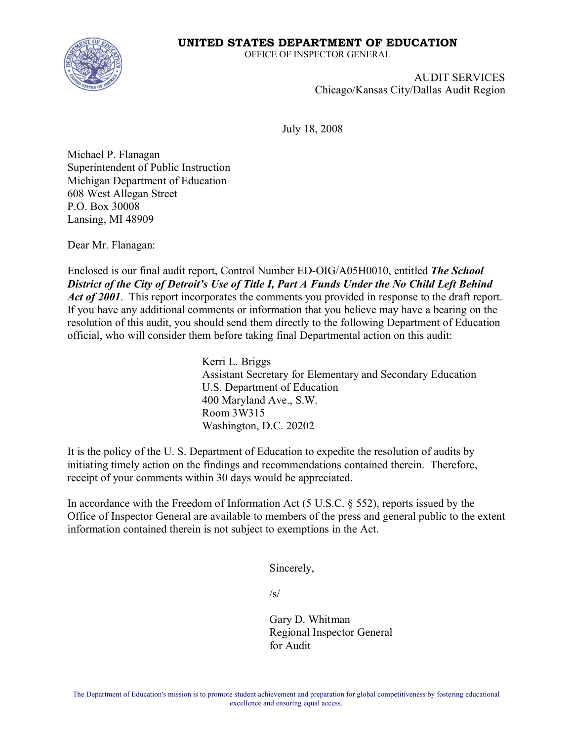#### **UNITED STATES DEPARTMENT OF EDUCATION**



OFFICE OF INSPECTOR GENERAL

AUDIT SERVICES Chicago/Kansas City/Dallas Audit Region

July 18, 2008

Michael P. Flanagan Superintendent of Public Instruction Michigan Department of Education 608 West Allegan Street P.O. Box 30008 Lansing, MI 48909

Dear Mr. Flanagan:

Enclosed is our final audit report, Control Number ED-OIG/A05H0010, entitled *The School District of the City of Detroit's Use of Title I, Part A Funds Under the No Child Left Behind Act of 2001*. This report incorporates the comments you provided in response to the draft report. If you have any additional comments or information that you believe may have a bearing on the resolution of this audit, you should send them directly to the following Department of Education official, who will consider them before taking final Departmental action on this audit:

> Kerri L. Briggs Assistant Secretary for Elementary and Secondary Education U.S. Department of Education 400 Maryland Ave., S.W. Room 3W315 Washington, D.C. 20202

It is the policy of the U. S. Department of Education to expedite the resolution of audits by initiating timely action on the findings and recommendations contained therein. Therefore, receipt of your comments within 30 days would be appreciated.

In accordance with the Freedom of Information Act (5 U.S.C. § 552), reports issued by the Office of Inspector General are available to members of the press and general public to the extent information contained therein is not subject to exemptions in the Act.

Sincerely,

 $\sqrt{s}$ 

Gary D. Whitman Regional Inspector General for Audit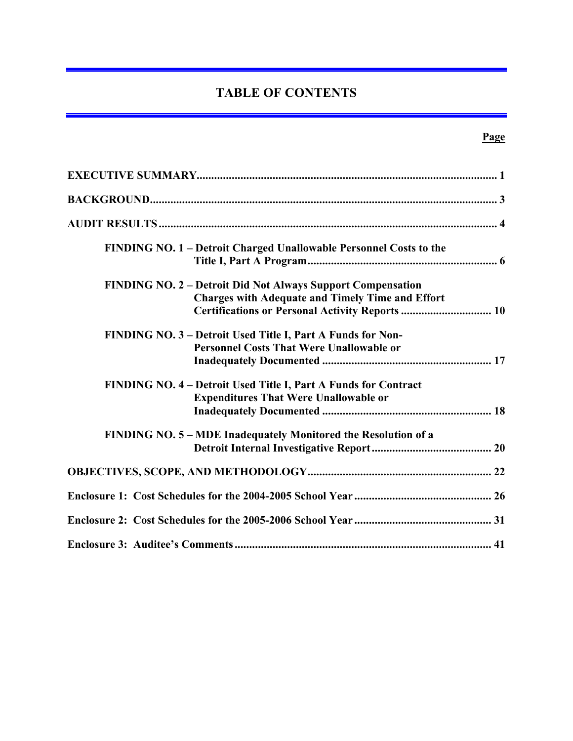# **TABLE OF CONTENTS**

| FINDING NO. 1 – Detroit Charged Unallowable Personnel Costs to the                                                                                                               |
|----------------------------------------------------------------------------------------------------------------------------------------------------------------------------------|
| <b>FINDING NO. 2 – Detroit Did Not Always Support Compensation</b><br><b>Charges with Adequate and Timely Time and Effort</b><br>Certifications or Personal Activity Reports  10 |
| FINDING NO. 3 – Detroit Used Title I, Part A Funds for Non-<br><b>Personnel Costs That Were Unallowable or</b>                                                                   |
| FINDING NO. 4 – Detroit Used Title I, Part A Funds for Contract<br><b>Expenditures That Were Unallowable or</b>                                                                  |
| FINDING NO. 5 – MDE Inadequately Monitored the Resolution of a                                                                                                                   |
|                                                                                                                                                                                  |
|                                                                                                                                                                                  |
|                                                                                                                                                                                  |
|                                                                                                                                                                                  |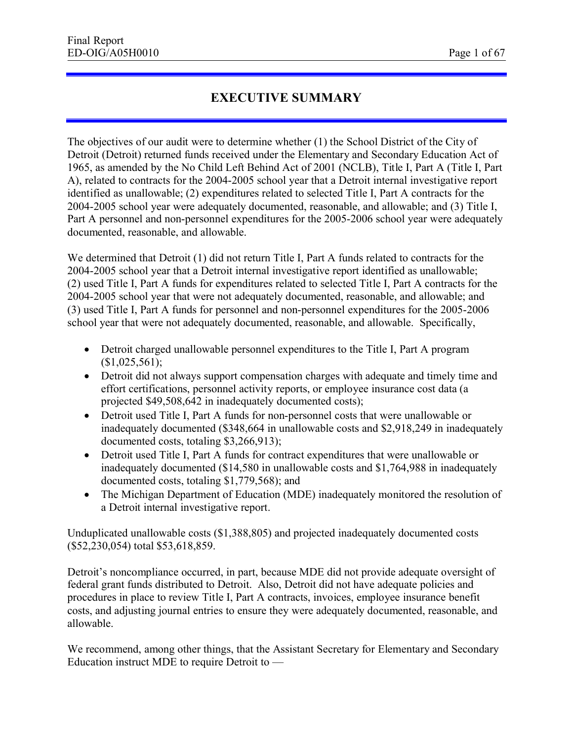# **EXECUTIVE SUMMARY**

The objectives of our audit were to determine whether (1) the School District of the City of Detroit (Detroit) returned funds received under the Elementary and Secondary Education Act of 1965, as amended by the No Child Left Behind Act of 2001 (NCLB), Title I, Part A (Title I, Part A), related to contracts for the 2004-2005 school year that a Detroit internal investigative report identified as unallowable; (2) expenditures related to selected Title I, Part A contracts for the 2004-2005 school year were adequately documented, reasonable, and allowable; and (3) Title I, Part A personnel and non-personnel expenditures for the 2005-2006 school year were adequately documented, reasonable, and allowable.

We determined that Detroit (1) did not return Title I, Part A funds related to contracts for the 2004-2005 school year that a Detroit internal investigative report identified as unallowable; (2) used Title I, Part A funds for expenditures related to selected Title I, Part A contracts for the 2004-2005 school year that were not adequately documented, reasonable, and allowable; and (3) used Title I, Part A funds for personnel and non-personnel expenditures for the 2005-2006 school year that were not adequately documented, reasonable, and allowable. Specifically,

- · Detroit charged unallowable personnel expenditures to the Title I, Part A program  $$1,025,561$ ;
- Detroit did not always support compensation charges with adequate and timely time and effort certifications, personnel activity reports, or employee insurance cost data (a projected \$49,508,642 in inadequately documented costs);
- · Detroit used Title I, Part A funds for non-personnel costs that were unallowable or inadequately documented (\$348,664 in unallowable costs and \$2,918,249 in inadequately documented costs, totaling \$3,266,913);
- Detroit used Title I, Part A funds for contract expenditures that were unallowable or inadequately documented (\$14,580 in unallowable costs and \$1,764,988 in inadequately documented costs, totaling \$1,779,568); and
- The Michigan Department of Education (MDE) inadequately monitored the resolution of a Detroit internal investigative report.

Unduplicated unallowable costs (\$1,388,805) and projected inadequately documented costs (\$52,230,054) total \$53,618,859.

Detroit's noncompliance occurred, in part, because MDE did not provide adequate oversight of federal grant funds distributed to Detroit. Also, Detroit did not have adequate policies and procedures in place to review Title I, Part A contracts, invoices, employee insurance benefit costs, and adjusting journal entries to ensure they were adequately documented, reasonable, and allowable.

We recommend, among other things, that the Assistant Secretary for Elementary and Secondary Education instruct MDE to require Detroit to —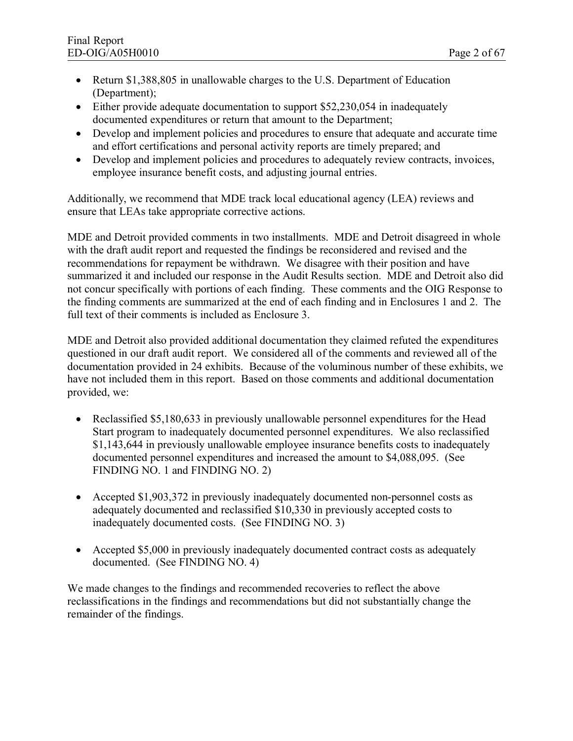- Return \$1,388,805 in unallowable charges to the U.S. Department of Education (Department);
- Either provide adequate documentation to support \$52,230,054 in inadequately documented expenditures or return that amount to the Department;
- · Develop and implement policies and procedures to ensure that adequate and accurate time and effort certifications and personal activity reports are timely prepared; and
- · Develop and implement policies and procedures to adequately review contracts, invoices, employee insurance benefit costs, and adjusting journal entries.

Additionally, we recommend that MDE track local educational agency (LEA) reviews and ensure that LEAs take appropriate corrective actions.

MDE and Detroit provided comments in two installments. MDE and Detroit disagreed in whole with the draft audit report and requested the findings be reconsidered and revised and the recommendations for repayment be withdrawn. We disagree with their position and have summarized it and included our response in the Audit Results section. MDE and Detroit also did not concur specifically with portions of each finding. These comments and the OIG Response to the finding comments are summarized at the end of each finding and in Enclosures 1 and 2. The full text of their comments is included as Enclosure 3.

MDE and Detroit also provided additional documentation they claimed refuted the expenditures questioned in our draft audit report. We considered all of the comments and reviewed all of the documentation provided in 24 exhibits. Because of the voluminous number of these exhibits, we have not included them in this report. Based on those comments and additional documentation provided, we:

- Reclassified \$5,180,633 in previously unallowable personnel expenditures for the Head Start program to inadequately documented personnel expenditures. We also reclassified \$1,143,644 in previously unallowable employee insurance benefits costs to inadequately documented personnel expenditures and increased the amount to \$4,088,095. (See FINDING NO. 1 and FINDING NO. 2)
- Accepted \$1,903,372 in previously inadequately documented non-personnel costs as adequately documented and reclassified \$10,330 in previously accepted costs to inadequately documented costs. (See FINDING NO. 3)
- Accepted \$5,000 in previously inadequately documented contract costs as adequately documented. (See FINDING NO. 4)

We made changes to the findings and recommended recoveries to reflect the above reclassifications in the findings and recommendations but did not substantially change the remainder of the findings.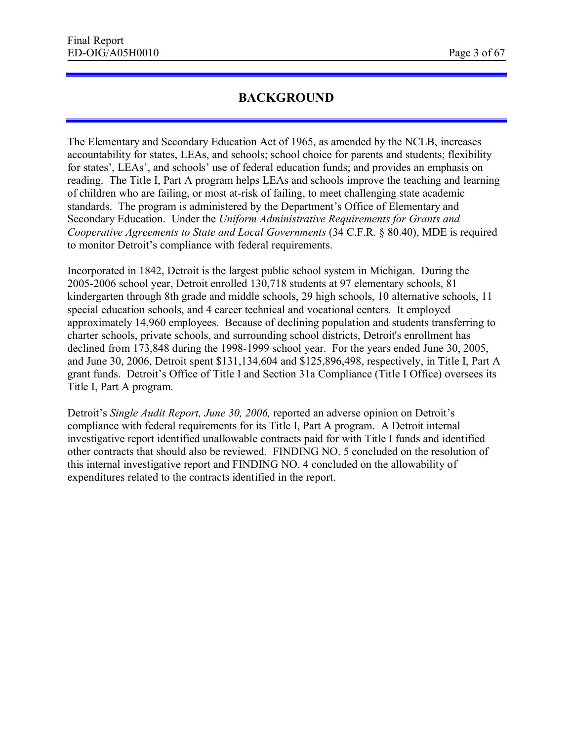# **BACKGROUND**

The Elementary and Secondary Education Act of 1965, as amended by the NCLB, increases accountability for states, LEAs, and schools; school choice for parents and students; flexibility for states', LEAs', and schools' use of federal education funds; and provides an emphasis on reading. The Title I, Part A program helps LEAs and schools improve the teaching and learning of children who are failing, or most at-risk of failing, to meet challenging state academic standards. The program is administered by the Department's Office of Elementary and Secondary Education. Under the *Uniform Administrative Requirements for Grants and Cooperative Agreements to State and Local Governments (34 C.F.R. § 80.40), MDE is required* to monitor Detroit's compliance with federal requirements.

Incorporated in 1842, Detroit is the largest public school system in Michigan. During the 2005-2006 school year, Detroit enrolled 130,718 students at 97 elementary schools, 81 kindergarten through 8th grade and middle schools, 29 high schools, 10 alternative schools, 11 special education schools, and 4 career technical and vocational centers. It employed approximately 14,960 employees. Because of declining population and students transferring to charter schools, private schools, and surrounding school districts, Detroit's enrollment has declined from 173,848 during the 1998-1999 school year. For the years ended June 30, 2005, and June 30, 2006, Detroit spent \$131,134,604 and \$125,896,498, respectively, in Title I, Part A grant funds. Detroit's Office of Title I and Section 31a Compliance (Title I Office) oversees its Title I, Part A program.

Detroit's *Single Audit Report, June 30, 2006,* reported an adverse opinion on Detroit's compliance with federal requirements for its Title I, Part A program. A Detroit internal investigative report identified unallowable contracts paid for with Title I funds and identified other contracts that should also be reviewed. FINDING NO. 5 concluded on the resolution of this internal investigative report and FINDING NO. 4 concluded on the allowability of expenditures related to the contracts identified in the report.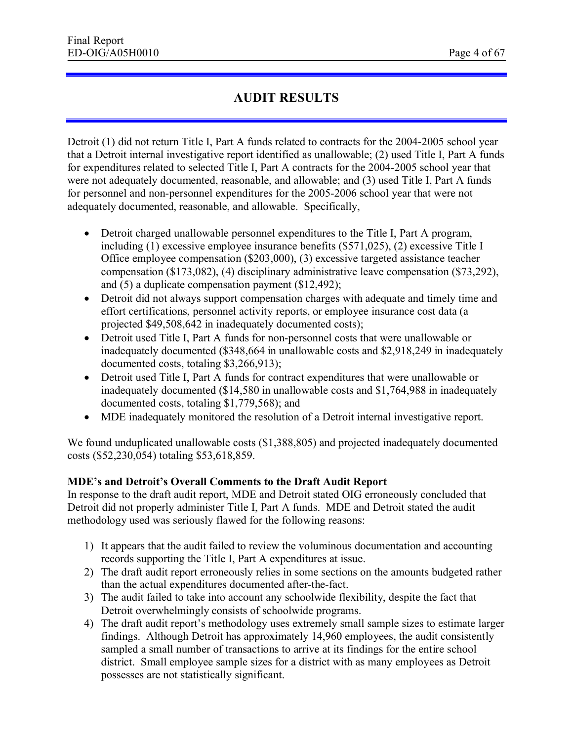# **AUDIT RESULTS**

Detroit (1) did not return Title I, Part A funds related to contracts for the 2004-2005 school year that a Detroit internal investigative report identified as unallowable; (2) used Title I, Part A funds for expenditures related to selected Title I, Part A contracts for the 2004-2005 school year that were not adequately documented, reasonable, and allowable; and (3) used Title I, Part A funds for personnel and non-personnel expenditures for the 2005-2006 school year that were not adequately documented, reasonable, and allowable. Specifically,

- · Detroit charged unallowable personnel expenditures to the Title I, Part A program, including (1) excessive employee insurance benefits (\$571,025), (2) excessive Title I Office employee compensation (\$203,000), (3) excessive targeted assistance teacher compensation (\$173,082), (4) disciplinary administrative leave compensation (\$73,292), and (5) a duplicate compensation payment (\$12,492);
- Detroit did not always support compensation charges with adequate and timely time and effort certifications, personnel activity reports, or employee insurance cost data (a projected \$49,508,642 in inadequately documented costs);
- · Detroit used Title I, Part A funds for non-personnel costs that were unallowable or inadequately documented (\$348,664 in unallowable costs and \$2,918,249 in inadequately documented costs, totaling \$3,266,913);
- Detroit used Title I, Part A funds for contract expenditures that were unallowable or inadequately documented (\$14,580 in unallowable costs and \$1,764,988 in inadequately documented costs, totaling \$1,779,568); and
- MDE inadequately monitored the resolution of a Detroit internal investigative report.

We found unduplicated unallowable costs  $(\$1,388,805)$  and projected inadequately documented costs (\$52,230,054) totaling \$53,618,859.

#### **MDE's and Detroit's Overall Comments to the Draft Audit Report**

In response to the draft audit report, MDE and Detroit stated OIG erroneously concluded that Detroit did not properly administer Title I, Part A funds. MDE and Detroit stated the audit methodology used was seriously flawed for the following reasons:

- 1) It appears that the audit failed to review the voluminous documentation and accounting records supporting the Title I, Part A expenditures at issue.
- 2) The draft audit report erroneously relies in some sections on the amounts budgeted rather than the actual expenditures documented after-the-fact.
- 3) The audit failed to take into account any schoolwide flexibility, despite the fact that Detroit overwhelmingly consists of schoolwide programs.
- 4) The draft audit report's methodology uses extremely small sample sizes to estimate larger findings. Although Detroit has approximately 14,960 employees, the audit consistently sampled a small number of transactions to arrive at its findings for the entire school district. Small employee sample sizes for a district with as many employees as Detroit possesses are not statistically significant.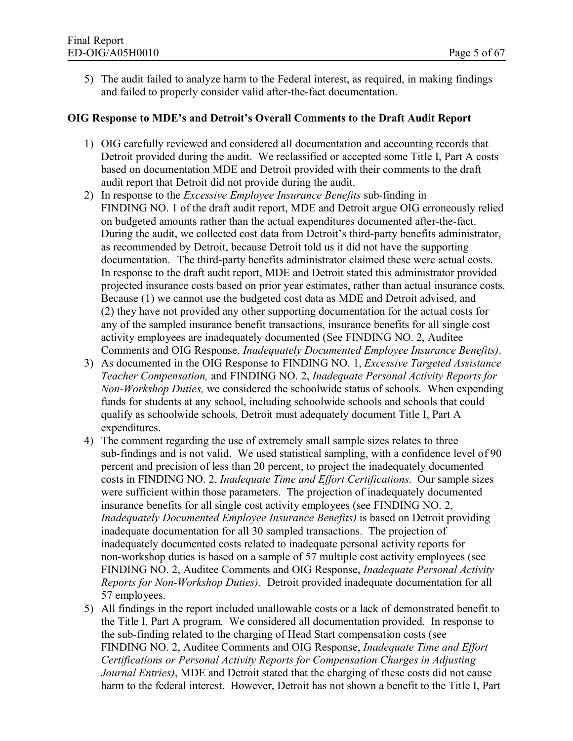5) The audit failed to analyze harm to the Federal interest, as required, in making findings and failed to properly consider valid after-the-fact documentation.

#### **OIG Response to MDE's and Detroit's Overall Comments to the Draft Audit Report**

- 1) OIG carefully reviewed and considered all documentation and accounting records that Detroit provided during the audit. We reclassified or accepted some Title I, Part A costs based on documentation MDE and Detroit provided with their comments to the draft audit report that Detroit did not provide during the audit.
- 2) In response to the *Excessive Employee Insurance Benefits* sub-finding in FINDING NO. 1 of the draft audit report, MDE and Detroit argue OIG erroneously relied on budgeted amounts rather than the actual expenditures documented after-the-fact. During the audit, we collected cost data from Detroit's third-party benefits administrator, as recommended by Detroit, because Detroit told us it did not have the supporting documentation. The third-party benefits administrator claimed these were actual costs. In response to the draft audit report, MDE and Detroit stated this administrator provided projected insurance costs based on prior year estimates, rather than actual insurance costs. Because (1) we cannot use the budgeted cost data as MDE and Detroit advised, and (2) they have not provided any other supporting documentation for the actual costs for any of the sampled insurance benefit transactions, insurance benefits for all single cost activity employees are inadequately documented (See FINDING NO. 2, Auditee Comments and OIG Response, *Inadequately Documented Employee Insurance Benefits)*.
- 3) As documented in the OIG Response to FINDING NO. 1, *Excessive Targeted Assistance Teacher Compensation,* and FINDING NO. 2, *Inadequate Personal Activity Reports for Non-Workshop Duties,* we considered the schoolwide status of schools. When expending funds for students at any school, including schoolwide schools and schools that could qualify as schoolwide schools, Detroit must adequately document Title I, Part A expenditures.
- 4) The comment regarding the use of extremely small sample sizes relates to three sub-findings and is not valid. We used statistical sampling, with a confidence level of 90 percent and precision of less than 20 percent, to project the inadequately documented costs in FINDING NO. 2, *Inadequate Time and Effort Certifications*. Our sample sizes were sufficient within those parameters. The projection of inadequately documented insurance benefits for all single cost activity employees (see FINDING NO. 2, *Inadequately Documented Employee Insurance Benefits)* is based on Detroit providing inadequate documentation for all 30 sampled transactions. The projection of inadequately documented costs related to inadequate personal activity reports for non-workshop duties is based on a sample of 57 multiple cost activity employees (see FINDING NO. 2, Auditee Comments and OIG Response, *Inadequate Personal Activity Reports for Non-Workshop Duties)*. Detroit provided inadequate documentation for all 57 employees.
- 5) All findings in the report included unallowable costs or a lack of demonstrated benefit to the Title I, Part A program. We considered all documentation provided. In response to the sub-finding related to the charging of Head Start compensation costs (see FINDING NO. 2, Auditee Comments and OIG Response, *Inadequate Time and Effort Certifications or Personal Activity Reports for Compensation Charges in Adjusting Journal Entries)*, MDE and Detroit stated that the charging of these costs did not cause harm to the federal interest. However, Detroit has not shown a benefit to the Title I, Part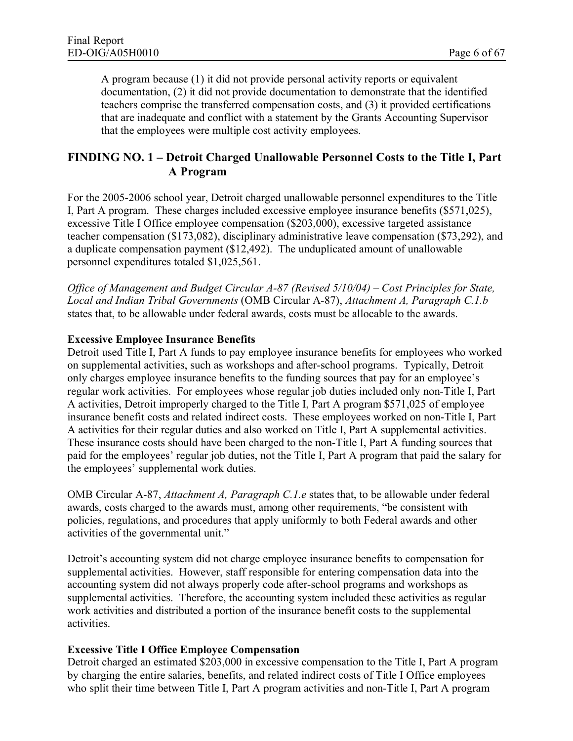A program because (1) it did not provide personal activity reports or equivalent documentation, (2) it did not provide documentation to demonstrate that the identified teachers comprise the transferred compensation costs, and (3) it provided certifications that are inadequate and conflict with a statement by the Grants Accounting Supervisor that the employees were multiple cost activity employees.

# **FINDING NO. 1 – Detroit Charged Unallowable Personnel Costs to the Title I, Part A Program**

For the 2005-2006 school year, Detroit charged unallowable personnel expenditures to the Title I, Part A program. These charges included excessive employee insurance benefits (\$571,025), excessive Title I Office employee compensation (\$203,000), excessive targeted assistance teacher compensation (\$173,082), disciplinary administrative leave compensation (\$73,292), and a duplicate compensation payment (\$12,492). The unduplicated amount of unallowable personnel expenditures totaled \$1,025,561.

*Office of Management and Budget Circular A-87 (Revised 5/10/04) – Cost Principles for State, Local and Indian Tribal Governments* (OMB Circular A-87), *Attachment A, Paragraph C.1.b* states that, to be allowable under federal awards, costs must be allocable to the awards.

#### **Excessive Employee Insurance Benefits**

Detroit used Title I, Part A funds to pay employee insurance benefits for employees who worked on supplemental activities, such as workshops and after-school programs. Typically, Detroit only charges employee insurance benefits to the funding sources that pay for an employee's regular work activities. For employees whose regular job duties included only non-Title I, Part A activities, Detroit improperly charged to the Title I, Part A program \$571,025 of employee insurance benefit costs and related indirect costs. These employees worked on non-Title I, Part A activities for their regular duties and also worked on Title I, Part A supplemental activities. These insurance costs should have been charged to the non-Title I, Part A funding sources that paid for the employees' regular job duties, not the Title I, Part A program that paid the salary for the employees' supplemental work duties.

OMB Circular A-87, *Attachment A, Paragraph C.1.e* states that, to be allowable under federal awards, costs charged to the awards must, among other requirements, "be consistent with policies, regulations, and procedures that apply uniformly to both Federal awards and other activities of the governmental unit."

Detroit's accounting system did not charge employee insurance benefits to compensation for supplemental activities. However, staff responsible for entering compensation data into the accounting system did not always properly code after-school programs and workshops as supplemental activities. Therefore, the accounting system included these activities as regular work activities and distributed a portion of the insurance benefit costs to the supplemental activities.

#### **Excessive Title I Office Employee Compensation**

Detroit charged an estimated \$203,000 in excessive compensation to the Title I, Part A program by charging the entire salaries, benefits, and related indirect costs of Title I Office employees who split their time between Title I, Part A program activities and non-Title I, Part A program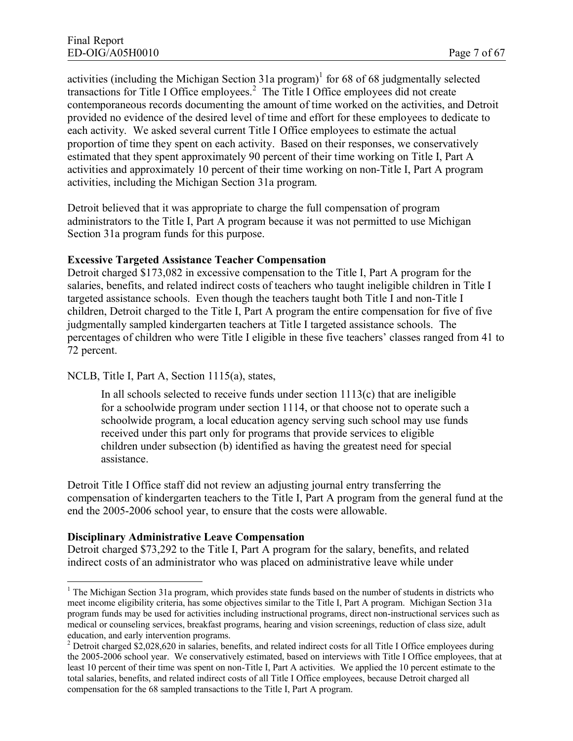activities (including the Michigan Section 31a program)<sup>1</sup> for 68 of 68 judgmentally selected transactions for Title I Office employees.<sup>2</sup> The Title I Office employees did not create contemporaneous records documenting the amount of time worked on the activities, and Detroit provided no evidence of the desired level of time and effort for these employees to dedicate to each activity. We asked several current Title I Office employees to estimate the actual proportion of time they spent on each activity. Based on their responses, we conservatively estimated that they spent approximately 90 percent of their time working on Title I, Part A activities and approximately 10 percent of their time working on non-Title I, Part A program activities, including the Michigan Section 31a program.

Detroit believed that it was appropriate to charge the full compensation of program administrators to the Title I, Part A program because it was not permitted to use Michigan Section 31a program funds for this purpose.

#### **Excessive Targeted Assistance Teacher Compensation**

Detroit charged \$173,082 in excessive compensation to the Title I, Part A program for the salaries, benefits, and related indirect costs of teachers who taught ineligible children in Title I targeted assistance schools. Even though the teachers taught both Title I and non-Title I children, Detroit charged to the Title I, Part A program the entire compensation for five of five judgmentally sampled kindergarten teachers at Title I targeted assistance schools. The percentages of children who were Title I eligible in these five teachers' classes ranged from 41 to 72 percent.

NCLB, Title I, Part A, Section 1115(a), states,

In all schools selected to receive funds under section  $1113(c)$  that are ineligible for a schoolwide program under section 1114, or that choose not to operate such a schoolwide program, a local education agency serving such school may use funds received under this part only for programs that provide services to eligible children under subsection (b) identified as having the greatest need for special assistance.

Detroit Title I Office staff did not review an adjusting journal entry transferring the compensation of kindergarten teachers to the Title I, Part A program from the general fund at the end the 2005-2006 school year, to ensure that the costs were allowable.

#### **Disciplinary Administrative Leave Compensation**

Detroit charged \$73,292 to the Title I, Part A program for the salary, benefits, and related indirect costs of an administrator who was placed on administrative leave while under

 $1$  The Michigan Section 31a program, which provides state funds based on the number of students in districts who meet income eligibility criteria, has some objectives similar to the Title I, Part A program. Michigan Section 31a program funds may be used for activities including instructional programs, direct non-instructional services such as medical or counseling services, breakfast programs, hearing and vision screenings, reduction of class size, adult education, and early intervention programs.

<sup>&</sup>lt;sup>2</sup> Detroit charged \$2,028,620 in salaries, benefits, and related indirect costs for all Title I Office employees during the 2005-2006 school year. We conservatively estimated, based on interviews with Title I Office employees, that at least 10 percent of their time was spent on non-Title I, Part A activities. We applied the 10 percent estimate to the total salaries, benefits, and related indirect costs of all Title I Office employees, because Detroit charged all compensation for the 68 sampled transactions to the Title I, Part A program.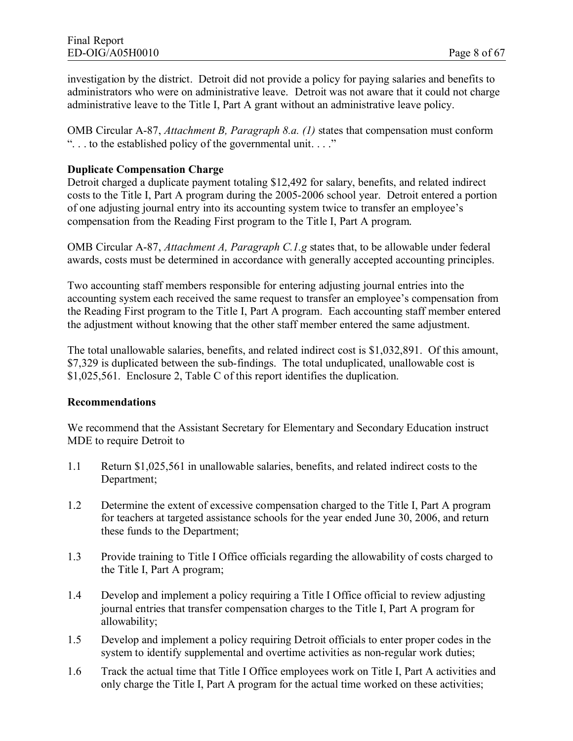investigation by the district. Detroit did not provide a policy for paying salaries and benefits to administrators who were on administrative leave. Detroit was not aware that it could not charge administrative leave to the Title I, Part A grant without an administrative leave policy.

OMB Circular A-87, *Attachment B, Paragraph 8.a. (1)* states that compensation must conform ". . . to the established policy of the governmental unit. . . ."

#### **Duplicate Compensation Charge**

Detroit charged a duplicate payment totaling \$12,492 for salary, benefits, and related indirect costs to the Title I, Part A program during the 2005-2006 school year. Detroit entered a portion of one adjusting journal entry into its accounting system twice to transfer an employee's compensation from the Reading First program to the Title I, Part A program.

OMB Circular A-87, *Attachment A, Paragraph C.1.g* states that, to be allowable under federal awards, costs must be determined in accordance with generally accepted accounting principles.

Two accounting staff members responsible for entering adjusting journal entries into the accounting system each received the same request to transfer an employee's compensation from the Reading First program to the Title I, Part A program. Each accounting staff member entered the adjustment without knowing that the other staff member entered the same adjustment.

The total unallowable salaries, benefits, and related indirect cost is \$1,032,891. Of this amount, \$7,329 is duplicated between the sub-findings. The total unduplicated, unallowable cost is \$1,025,561. Enclosure 2, Table C of this report identifies the duplication.

#### **Recommendations**

We recommend that the Assistant Secretary for Elementary and Secondary Education instruct MDE to require Detroit to

- 1.1 Return \$1,025,561 in unallowable salaries, benefits, and related indirect costs to the Department;
- 1.2 Determine the extent of excessive compensation charged to the Title I, Part A program for teachers at targeted assistance schools for the year ended June 30, 2006, and return these funds to the Department;
- 1.3 Provide training to Title I Office officials regarding the allowability of costs charged to the Title I, Part A program;
- 1.4 Develop and implement a policy requiring a Title I Office official to review adjusting journal entries that transfer compensation charges to the Title I, Part A program for allowability;
- 1.5 Develop and implement a policy requiring Detroit officials to enter proper codes in the system to identify supplemental and overtime activities as non-regular work duties;
- 1.6 Track the actual time that Title I Office employees work on Title I, Part A activities and only charge the Title I, Part A program for the actual time worked on these activities;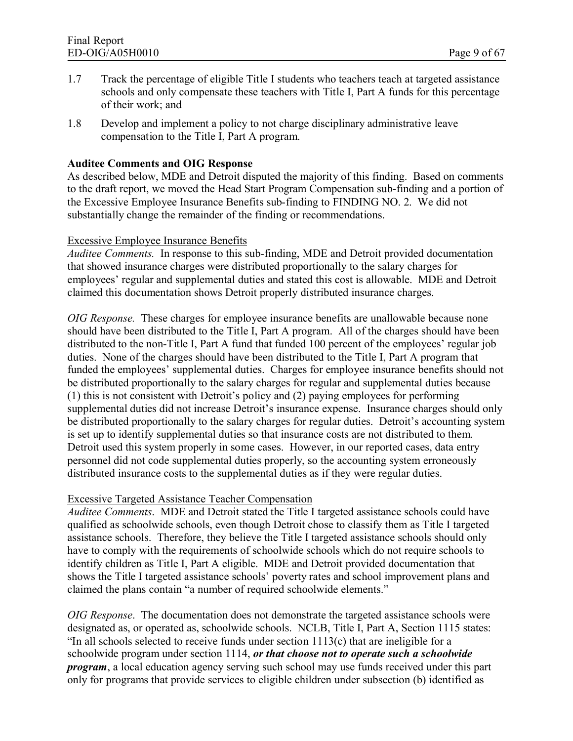- 1.7 Track the percentage of eligible Title I students who teachers teach at targeted assistance schools and only compensate these teachers with Title I, Part A funds for this percentage of their work; and
- 1.8 Develop and implement a policy to not charge disciplinary administrative leave compensation to the Title I, Part A program.

#### **Auditee Comments and OIG Response**

As described below, MDE and Detroit disputed the majority of this finding. Based on comments to the draft report, we moved the Head Start Program Compensation sub-finding and a portion of the Excessive Employee Insurance Benefits sub-finding to FINDING NO. 2. We did not substantially change the remainder of the finding or recommendations.

#### Excessive Employee Insurance Benefits

*Auditee Comments.* In response to this sub-finding, MDE and Detroit provided documentation that showed insurance charges were distributed proportionally to the salary charges for employees' regular and supplemental duties and stated this cost is allowable. MDE and Detroit claimed this documentation shows Detroit properly distributed insurance charges.

*OIG Response.* These charges for employee insurance benefits are unallowable because none should have been distributed to the Title I, Part A program. All of the charges should have been distributed to the non-Title I, Part A fund that funded 100 percent of the employees' regular job duties. None of the charges should have been distributed to the Title I, Part A program that funded the employees' supplemental duties. Charges for employee insurance benefits should not be distributed proportionally to the salary charges for regular and supplemental duties because (1) this is not consistent with Detroit's policy and (2) paying employees for performing supplemental duties did not increase Detroit's insurance expense. Insurance charges should only be distributed proportionally to the salary charges for regular duties. Detroit's accounting system is set up to identify supplemental duties so that insurance costs are not distributed to them. Detroit used this system properly in some cases. However, in our reported cases, data entry personnel did not code supplemental duties properly, so the accounting system erroneously distributed insurance costs to the supplemental duties as if they were regular duties.

#### Excessive Targeted Assistance Teacher Compensation

*Auditee Comments*. MDE and Detroit stated the Title I targeted assistance schools could have qualified as schoolwide schools, even though Detroit chose to classify them as Title I targeted assistance schools. Therefore, they believe the Title I targeted assistance schools should only have to comply with the requirements of schoolwide schools which do not require schools to identify children as Title I, Part A eligible. MDE and Detroit provided documentation that shows the Title I targeted assistance schools' poverty rates and school improvement plans and claimed the plans contain "a number of required schoolwide elements."

*OIG Response*. The documentation does not demonstrate the targeted assistance schools were designated as, or operated as, schoolwide schools. NCLB, Title I, Part A, Section 1115 states: "In all schools selected to receive funds under section 1113(c) that are ineligible for a schoolwide program under section 1114, *or that choose not to operate such a schoolwide program*, a local education agency serving such school may use funds received under this part only for programs that provide services to eligible children under subsection (b) identified as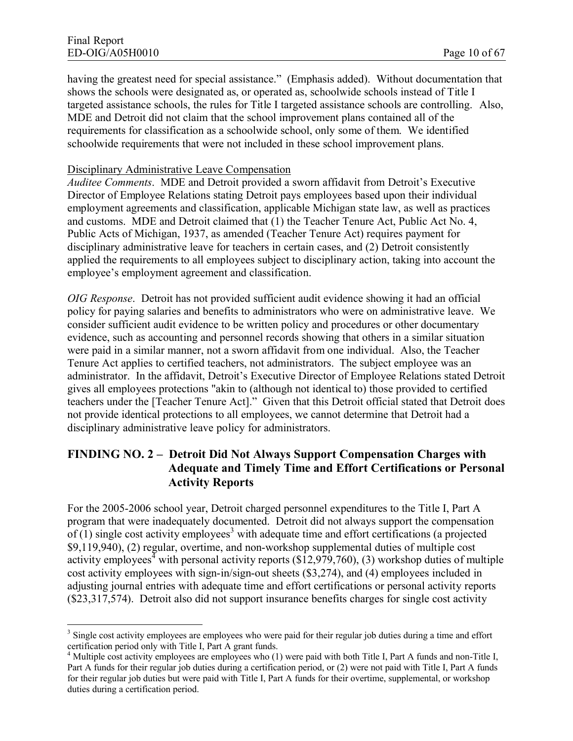having the greatest need for special assistance." (Emphasis added). Without documentation that shows the schools were designated as, or operated as, schoolwide schools instead of Title I targeted assistance schools, the rules for Title I targeted assistance schools are controlling. Also, MDE and Detroit did not claim that the school improvement plans contained all of the requirements for classification as a schoolwide school, only some of them. We identified schoolwide requirements that were not included in these school improvement plans.

#### Disciplinary Administrative Leave Compensation

*Auditee Comments*. MDE and Detroit provided a sworn affidavit from Detroit's Executive Director of Employee Relations stating Detroit pays employees based upon their individual employment agreements and classification, applicable Michigan state law, as well as practices and customs. MDE and Detroit claimed that (1) the Teacher Tenure Act, Public Act No. 4, Public Acts of Michigan, 1937, as amended (Teacher Tenure Act) requires payment for disciplinary administrative leave for teachers in certain cases, and (2) Detroit consistently applied the requirements to all employees subject to disciplinary action, taking into account the employee's employment agreement and classification.

*OIG Response*. Detroit has not provided sufficient audit evidence showing it had an official policy for paying salaries and benefits to administrators who were on administrative leave. We consider sufficient audit evidence to be written policy and procedures or other documentary evidence, such as accounting and personnel records showing that others in a similar situation were paid in a similar manner, not a sworn affidavit from one individual. Also, the Teacher Tenure Act applies to certified teachers, not administrators. The subject employee was an administrator. In the affidavit, Detroit's Executive Director of Employee Relations stated Detroit gives all employees protections "akin to (although not identical to) those provided to certified teachers under the [Teacher Tenure Act]." Given that this Detroit official stated that Detroit does not provide identical protections to all employees, we cannot determine that Detroit had a disciplinary administrative leave policy for administrators.

# **FINDING NO. 2 – Detroit Did Not Always Support Compensation Charges with Adequate and Timely Time and Effort Certifications or Personal Activity Reports**

For the 2005-2006 school year, Detroit charged personnel expenditures to the Title I, Part A program that were inadequately documented. Detroit did not always support the compensation of  $(1)$  single cost activity employees<sup>3</sup> with adequate time and effort certifications (a projected \$9,119,940), (2) regular, overtime, and non-workshop supplemental duties of multiple cost activity employees<sup>4</sup> with personal activity reports (\$12,979,760), (3) workshop duties of multiple cost activity employees with sign-in/sign-out sheets (\$3,274), and (4) employees included in adjusting journal entries with adequate time and effort certifications or personal activity reports (\$23,317,574). Detroit also did not support insurance benefits charges for single cost activity

 $3$  Single cost activity employees are employees who were paid for their regular job duties during a time and effort certification period only with Title I, Part A grant funds.

<sup>&</sup>lt;sup>4</sup> Multiple cost activity employees are employees who (1) were paid with both Title I, Part A funds and non-Title I, Part A funds for their regular job duties during a certification period, or (2) were not paid with Title I, Part A funds for their regular job duties but were paid with Title I, Part A funds for their overtime, supplemental, or workshop duties during a certification period.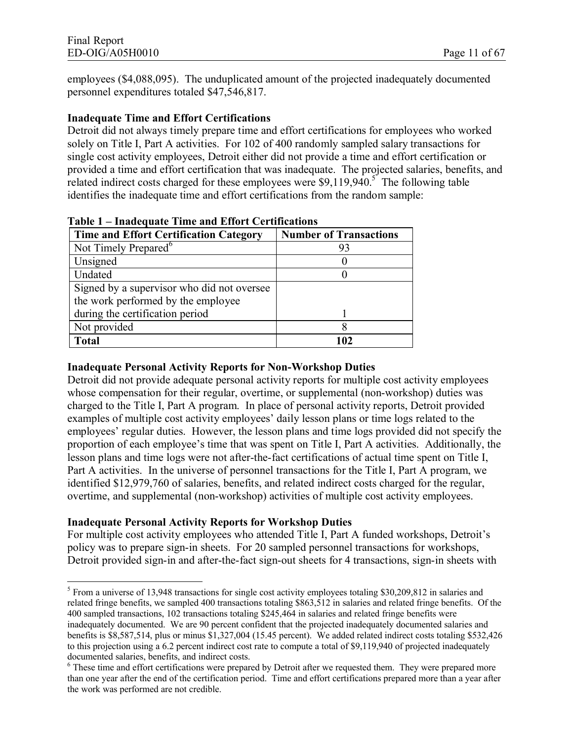employees (\$4,088,095). The unduplicated amount of the projected inadequately documented personnel expenditures totaled \$47,546,817.

#### **Inadequate Time and Effort Certifications**

Detroit did not always timely prepare time and effort certifications for employees who worked solely on Title I, Part A activities. For 102 of 400 randomly sampled salary transactions for single cost activity employees, Detroit either did not provide a time and effort certification or provided a time and effort certification that was inadequate. The projected salaries, benefits, and related indirect costs charged for these employees were  $$9,119,940$ .<sup>5</sup> The following table identifies the inadequate time and effort certifications from the random sample:

| <b>Time and Effort Certification Category</b> | <b>Number of Transactions</b> |
|-----------------------------------------------|-------------------------------|
| Not Timely Prepared <sup>6</sup>              |                               |
| Unsigned                                      |                               |
| Undated                                       |                               |
| Signed by a supervisor who did not oversee    |                               |
| the work performed by the employee            |                               |
| during the certification period               |                               |
| Not provided                                  |                               |
| <b>Total</b>                                  | 1 N 2                         |

**Table 1 – Inadequate Time and Effort Certifications**

### **Inadequate Personal Activity Reports for Non-Workshop Duties**

Detroit did not provide adequate personal activity reports for multiple cost activity employees whose compensation for their regular, overtime, or supplemental (non-workshop) duties was charged to the Title I, Part A program. In place of personal activity reports, Detroit provided examples of multiple cost activity employees' daily lesson plans or time logs related to the employees' regular duties. However, the lesson plans and time logs provided did not specify the proportion of each employee's time that was spent on Title I, Part A activities. Additionally, the lesson plans and time logs were not after-the-fact certifications of actual time spent on Title I, Part A activities. In the universe of personnel transactions for the Title I, Part A program, we identified \$12,979,760 of salaries, benefits, and related indirect costs charged for the regular, overtime, and supplemental (non-workshop) activities of multiple cost activity employees.

#### **Inadequate Personal Activity Reports for Workshop Duties**

For multiple cost activity employees who attended Title I, Part A funded workshops, Detroit's policy was to prepare sign-in sheets. For 20 sampled personnel transactions for workshops, Detroit provided sign-in and after-the-fact sign-out sheets for 4 transactions, sign-in sheets with

<sup>&</sup>lt;sup>5</sup> From a universe of 13,948 transactions for single cost activity employees totaling \$30,209,812 in salaries and related fringe benefits, we sampled 400 transactions totaling \$863,512 in salaries and related fringe benefits. Of the 400 sampled transactions, 102 transactions totaling \$245,464 in salaries and related fringe benefits were inadequately documented. We are 90 percent confident that the projected inadequately documented salaries and benefits is \$8,587,514, plus or minus \$1,327,004 (15.45 percent). We added related indirect costs totaling \$532,426 to this projection using a 6.2 percent indirect cost rate to compute a total of \$9,119,940 of projected inadequately documented salaries, benefits, and indirect costs.

<sup>&</sup>lt;sup>6</sup> These time and effort certifications were prepared by Detroit after we requested them. They were prepared more than one year after the end of the certification period. Time and effort certifications prepared more than a year after the work was performed are not credible.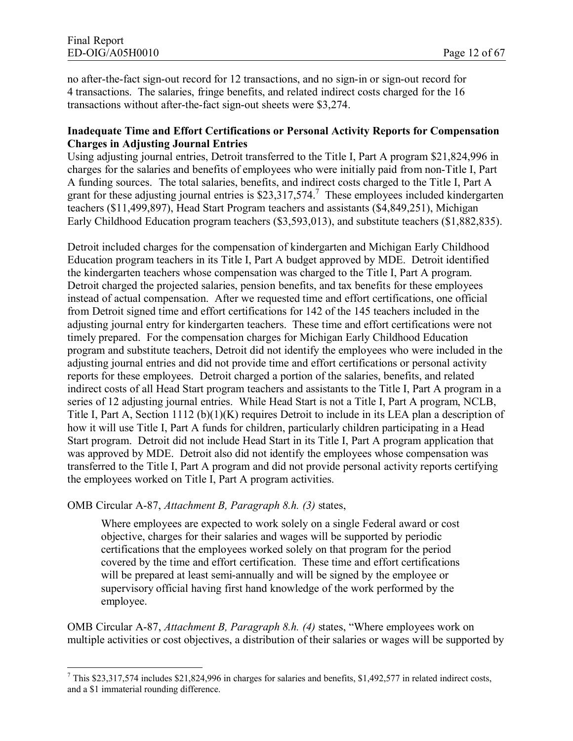no after-the-fact sign-out record for 12 transactions, and no sign-in or sign-out record for 4 transactions. The salaries, fringe benefits, and related indirect costs charged for the 16 transactions without after-the-fact sign-out sheets were \$3,274.

#### **Inadequate Time and Effort Certifications or Personal Activity Reports for Compensation Charges in Adjusting Journal Entries**

Using adjusting journal entries, Detroit transferred to the Title I, Part A program \$21,824,996 in charges for the salaries and benefits of employees who were initially paid from non-Title I, Part A funding sources. The total salaries, benefits, and indirect costs charged to the Title I, Part A grant for these adjusting journal entries is  $$23,317,574$ .<sup>7</sup> These employees included kindergarten teachers (\$11,499,897), Head Start Program teachers and assistants (\$4,849,251), Michigan Early Childhood Education program teachers (\$3,593,013), and substitute teachers (\$1,882,835).

Detroit included charges for the compensation of kindergarten and Michigan Early Childhood Education program teachers in its Title I, Part A budget approved by MDE. Detroit identified the kindergarten teachers whose compensation was charged to the Title I, Part A program. Detroit charged the projected salaries, pension benefits, and tax benefits for these employees instead of actual compensation. After we requested time and effort certifications, one official from Detroit signed time and effort certifications for 142 of the 145 teachers included in the adjusting journal entry for kindergarten teachers. These time and effort certifications were not timely prepared. For the compensation charges for Michigan Early Childhood Education program and substitute teachers, Detroit did not identify the employees who were included in the adjusting journal entries and did not provide time and effort certifications or personal activity reports for these employees. Detroit charged a portion of the salaries, benefits, and related indirect costs of all Head Start program teachers and assistants to the Title I, Part A program in a series of 12 adjusting journal entries. While Head Start is not a Title I, Part A program, NCLB, Title I, Part A, Section 1112 (b)(1)(K) requires Detroit to include in its LEA plan a description of how it will use Title I, Part A funds for children, particularly children participating in a Head Start program. Detroit did not include Head Start in its Title I, Part A program application that was approved by MDE. Detroit also did not identify the employees whose compensation was transferred to the Title I, Part A program and did not provide personal activity reports certifying the employees worked on Title I, Part A program activities.

#### OMB Circular A-87, *Attachment B, Paragraph 8.h. (3)* states,

Where employees are expected to work solely on a single Federal award or cost objective, charges for their salaries and wages will be supported by periodic certifications that the employees worked solely on that program for the period covered by the time and effort certification. These time and effort certifications will be prepared at least semi-annually and will be signed by the employee or supervisory official having first hand knowledge of the work performed by the employee.

OMB Circular A-87, *Attachment B, Paragraph 8.h. (4)* states, "Where employees work on multiple activities or cost objectives, a distribution of their salaries or wages will be supported by

<sup>7</sup> This \$23,317,574 includes \$21,824,996 in charges for salaries and benefits, \$1,492,577 in related indirect costs, and a \$1 immaterial rounding difference.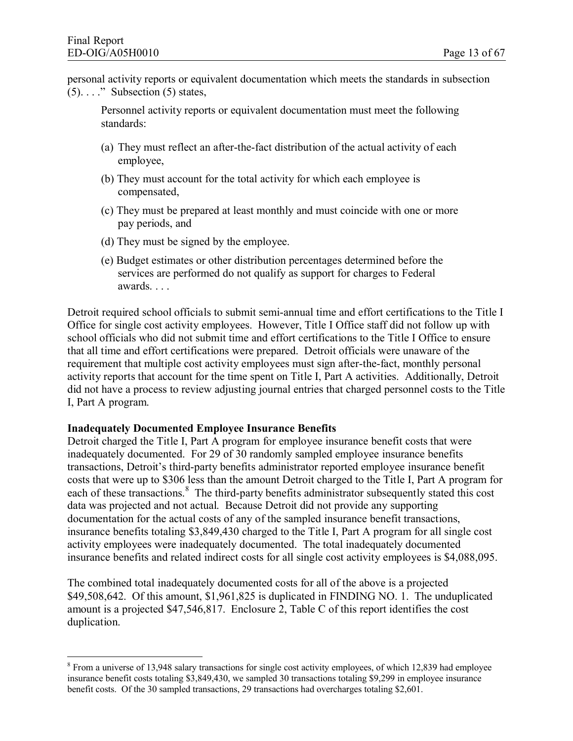personal activity reports or equivalent documentation which meets the standards in subsection  $(5)$ ...." Subsection  $(5)$  states,

Personnel activity reports or equivalent documentation must meet the following standards:

- (a) They must reflect an after-the-fact distribution of the actual activity of each employee,
- (b) They must account for the total activity for which each employee is compensated,
- (c) They must be prepared at least monthly and must coincide with one or more pay periods, and
- (d) They must be signed by the employee.
- (e) Budget estimates or other distribution percentages determined before the services are performed do not qualify as support for charges to Federal awards. . . .

Detroit required school officials to submit semi-annual time and effort certifications to the Title I Office for single cost activity employees. However, Title I Office staff did not follow up with school officials who did not submit time and effort certifications to the Title I Office to ensure that all time and effort certifications were prepared. Detroit officials were unaware of the requirement that multiple cost activity employees must sign after-the-fact, monthly personal activity reports that account for the time spent on Title I, Part A activities. Additionally, Detroit did not have a process to review adjusting journal entries that charged personnel costs to the Title I, Part A program.

#### **Inadequately Documented Employee Insurance Benefits**

Detroit charged the Title I, Part A program for employee insurance benefit costs that were inadequately documented. For 29 of 30 randomly sampled employee insurance benefits transactions, Detroit's third-party benefits administrator reported employee insurance benefit costs that were up to \$306 less than the amount Detroit charged to the Title I, Part A program for each of these transactions.<sup>8</sup> The third-party benefits administrator subsequently stated this cost data was projected and not actual. Because Detroit did not provide any supporting documentation for the actual costs of any of the sampled insurance benefit transactions, insurance benefits totaling \$3,849,430 charged to the Title I, Part A program for all single cost activity employees were inadequately documented. The total inadequately documented insurance benefits and related indirect costs for all single cost activity employees is \$4,088,095.

The combined total inadequately documented costs for all of the above is a projected \$49,508,642. Of this amount, \$1,961,825 is duplicated in FINDING NO. 1. The unduplicated amount is a projected \$47,546,817. Enclosure 2, Table C of this report identifies the cost duplication.

 $8$  From a universe of 13,948 salary transactions for single cost activity employees, of which 12,839 had employee insurance benefit costs totaling \$3,849,430, we sampled 30 transactions totaling \$9,299 in employee insurance benefit costs. Of the 30 sampled transactions, 29 transactions had overcharges totaling \$2,601.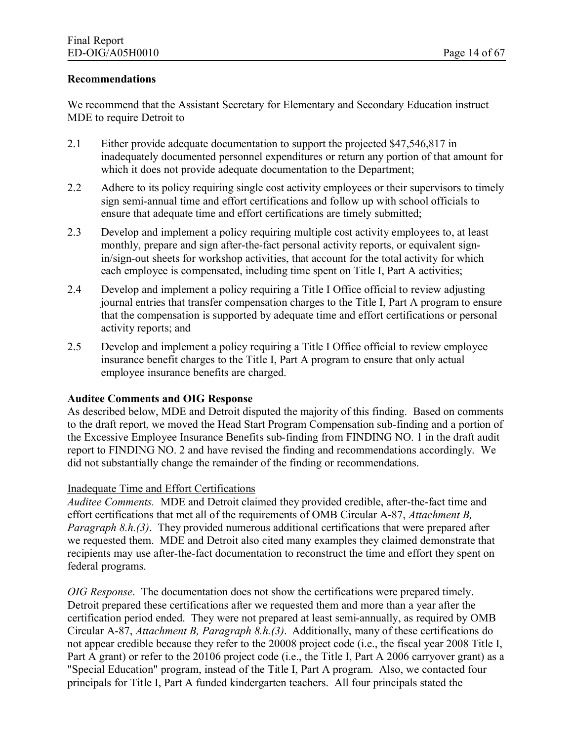#### **Recommendations**

We recommend that the Assistant Secretary for Elementary and Secondary Education instruct MDE to require Detroit to

- 2.1 Either provide adequate documentation to support the projected \$47,546,817 in inadequately documented personnel expenditures or return any portion of that amount for which it does not provide adequate documentation to the Department;
- 2.2 Adhere to its policy requiring single cost activity employees or their supervisors to timely sign semi-annual time and effort certifications and follow up with school officials to ensure that adequate time and effort certifications are timely submitted;
- 2.3 Develop and implement a policy requiring multiple cost activity employees to, at least monthly, prepare and sign after-the-fact personal activity reports, or equivalent signin/sign-out sheets for workshop activities, that account for the total activity for which each employee is compensated, including time spent on Title I, Part A activities;
- 2.4 Develop and implement a policy requiring a Title I Office official to review adjusting journal entries that transfer compensation charges to the Title I, Part A program to ensure that the compensation is supported by adequate time and effort certifications or personal activity reports; and
- 2.5 Develop and implement a policy requiring a Title I Office official to review employee insurance benefit charges to the Title I, Part A program to ensure that only actual employee insurance benefits are charged.

#### **Auditee Comments and OIG Response**

As described below, MDE and Detroit disputed the majority of this finding. Based on comments to the draft report, we moved the Head Start Program Compensation sub-finding and a portion of the Excessive Employee Insurance Benefits sub-finding from FINDING NO. 1 in the draft audit report to FINDING NO. 2 and have revised the finding and recommendations accordingly. We did not substantially change the remainder of the finding or recommendations.

#### Inadequate Time and Effort Certifications

*Auditee Comments.* MDE and Detroit claimed they provided credible, after-the-fact time and effort certifications that met all of the requirements of OMB Circular A-87, *Attachment B, Paragraph 8.h.(3)*. They provided numerous additional certifications that were prepared after we requested them. MDE and Detroit also cited many examples they claimed demonstrate that recipients may use after-the-fact documentation to reconstruct the time and effort they spent on federal programs.

*OIG Response*. The documentation does not show the certifications were prepared timely. Detroit prepared these certifications after we requested them and more than a year after the certification period ended. They were not prepared at least semi-annually, as required by OMB Circular A-87, *Attachment B, Paragraph 8.h.(3)*. Additionally, many of these certifications do not appear credible because they refer to the 20008 project code (i.e., the fiscal year 2008 Title I, Part A grant) or refer to the 20106 project code (i.e., the Title I, Part A 2006 carryover grant) as a "Special Education" program, instead of the Title I, Part A program. Also, we contacted four principals for Title I, Part A funded kindergarten teachers. All four principals stated the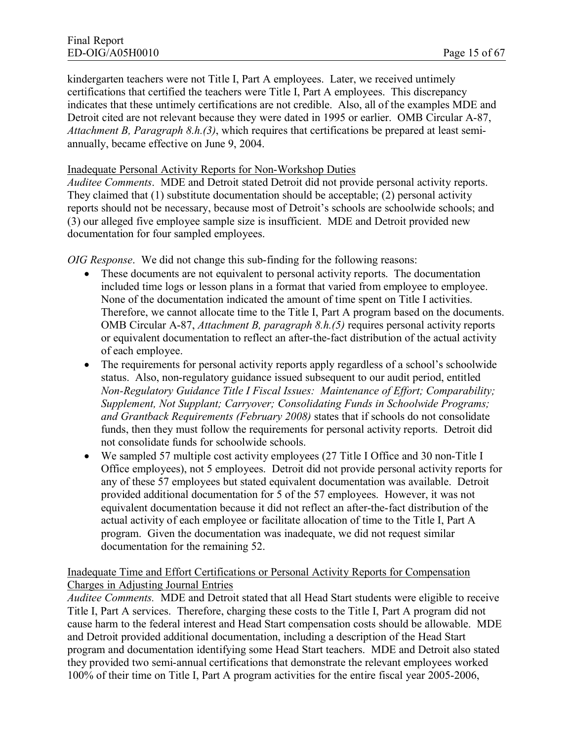kindergarten teachers were not Title I, Part A employees. Later, we received untimely certifications that certified the teachers were Title I, Part A employees. This discrepancy indicates that these untimely certifications are not credible. Also, all of the examples MDE and Detroit cited are not relevant because they were dated in 1995 or earlier. OMB Circular A-87, *Attachment B, Paragraph 8.h.(3)*, which requires that certifications be prepared at least semiannually, became effective on June 9, 2004.

#### Inadequate Personal Activity Reports for Non-Workshop Duties

*Auditee Comments*. MDE and Detroit stated Detroit did not provide personal activity reports. They claimed that (1) substitute documentation should be acceptable; (2) personal activity reports should not be necessary, because most of Detroit's schools are schoolwide schools; and (3) our alleged five employee sample size is insufficient. MDE and Detroit provided new documentation for four sampled employees.

*OIG Response*. We did not change this sub-finding for the following reasons:

- These documents are not equivalent to personal activity reports. The documentation included time logs or lesson plans in a format that varied from employee to employee. None of the documentation indicated the amount of time spent on Title I activities. Therefore, we cannot allocate time to the Title I, Part A program based on the documents. OMB Circular A-87, *Attachment B, paragraph 8.h.(5)* requires personal activity reports or equivalent documentation to reflect an after-the-fact distribution of the actual activity of each employee.
- The requirements for personal activity reports apply regardless of a school's schoolwide status. Also, non-regulatory guidance issued subsequent to our audit period, entitled *Non-Regulatory Guidance Title I Fiscal Issues: Maintenance of Effort; Comparability; Supplement, Not Supplant; Carryover; Consolidating Funds in Schoolwide Programs; and Grantback Requirements (February 2008)* states that if schools do not consolidate funds, then they must follow the requirements for personal activity reports. Detroit did not consolidate funds for schoolwide schools.
- · We sampled 57 multiple cost activity employees (27 Title I Office and 30 non-Title I Office employees), not 5 employees. Detroit did not provide personal activity reports for any of these 57 employees but stated equivalent documentation was available. Detroit provided additional documentation for 5 of the 57 employees. However, it was not equivalent documentation because it did not reflect an after-the-fact distribution of the actual activity of each employee or facilitate allocation of time to the Title I, Part A program. Given the documentation was inadequate, we did not request similar documentation for the remaining 52.

#### Inadequate Time and Effort Certifications or Personal Activity Reports for Compensation Charges in Adjusting Journal Entries

*Auditee Comments.* MDE and Detroit stated that all Head Start students were eligible to receive Title I, Part A services. Therefore, charging these costs to the Title I, Part A program did not cause harm to the federal interest and Head Start compensation costs should be allowable. MDE and Detroit provided additional documentation, including a description of the Head Start program and documentation identifying some Head Start teachers. MDE and Detroit also stated they provided two semi-annual certifications that demonstrate the relevant employees worked 100% of their time on Title I, Part A program activities for the entire fiscal year 2005-2006,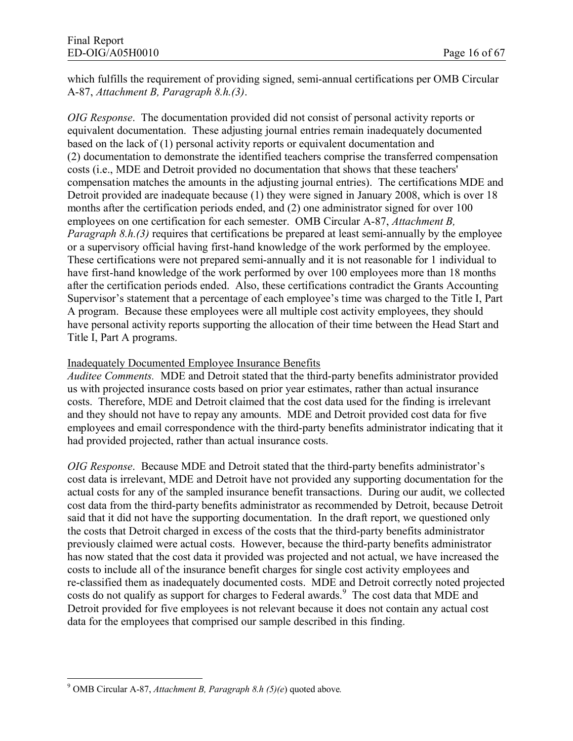which fulfills the requirement of providing signed, semi-annual certifications per OMB Circular A-87, *Attachment B, Paragraph 8.h.(3)*.

*OIG Response*. The documentation provided did not consist of personal activity reports or equivalent documentation. These adjusting journal entries remain inadequately documented based on the lack of (1) personal activity reports or equivalent documentation and (2) documentation to demonstrate the identified teachers comprise the transferred compensation costs (i.e., MDE and Detroit provided no documentation that shows that these teachers' compensation matches the amounts in the adjusting journal entries). The certifications MDE and Detroit provided are inadequate because (1) they were signed in January 2008, which is over 18 months after the certification periods ended, and (2) one administrator signed for over 100 employees on one certification for each semester. OMB Circular A-87, *Attachment B, Paragraph 8.h.(3)* requires that certifications be prepared at least semi-annually by the employee or a supervisory official having first-hand knowledge of the work performed by the employee. These certifications were not prepared semi-annually and it is not reasonable for 1 individual to have first-hand knowledge of the work performed by over 100 employees more than 18 months after the certification periods ended. Also, these certifications contradict the Grants Accounting Supervisor's statement that a percentage of each employee's time was charged to the Title I, Part A program. Because these employees were all multiple cost activity employees, they should have personal activity reports supporting the allocation of their time between the Head Start and Title I, Part A programs.

#### Inadequately Documented Employee Insurance Benefits

*Auditee Comments.* MDE and Detroit stated that the third-party benefits administrator provided us with projected insurance costs based on prior year estimates, rather than actual insurance costs. Therefore, MDE and Detroit claimed that the cost data used for the finding is irrelevant and they should not have to repay any amounts. MDE and Detroit provided cost data for five employees and email correspondence with the third-party benefits administrator indicating that it had provided projected, rather than actual insurance costs.

*OIG Response*. Because MDE and Detroit stated that the third-party benefits administrator's cost data is irrelevant, MDE and Detroit have not provided any supporting documentation for the actual costs for any of the sampled insurance benefit transactions. During our audit, we collected cost data from the third-party benefits administrator as recommended by Detroit, because Detroit said that it did not have the supporting documentation. In the draft report, we questioned only the costs that Detroit charged in excess of the costs that the third-party benefits administrator previously claimed were actual costs. However, because the third-party benefits administrator has now stated that the cost data it provided was projected and not actual, we have increased the costs to include all of the insurance benefit charges for single cost activity employees and re-classified them as inadequately documented costs. MDE and Detroit correctly noted projected costs do not qualify as support for charges to Federal awards.<sup>9</sup> The cost data that MDE and Detroit provided for five employees is not relevant because it does not contain any actual cost data for the employees that comprised our sample described in this finding.

<sup>9</sup> OMB Circular A-87, *Attachment B, Paragraph 8.h (5)(e*) quoted above*.*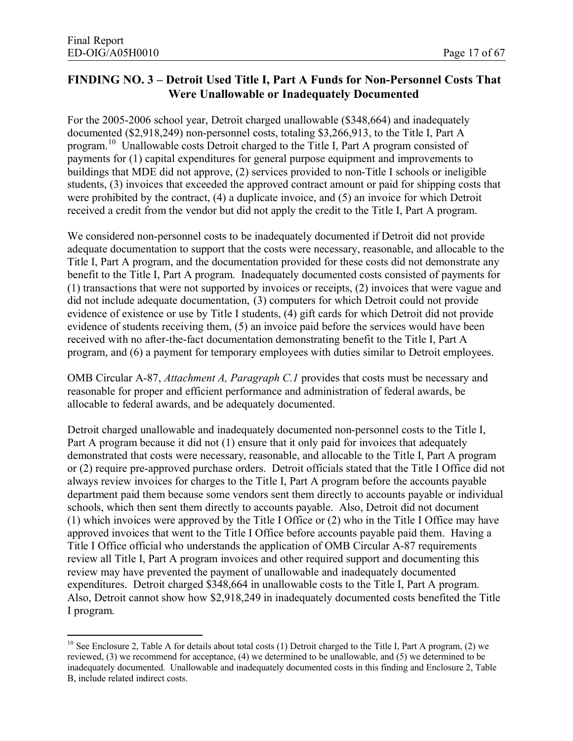# **FINDING NO. 3 – Detroit Used Title I, Part A Funds for Non-Personnel Costs That Were Unallowable or Inadequately Documented**

For the 2005-2006 school year, Detroit charged unallowable (\$348,664) and inadequately documented (\$2,918,249) non-personnel costs, totaling \$3,266,913, to the Title I, Part A program.<sup>10</sup> Unallowable costs Detroit charged to the Title I, Part A program consisted of payments for (1) capital expenditures for general purpose equipment and improvements to buildings that MDE did not approve, (2) services provided to non-Title I schools or ineligible students, (3) invoices that exceeded the approved contract amount or paid for shipping costs that were prohibited by the contract, (4) a duplicate invoice, and (5) an invoice for which Detroit received a credit from the vendor but did not apply the credit to the Title I, Part A program.

We considered non-personnel costs to be inadequately documented if Detroit did not provide adequate documentation to support that the costs were necessary, reasonable, and allocable to the Title I, Part A program, and the documentation provided for these costs did not demonstrate any benefit to the Title I, Part A program. Inadequately documented costs consisted of payments for (1) transactions that were not supported by invoices or receipts, (2) invoices that were vague and did not include adequate documentation, (3) computers for which Detroit could not provide evidence of existence or use by Title I students, (4) gift cards for which Detroit did not provide evidence of students receiving them, (5) an invoice paid before the services would have been received with no after-the-fact documentation demonstrating benefit to the Title I, Part A program, and (6) a payment for temporary employees with duties similar to Detroit employees.

OMB Circular A-87, *Attachment A, Paragraph C.1* provides that costs must be necessary and reasonable for proper and efficient performance and administration of federal awards, be allocable to federal awards, and be adequately documented.

Detroit charged unallowable and inadequately documented non-personnel costs to the Title I, Part A program because it did not (1) ensure that it only paid for invoices that adequately demonstrated that costs were necessary, reasonable, and allocable to the Title I, Part A program or (2) require pre-approved purchase orders. Detroit officials stated that the Title I Office did not always review invoices for charges to the Title I, Part A program before the accounts payable department paid them because some vendors sent them directly to accounts payable or individual schools, which then sent them directly to accounts payable. Also, Detroit did not document (1) which invoices were approved by the Title I Office or (2) who in the Title I Office may have approved invoices that went to the Title I Office before accounts payable paid them. Having a Title I Office official who understands the application of OMB Circular A-87 requirements review all Title I, Part A program invoices and other required support and documenting this review may have prevented the payment of unallowable and inadequately documented expenditures. Detroit charged \$348,664 in unallowable costs to the Title I, Part A program. Also, Detroit cannot show how \$2,918,249 in inadequately documented costs benefited the Title I program.

<sup>&</sup>lt;sup>10</sup> See Enclosure 2, Table A for details about total costs (1) Detroit charged to the Title I, Part A program, (2) we reviewed, (3) we recommend for acceptance, (4) we determined to be unallowable, and (5) we determined to be inadequately documented. Unallowable and inadequately documented costs in this finding and Enclosure 2, Table B, include related indirect costs.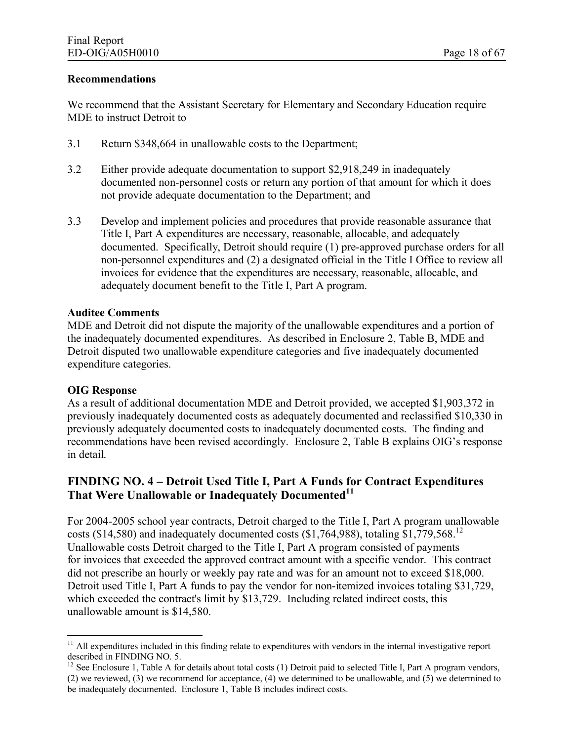#### **Recommendations**

We recommend that the Assistant Secretary for Elementary and Secondary Education require MDE to instruct Detroit to

- 3.1 Return \$348,664 in unallowable costs to the Department;
- 3.2 Either provide adequate documentation to support \$2,918,249 in inadequately documented non-personnel costs or return any portion of that amount for which it does not provide adequate documentation to the Department; and
- 3.3 Develop and implement policies and procedures that provide reasonable assurance that Title I, Part A expenditures are necessary, reasonable, allocable, and adequately documented. Specifically, Detroit should require (1) pre-approved purchase orders for all non-personnel expenditures and (2) a designated official in the Title I Office to review all invoices for evidence that the expenditures are necessary, reasonable, allocable, and adequately document benefit to the Title I, Part A program.

#### **Auditee Comments**

MDE and Detroit did not dispute the majority of the unallowable expenditures and a portion of the inadequately documented expenditures. As described in Enclosure 2, Table B, MDE and Detroit disputed two unallowable expenditure categories and five inadequately documented expenditure categories.

#### **OIG Response**

As a result of additional documentation MDE and Detroit provided, we accepted \$1,903,372 in previously inadequately documented costs as adequately documented and reclassified \$10,330 in previously adequately documented costs to inadequately documented costs. The finding and recommendations have been revised accordingly. Enclosure 2, Table B explains OIG's response in detail.

## **FINDING NO. 4 – Detroit Used Title I, Part A Funds for Contract Expenditures That Were Unallowable or Inadequately Documented<sup>11</sup>**

For 2004-2005 school year contracts, Detroit charged to the Title I, Part A program unallowable costs (\$14,580) and inadequately documented costs (\$1,764,988), totaling  $$1,779,568$ <sup>12</sup> Unallowable costs Detroit charged to the Title I, Part A program consisted of payments for invoices that exceeded the approved contract amount with a specific vendor. This contract did not prescribe an hourly or weekly pay rate and was for an amount not to exceed \$18,000. Detroit used Title I, Part A funds to pay the vendor for non-itemized invoices totaling \$31,729, which exceeded the contract's limit by \$13,729. Including related indirect costs, this unallowable amount is \$14,580.

 $11$  All expenditures included in this finding relate to expenditures with vendors in the internal investigative report described in FINDING NO. 5.

 $12$  See Enclosure 1, Table A for details about total costs (1) Detroit paid to selected Title I, Part A program vendors, (2) we reviewed, (3) we recommend for acceptance, (4) we determined to be unallowable, and (5) we determined to be inadequately documented. Enclosure 1, Table B includes indirect costs.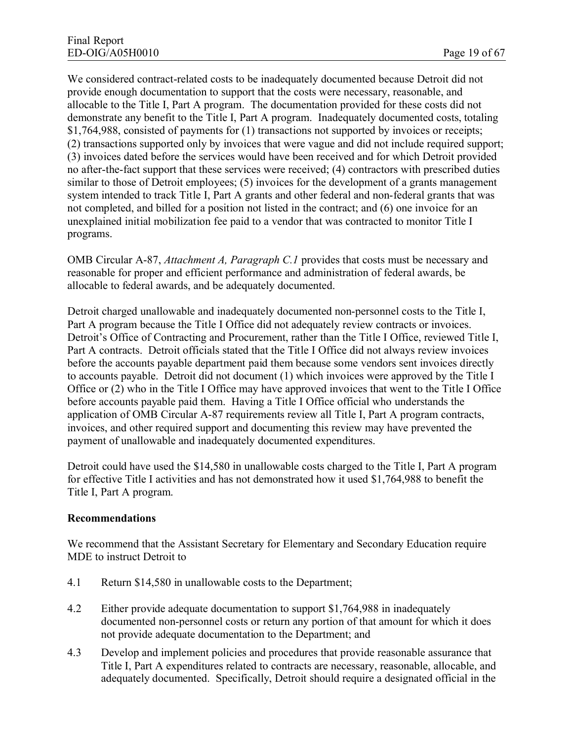We considered contract-related costs to be inadequately documented because Detroit did not provide enough documentation to support that the costs were necessary, reasonable, and allocable to the Title I, Part A program. The documentation provided for these costs did not demonstrate any benefit to the Title I, Part A program. Inadequately documented costs, totaling \$1,764,988, consisted of payments for (1) transactions not supported by invoices or receipts; (2) transactions supported only by invoices that were vague and did not include required support; (3) invoices dated before the services would have been received and for which Detroit provided no after-the-fact support that these services were received; (4) contractors with prescribed duties similar to those of Detroit employees; (5) invoices for the development of a grants management system intended to track Title I, Part A grants and other federal and non-federal grants that was not completed, and billed for a position not listed in the contract; and (6) one invoice for an unexplained initial mobilization fee paid to a vendor that was contracted to monitor Title I programs.

OMB Circular A-87, *Attachment A, Paragraph C.1* provides that costs must be necessary and reasonable for proper and efficient performance and administration of federal awards, be allocable to federal awards, and be adequately documented.

Detroit charged unallowable and inadequately documented non-personnel costs to the Title I, Part A program because the Title I Office did not adequately review contracts or invoices. Detroit's Office of Contracting and Procurement, rather than the Title I Office, reviewed Title I, Part A contracts. Detroit officials stated that the Title I Office did not always review invoices before the accounts payable department paid them because some vendors sent invoices directly to accounts payable. Detroit did not document (1) which invoices were approved by the Title I Office or (2) who in the Title I Office may have approved invoices that went to the Title I Office before accounts payable paid them. Having a Title I Office official who understands the application of OMB Circular A-87 requirements review all Title I, Part A program contracts, invoices, and other required support and documenting this review may have prevented the payment of unallowable and inadequately documented expenditures.

Detroit could have used the \$14,580 in unallowable costs charged to the Title I, Part A program for effective Title I activities and has not demonstrated how it used \$1,764,988 to benefit the Title I, Part A program.

#### **Recommendations**

We recommend that the Assistant Secretary for Elementary and Secondary Education require MDE to instruct Detroit to

- 4.1 Return \$14,580 in unallowable costs to the Department;
- 4.2 Either provide adequate documentation to support \$1,764,988 in inadequately documented non-personnel costs or return any portion of that amount for which it does not provide adequate documentation to the Department; and
- 4.3 Develop and implement policies and procedures that provide reasonable assurance that Title I, Part A expenditures related to contracts are necessary, reasonable, allocable, and adequately documented. Specifically, Detroit should require a designated official in the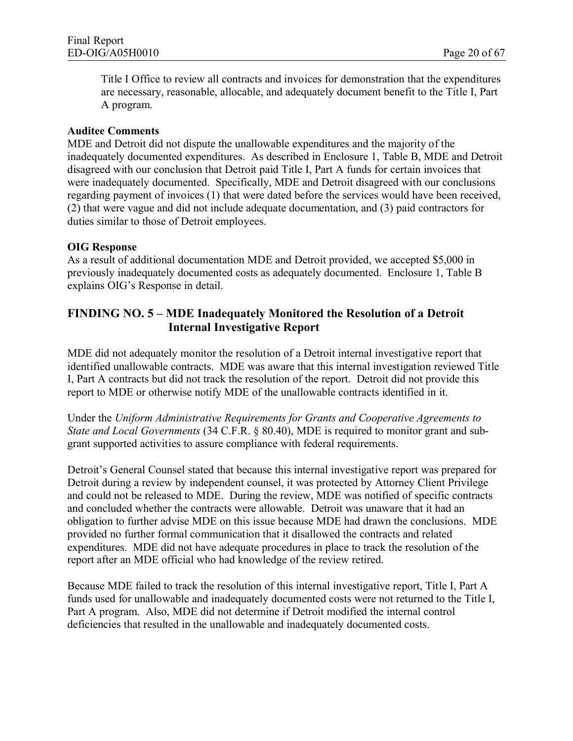Title I Office to review all contracts and invoices for demonstration that the expenditures are necessary, reasonable, allocable, and adequately document benefit to the Title I, Part A program.

#### **Auditee Comments**

MDE and Detroit did not dispute the unallowable expenditures and the majority of the inadequately documented expenditures. As described in Enclosure 1, Table B, MDE and Detroit disagreed with our conclusion that Detroit paid Title I, Part A funds for certain invoices that were inadequately documented. Specifically, MDE and Detroit disagreed with our conclusions regarding payment of invoices (1) that were dated before the services would have been received, (2) that were vague and did not include adequate documentation, and (3) paid contractors for duties similar to those of Detroit employees.

#### **OIG Response**

As a result of additional documentation MDE and Detroit provided, we accepted \$5,000 in previously inadequately documented costs as adequately documented. Enclosure 1, Table B explains OIG's Response in detail.

# **FINDING NO. 5 – MDE Inadequately Monitored the Resolution of a Detroit Internal Investigative Report**

MDE did not adequately monitor the resolution of a Detroit internal investigative report that identified unallowable contracts. MDE was aware that this internal investigation reviewed Title I, Part A contracts but did not track the resolution of the report. Detroit did not provide this report to MDE or otherwise notify MDE of the unallowable contracts identified in it.

Under the *Uniform Administrative Requirements for Grants and Cooperative Agreements to State and Local Governments* (34 C.F.R. § 80.40), MDE is required to monitor grant and subgrant supported activities to assure compliance with federal requirements.

Detroit's General Counsel stated that because this internal investigative report was prepared for Detroit during a review by independent counsel, it was protected by Attorney Client Privilege and could not be released to MDE. During the review, MDE was notified of specific contracts and concluded whether the contracts were allowable. Detroit was unaware that it had an obligation to further advise MDE on this issue because MDE had drawn the conclusions. MDE provided no further formal communication that it disallowed the contracts and related expenditures. MDE did not have adequate procedures in place to track the resolution of the report after an MDE official who had knowledge of the review retired.

Because MDE failed to track the resolution of this internal investigative report, Title I, Part A funds used for unallowable and inadequately documented costs were not returned to the Title I, Part A program. Also, MDE did not determine if Detroit modified the internal control deficiencies that resulted in the unallowable and inadequately documented costs.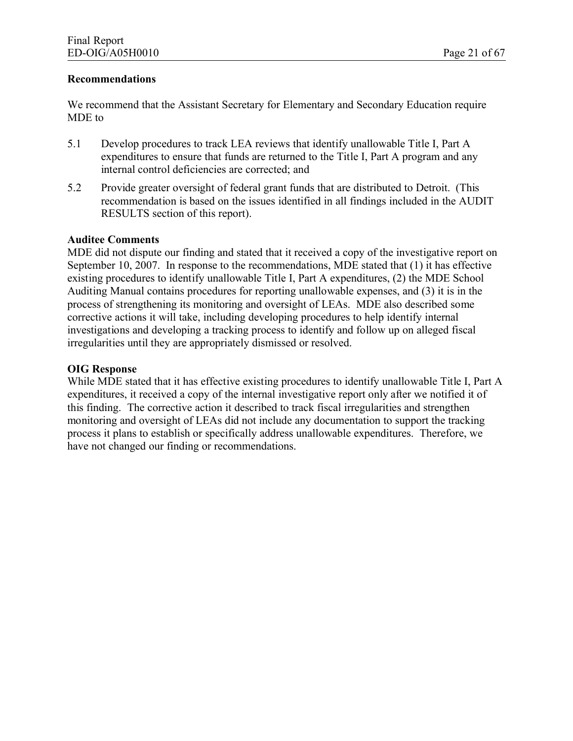#### **Recommendations**

We recommend that the Assistant Secretary for Elementary and Secondary Education require MDE to

- 5.1 Develop procedures to track LEA reviews that identify unallowable Title I, Part A expenditures to ensure that funds are returned to the Title I, Part A program and any internal control deficiencies are corrected; and
- 5.2 Provide greater oversight of federal grant funds that are distributed to Detroit. (This recommendation is based on the issues identified in all findings included in the AUDIT RESULTS section of this report).

#### **Auditee Comments**

MDE did not dispute our finding and stated that it received a copy of the investigative report on September 10, 2007. In response to the recommendations, MDE stated that (1) it has effective existing procedures to identify unallowable Title I, Part A expenditures, (2) the MDE School Auditing Manual contains procedures for reporting unallowable expenses, and (3) it is in the process of strengthening its monitoring and oversight of LEAs. MDE also described some corrective actions it will take, including developing procedures to help identify internal investigations and developing a tracking process to identify and follow up on alleged fiscal irregularities until they are appropriately dismissed or resolved.

#### **OIG Response**

While MDE stated that it has effective existing procedures to identify unallowable Title I, Part A expenditures, it received a copy of the internal investigative report only after we notified it of this finding. The corrective action it described to track fiscal irregularities and strengthen monitoring and oversight of LEAs did not include any documentation to support the tracking process it plans to establish or specifically address unallowable expenditures. Therefore, we have not changed our finding or recommendations.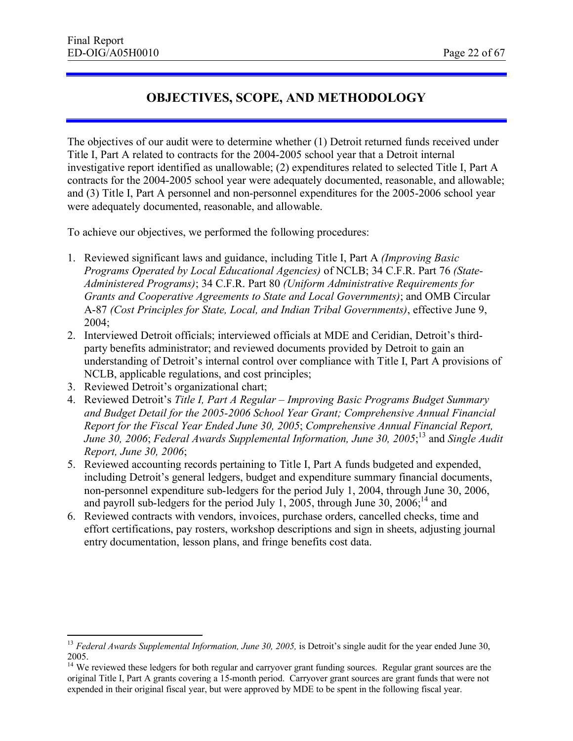# **OBJECTIVES, SCOPE, AND METHODOLOGY**

The objectives of our audit were to determine whether (1) Detroit returned funds received under Title I, Part A related to contracts for the 2004-2005 school year that a Detroit internal investigative report identified as unallowable; (2) expenditures related to selected Title I, Part A contracts for the 2004-2005 school year were adequately documented, reasonable, and allowable; and (3) Title I, Part A personnel and non-personnel expenditures for the 2005-2006 school year were adequately documented, reasonable, and allowable.

To achieve our objectives, we performed the following procedures:

- 1. Reviewed significant laws and guidance, including Title I, Part A *(Improving Basic Programs Operated by Local Educational Agencies)* of NCLB; 34 C.F.R. Part 76 *(State-Administered Programs)*; 34 C.F.R. Part 80 *(Uniform Administrative Requirements for Grants and Cooperative Agreements to State and Local Governments)*; and OMB Circular A-87 *(Cost Principles for State, Local, and Indian Tribal Governments)*, effective June 9, 2004;
- 2. Interviewed Detroit officials; interviewed officials at MDE and Ceridian, Detroit's thirdparty benefits administrator; and reviewed documents provided by Detroit to gain an understanding of Detroit's internal control over compliance with Title I, Part A provisions of NCLB, applicable regulations, and cost principles;
- 3. Reviewed Detroit's organizational chart;
- 4. Reviewed Detroit's *Title I, Part A Regular – Improving Basic Programs Budget Summary and Budget Detail for the 2005-2006 School Year Grant; Comprehensive Annual Financial Report for the Fiscal Year Ended June 30, 2005*; *Comprehensive Annual Financial Report, June 30, 2006*; *Federal Awards Supplemental Information, June 30, 2005*; <sup>13</sup> and *Single Audit Report, June 30, 2006*;
- 5. Reviewed accounting records pertaining to Title I, Part A funds budgeted and expended, including Detroit's general ledgers, budget and expenditure summary financial documents, non-personnel expenditure sub-ledgers for the period July 1, 2004, through June 30, 2006, and payroll sub-ledgers for the period July 1, 2005, through June  $30$ ,  $2006$ ;<sup>14</sup> and
- 6. Reviewed contracts with vendors, invoices, purchase orders, cancelled checks, time and effort certifications, pay rosters, workshop descriptions and sign in sheets, adjusting journal entry documentation, lesson plans, and fringe benefits cost data.

<sup>&</sup>lt;sup>13</sup> *Federal Awards Supplemental Information, June 30, 2005,* is Detroit's single audit for the year ended June 30, 2005.

<sup>&</sup>lt;sup>14</sup> We reviewed these ledgers for both regular and carryover grant funding sources. Regular grant sources are the original Title I, Part A grants covering a 15-month period. Carryover grant sources are grant funds that were not expended in their original fiscal year, but were approved by MDE to be spent in the following fiscal year.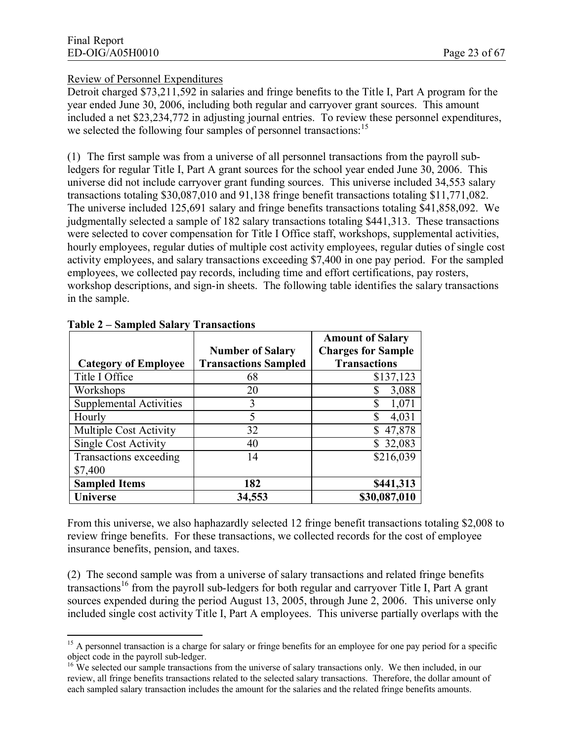#### Review of Personnel Expenditures

Detroit charged \$73,211,592 in salaries and fringe benefits to the Title I, Part A program for the year ended June 30, 2006, including both regular and carryover grant sources. This amount included a net \$23,234,772 in adjusting journal entries. To review these personnel expenditures, we selected the following four samples of personnel transactions:<sup>15</sup>

(1) The first sample was from a universe of all personnel transactions from the payroll subledgers for regular Title I, Part A grant sources for the school year ended June 30, 2006. This universe did not include carryover grant funding sources. This universe included 34,553 salary transactions totaling \$30,087,010 and 91,138 fringe benefit transactions totaling \$11,771,082. The universe included 125,691 salary and fringe benefits transactions totaling \$41,858,092. We judgmentally selected a sample of 182 salary transactions totaling \$441,313. These transactions were selected to cover compensation for Title I Office staff, workshops, supplemental activities, hourly employees, regular duties of multiple cost activity employees, regular duties of single cost activity employees, and salary transactions exceeding \$7,400 in one pay period. For the sampled employees, we collected pay records, including time and effort certifications, pay rosters, workshop descriptions, and sign-in sheets. The following table identifies the salary transactions in the sample.

|                                |                             | <b>Amount of Salary</b>   |
|--------------------------------|-----------------------------|---------------------------|
|                                | <b>Number of Salary</b>     | <b>Charges for Sample</b> |
| <b>Category of Employee</b>    | <b>Transactions Sampled</b> | <b>Transactions</b>       |
| Title I Office                 | 68                          | \$137,123                 |
| Workshops                      | 20                          | 3,088                     |
| <b>Supplemental Activities</b> | 3                           | 1,071<br>S                |
| Hourly                         | 5                           | \$<br>4,031               |
| <b>Multiple Cost Activity</b>  | 32                          | 47,878                    |
| Single Cost Activity           | 40                          | \$32,083                  |
| Transactions exceeding         | 14                          | \$216,039                 |
| \$7,400                        |                             |                           |
| <b>Sampled Items</b>           | 182                         | \$441,313                 |
| <b>Universe</b>                | 34,553                      | \$30,087,010              |

**Table 2 – Sampled Salary Transactions** 

From this universe, we also haphazardly selected 12 fringe benefit transactions totaling \$2,008 to review fringe benefits. For these transactions, we collected records for the cost of employee insurance benefits, pension, and taxes.

(2) The second sample was from a universe of salary transactions and related fringe benefits transactions<sup>16</sup> from the payroll sub-ledgers for both regular and carryover Title I. Part A grant sources expended during the period August 13, 2005, through June 2, 2006. This universe only included single cost activity Title I, Part A employees. This universe partially overlaps with the

<sup>&</sup>lt;sup>15</sup> A personnel transaction is a charge for salary or fringe benefits for an employee for one pay period for a specific object code in the payroll sub-ledger.

<sup>&</sup>lt;sup>16</sup> We selected our sample transactions from the universe of salary transactions only. We then included, in our review, all fringe benefits transactions related to the selected salary transactions. Therefore, the dollar amount of each sampled salary transaction includes the amount for the salaries and the related fringe benefits amounts.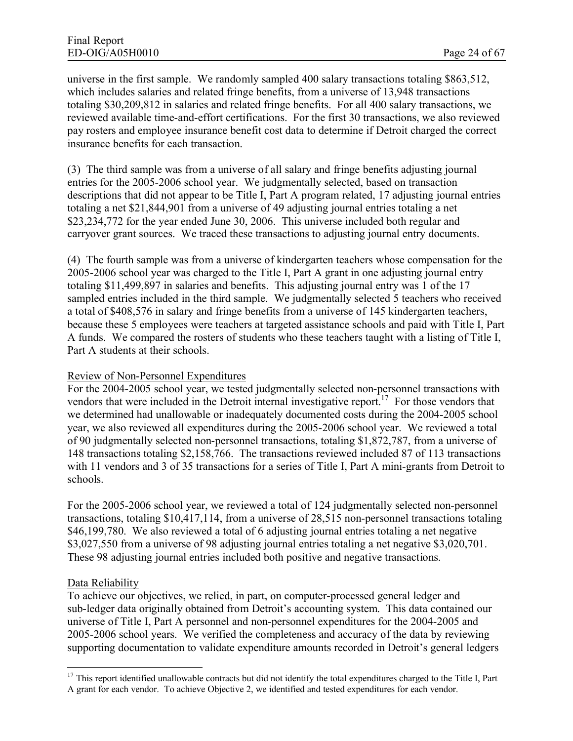universe in the first sample. We randomly sampled 400 salary transactions totaling \$863,512, which includes salaries and related fringe benefits, from a universe of 13,948 transactions totaling \$30,209,812 in salaries and related fringe benefits. For all 400 salary transactions, we reviewed available time-and-effort certifications. For the first 30 transactions, we also reviewed pay rosters and employee insurance benefit cost data to determine if Detroit charged the correct insurance benefits for each transaction.

(3) The third sample was from a universe of all salary and fringe benefits adjusting journal entries for the 2005-2006 school year. We judgmentally selected, based on transaction descriptions that did not appear to be Title I, Part A program related, 17 adjusting journal entries totaling a net \$21,844,901 from a universe of 49 adjusting journal entries totaling a net \$23,234,772 for the year ended June 30, 2006. This universe included both regular and carryover grant sources. We traced these transactions to adjusting journal entry documents.

(4) The fourth sample was from a universe of kindergarten teachers whose compensation for the 2005-2006 school year was charged to the Title I, Part A grant in one adjusting journal entry totaling \$11,499,897 in salaries and benefits. This adjusting journal entry was 1 of the 17 sampled entries included in the third sample. We judgmentally selected 5 teachers who received a total of \$408,576 in salary and fringe benefits from a universe of 145 kindergarten teachers, because these 5 employees were teachers at targeted assistance schools and paid with Title I, Part A funds. We compared the rosters of students who these teachers taught with a listing of Title I, Part A students at their schools.

#### Review of Non-Personnel Expenditures

For the 2004-2005 school year, we tested judgmentally selected non-personnel transactions with vendors that were included in the Detroit internal investigative report.<sup>17</sup> For those vendors that we determined had unallowable or inadequately documented costs during the 2004-2005 school year, we also reviewed all expenditures during the 2005-2006 school year. We reviewed a total of 90 judgmentally selected non-personnel transactions, totaling \$1,872,787, from a universe of 148 transactions totaling \$2,158,766. The transactions reviewed included 87 of 113 transactions with 11 vendors and 3 of 35 transactions for a series of Title I, Part A mini-grants from Detroit to schools.

For the 2005-2006 school year, we reviewed a total of 124 judgmentally selected non-personnel transactions, totaling \$10,417,114, from a universe of 28,515 non-personnel transactions totaling \$46,199,780. We also reviewed a total of 6 adjusting journal entries totaling a net negative \$3,027,550 from a universe of 98 adjusting journal entries totaling a net negative \$3,020,701. These 98 adjusting journal entries included both positive and negative transactions.

#### Data Reliability

To achieve our objectives, we relied, in part, on computer-processed general ledger and sub-ledger data originally obtained from Detroit's accounting system. This data contained our universe of Title I, Part A personnel and non-personnel expenditures for the 2004-2005 and 2005-2006 school years. We verified the completeness and accuracy of the data by reviewing supporting documentation to validate expenditure amounts recorded in Detroit's general ledgers

<sup>&</sup>lt;sup>17</sup> This report identified unallowable contracts but did not identify the total expenditures charged to the Title I, Part A grant for each vendor. To achieve Objective 2, we identified and tested expenditures for each vendor.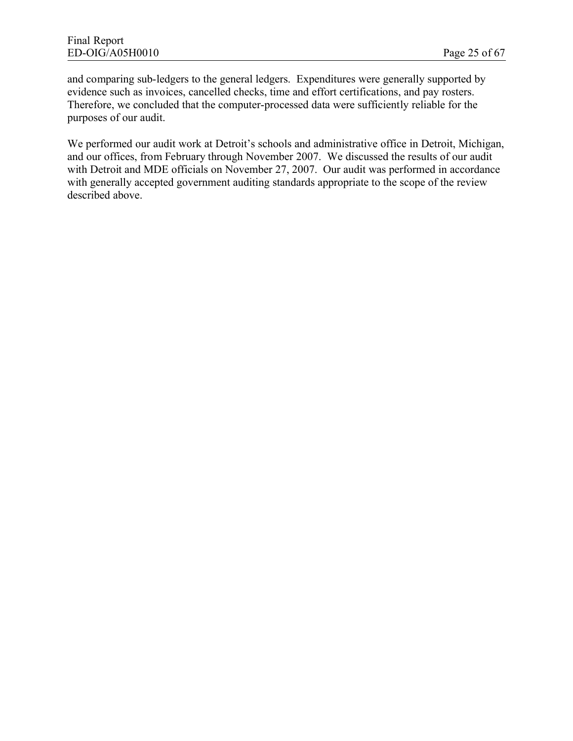and comparing sub-ledgers to the general ledgers. Expenditures were generally supported by evidence such as invoices, cancelled checks, time and effort certifications, and pay rosters. Therefore, we concluded that the computer-processed data were sufficiently reliable for the purposes of our audit.

We performed our audit work at Detroit's schools and administrative office in Detroit, Michigan, and our offices, from February through November 2007. We discussed the results of our audit with Detroit and MDE officials on November 27, 2007. Our audit was performed in accordance with generally accepted government auditing standards appropriate to the scope of the review described above.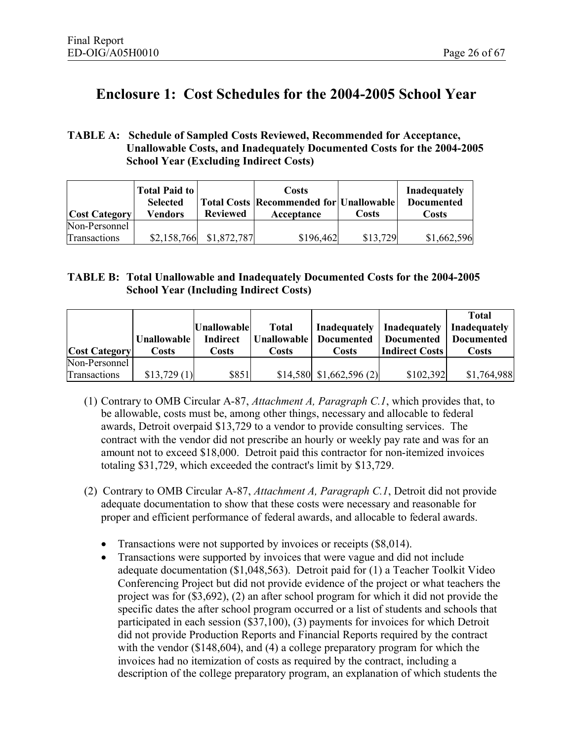# **Enclosure 1: Cost Schedules for the 2004-2005 School Year**

#### **TABLE A: Schedule of Sampled Costs Reviewed, Recommended for Acceptance, Unallowable Costs, and Inadequately Documented Costs for the 2004-2005 School Year (Excluding Indirect Costs)**

| <b>Cost Category</b> | <b>Total Paid to</b><br><b>Selected</b><br>Vendors | <b>Reviewed</b> | Costs<br><b>Total Costs   Recommended for   Unallowable  </b><br>Acceptance | Costs    | <b>Inadequately</b><br><b>Documented</b><br>Costs |
|----------------------|----------------------------------------------------|-----------------|-----------------------------------------------------------------------------|----------|---------------------------------------------------|
| Non-Personnel        |                                                    |                 |                                                                             |          |                                                   |
| Transactions         | \$2,158,766                                        | \$1,872,787     | \$196,462                                                                   | \$13,729 | \$1,662,596                                       |

#### **TABLE B: Total Unallowable and Inadequately Documented Costs for the 2004-2005 School Year (Including Indirect Costs)**

|                      |                    |                    |              |                           |                                            | <b>Total</b>      |
|----------------------|--------------------|--------------------|--------------|---------------------------|--------------------------------------------|-------------------|
|                      |                    | <b>Unallowable</b> | <b>Total</b> |                           | Inadequately   Inadequately   Inadequately |                   |
|                      | <b>Unallowable</b> | <b>Indirect</b>    |              | Unallowable   Documented  | <b>Documented</b>                          | <b>Documented</b> |
| <b>Cost Category</b> | Costs              | Costs              | Costs        | Costs                     | <b>Indirect Costs</b>                      | Costs             |
| Non-Personnel        |                    |                    |              |                           |                                            |                   |
| Transactions         | \$13,729(1)        | \$851              |              | $$14,580$ $$1,662,596(2)$ | \$102,392                                  | \$1,764,988       |

- (1) Contrary to OMB Circular A-87, *Attachment A, Paragraph C.1*, which provides that, to be allowable, costs must be, among other things, necessary and allocable to federal awards, Detroit overpaid \$13,729 to a vendor to provide consulting services. The contract with the vendor did not prescribe an hourly or weekly pay rate and was for an amount not to exceed \$18,000. Detroit paid this contractor for non-itemized invoices totaling \$31,729, which exceeded the contract's limit by \$13,729.
- (2) Contrary to OMB Circular A-87, *Attachment A, Paragraph C.1*, Detroit did not provide adequate documentation to show that these costs were necessary and reasonable for proper and efficient performance of federal awards, and allocable to federal awards.
	- Transactions were not supported by invoices or receipts (\$8,014).
	- · Transactions were supported by invoices that were vague and did not include adequate documentation (\$1,048,563). Detroit paid for (1) a Teacher Toolkit Video Conferencing Project but did not provide evidence of the project or what teachers the project was for (\$3,692), (2) an after school program for which it did not provide the specific dates the after school program occurred or a list of students and schools that participated in each session (\$37,100), (3) payments for invoices for which Detroit did not provide Production Reports and Financial Reports required by the contract with the vendor (\$148,604), and (4) a college preparatory program for which the invoices had no itemization of costs as required by the contract, including a description of the college preparatory program, an explanation of which students the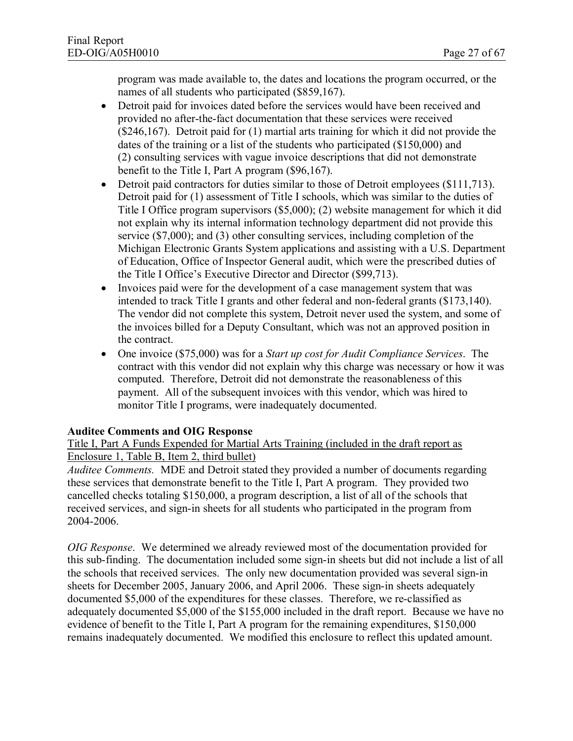program was made available to, the dates and locations the program occurred, or the names of all students who participated (\$859,167).

- Detroit paid for invoices dated before the services would have been received and provided no after-the-fact documentation that these services were received (\$246,167). Detroit paid for (1) martial arts training for which it did not provide the dates of the training or a list of the students who participated (\$150,000) and (2) consulting services with vague invoice descriptions that did not demonstrate benefit to the Title I, Part A program (\$96,167).
- Detroit paid contractors for duties similar to those of Detroit employees (\$111,713). Detroit paid for (1) assessment of Title I schools, which was similar to the duties of Title I Office program supervisors (\$5,000); (2) website management for which it did not explain why its internal information technology department did not provide this service (\$7,000); and (3) other consulting services, including completion of the Michigan Electronic Grants System applications and assisting with a U.S. Department of Education, Office of Inspector General audit, which were the prescribed duties of the Title I Office's Executive Director and Director (\$99,713).
- · Invoices paid were for the development of a case management system that was intended to track Title I grants and other federal and non-federal grants (\$173,140). The vendor did not complete this system, Detroit never used the system, and some of the invoices billed for a Deputy Consultant, which was not an approved position in the contract.
- · One invoice (\$75,000) was for a *Start up cost for Audit Compliance Services*. The contract with this vendor did not explain why this charge was necessary or how it was computed. Therefore, Detroit did not demonstrate the reasonableness of this payment. All of the subsequent invoices with this vendor, which was hired to monitor Title I programs, were inadequately documented.

#### **Auditee Comments and OIG Response**

Title I, Part A Funds Expended for Martial Arts Training (included in the draft report as Enclosure 1, Table B, Item 2, third bullet)

*Auditee Comments.* MDE and Detroit stated they provided a number of documents regarding these services that demonstrate benefit to the Title I, Part A program. They provided two cancelled checks totaling \$150,000, a program description, a list of all of the schools that received services, and sign-in sheets for all students who participated in the program from 2004-2006.

*OIG Response*. We determined we already reviewed most of the documentation provided for this sub-finding. The documentation included some sign-in sheets but did not include a list of all the schools that received services. The only new documentation provided was several sign-in sheets for December 2005, January 2006, and April 2006. These sign-in sheets adequately documented \$5,000 of the expenditures for these classes. Therefore, we re-classified as adequately documented \$5,000 of the \$155,000 included in the draft report. Because we have no evidence of benefit to the Title I, Part A program for the remaining expenditures, \$150,000 remains inadequately documented. We modified this enclosure to reflect this updated amount.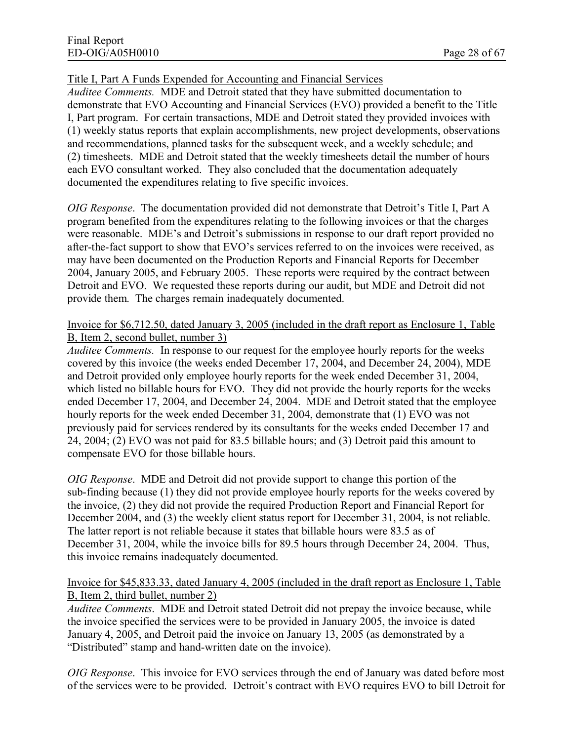#### Title I, Part A Funds Expended for Accounting and Financial Services

*Auditee Comments.* MDE and Detroit stated that they have submitted documentation to demonstrate that EVO Accounting and Financial Services (EVO) provided a benefit to the Title I, Part program. For certain transactions, MDE and Detroit stated they provided invoices with (1) weekly status reports that explain accomplishments, new project developments, observations and recommendations, planned tasks for the subsequent week, and a weekly schedule; and (2) timesheets. MDE and Detroit stated that the weekly timesheets detail the number of hours each EVO consultant worked. They also concluded that the documentation adequately documented the expenditures relating to five specific invoices.

*OIG Response*. The documentation provided did not demonstrate that Detroit's Title I, Part A program benefited from the expenditures relating to the following invoices or that the charges were reasonable. MDE's and Detroit's submissions in response to our draft report provided no after-the-fact support to show that EVO's services referred to on the invoices were received, as may have been documented on the Production Reports and Financial Reports for December 2004, January 2005, and February 2005. These reports were required by the contract between Detroit and EVO. We requested these reports during our audit, but MDE and Detroit did not provide them. The charges remain inadequately documented.

#### Invoice for \$6,712.50, dated January 3, 2005 (included in the draft report as Enclosure 1, Table B, Item 2, second bullet, number 3)

*Auditee Comments.* In response to our request for the employee hourly reports for the weeks covered by this invoice (the weeks ended December 17, 2004, and December 24, 2004), MDE and Detroit provided only employee hourly reports for the week ended December 31, 2004, which listed no billable hours for EVO. They did not provide the hourly reports for the weeks ended December 17, 2004, and December 24, 2004. MDE and Detroit stated that the employee hourly reports for the week ended December 31, 2004, demonstrate that (1) EVO was not previously paid for services rendered by its consultants for the weeks ended December 17 and 24, 2004; (2) EVO was not paid for 83.5 billable hours; and (3) Detroit paid this amount to compensate EVO for those billable hours.

*OIG Response*. MDE and Detroit did not provide support to change this portion of the sub-finding because (1) they did not provide employee hourly reports for the weeks covered by the invoice, (2) they did not provide the required Production Report and Financial Report for December 2004, and (3) the weekly client status report for December 31, 2004, is not reliable. The latter report is not reliable because it states that billable hours were 83.5 as of December 31, 2004, while the invoice bills for 89.5 hours through December 24, 2004. Thus, this invoice remains inadequately documented.

#### Invoice for \$45,833.33, dated January 4, 2005 (included in the draft report as Enclosure 1, Table B, Item 2, third bullet, number 2)

*Auditee Comments*. MDE and Detroit stated Detroit did not prepay the invoice because, while the invoice specified the services were to be provided in January 2005, the invoice is dated January 4, 2005, and Detroit paid the invoice on January 13, 2005 (as demonstrated by a "Distributed" stamp and hand-written date on the invoice).

*OIG Response*. This invoice for EVO services through the end of January was dated before most of the services were to be provided. Detroit's contract with EVO requires EVO to bill Detroit for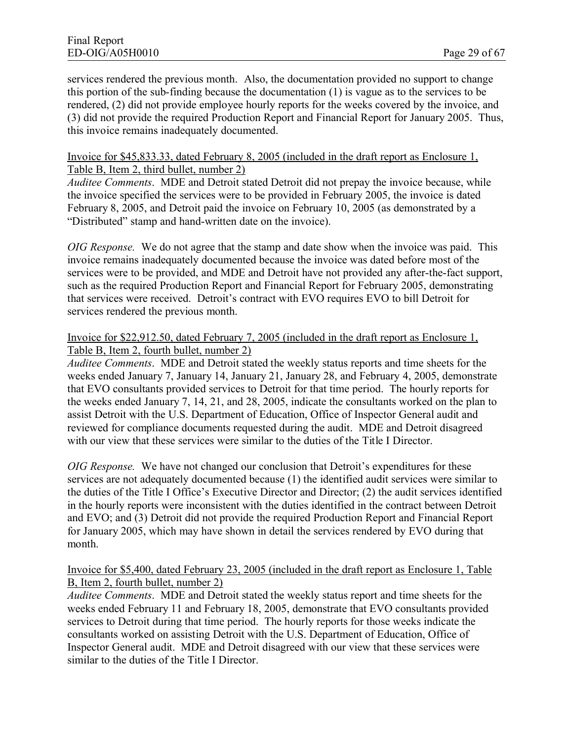services rendered the previous month. Also, the documentation provided no support to change this portion of the sub-finding because the documentation (1) is vague as to the services to be rendered, (2) did not provide employee hourly reports for the weeks covered by the invoice, and (3) did not provide the required Production Report and Financial Report for January 2005. Thus, this invoice remains inadequately documented.

#### Invoice for \$45,833.33, dated February 8, 2005 (included in the draft report as Enclosure 1, Table B, Item 2, third bullet, number 2)

*Auditee Comments*. MDE and Detroit stated Detroit did not prepay the invoice because, while the invoice specified the services were to be provided in February 2005, the invoice is dated February 8, 2005, and Detroit paid the invoice on February 10, 2005 (as demonstrated by a "Distributed" stamp and hand-written date on the invoice).

*OIG Response.* We do not agree that the stamp and date show when the invoice was paid. This invoice remains inadequately documented because the invoice was dated before most of the services were to be provided, and MDE and Detroit have not provided any after-the-fact support, such as the required Production Report and Financial Report for February 2005, demonstrating that services were received. Detroit's contract with EVO requires EVO to bill Detroit for services rendered the previous month.

#### Invoice for \$22,912.50, dated February 7, 2005 (included in the draft report as Enclosure 1, Table B, Item 2, fourth bullet, number 2)

*Auditee Comments*. MDE and Detroit stated the weekly status reports and time sheets for the weeks ended January 7, January 14, January 21, January 28, and February 4, 2005, demonstrate that EVO consultants provided services to Detroit for that time period. The hourly reports for the weeks ended January 7, 14, 21, and 28, 2005, indicate the consultants worked on the plan to assist Detroit with the U.S. Department of Education, Office of Inspector General audit and reviewed for compliance documents requested during the audit. MDE and Detroit disagreed with our view that these services were similar to the duties of the Title I Director.

*OIG Response.* We have not changed our conclusion that Detroit's expenditures for these services are not adequately documented because (1) the identified audit services were similar to the duties of the Title I Office's Executive Director and Director; (2) the audit services identified in the hourly reports were inconsistent with the duties identified in the contract between Detroit and EVO; and (3) Detroit did not provide the required Production Report and Financial Report for January 2005, which may have shown in detail the services rendered by EVO during that month.

#### Invoice for \$5,400, dated February 23, 2005 (included in the draft report as Enclosure 1, Table B, Item 2, fourth bullet, number 2)

*Auditee Comments*. MDE and Detroit stated the weekly status report and time sheets for the weeks ended February 11 and February 18, 2005, demonstrate that EVO consultants provided services to Detroit during that time period. The hourly reports for those weeks indicate the consultants worked on assisting Detroit with the U.S. Department of Education, Office of Inspector General audit. MDE and Detroit disagreed with our view that these services were similar to the duties of the Title I Director.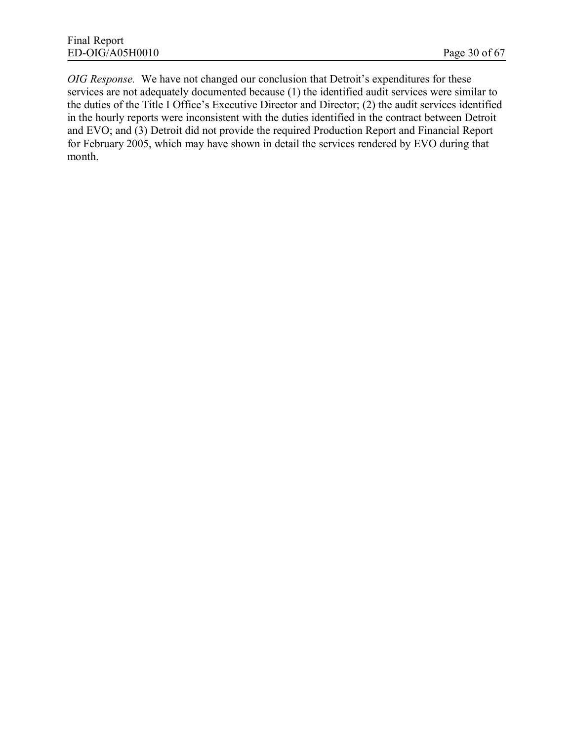*OIG Response.* We have not changed our conclusion that Detroit's expenditures for these services are not adequately documented because (1) the identified audit services were similar to the duties of the Title I Office's Executive Director and Director; (2) the audit services identified in the hourly reports were inconsistent with the duties identified in the contract between Detroit and EVO; and (3) Detroit did not provide the required Production Report and Financial Report for February 2005, which may have shown in detail the services rendered by EVO during that month.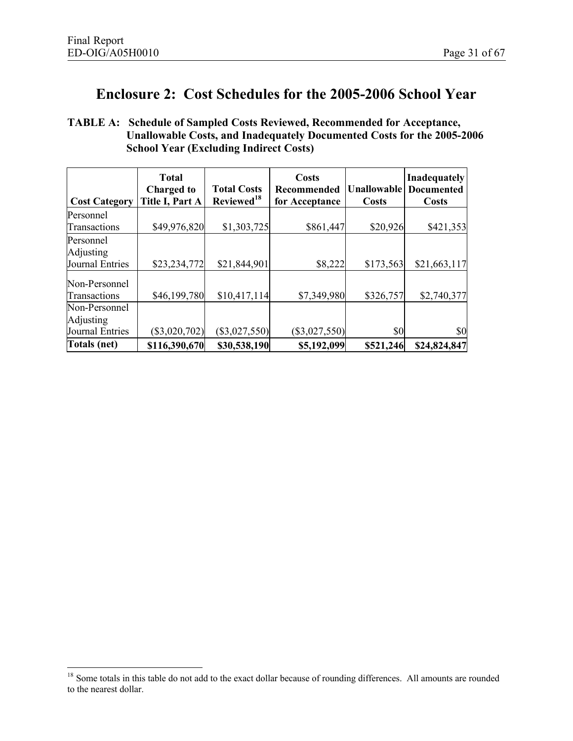# **Enclosure 2: Cost Schedules for the 2005-2006 School Year**

**TABLE A: Schedule of Sampled Costs Reviewed, Recommended for Acceptance, Unallowable Costs, and Inadequately Documented Costs for the 2005-2006 School Year (Excluding Indirect Costs)**

| <b>Cost Category</b>              | <b>Total</b><br><b>Charged to</b><br>Title I, Part A | <b>Total Costs</b><br>Reviewed <sup>18</sup> | <b>Costs</b><br><b>Recommended</b><br>for Acceptance | <b>Unallowable</b><br><b>Costs</b> | Inadequately<br><b>Documented</b><br>Costs |
|-----------------------------------|------------------------------------------------------|----------------------------------------------|------------------------------------------------------|------------------------------------|--------------------------------------------|
| Personnel<br><b>Transactions</b>  | \$49,976,820                                         | \$1,303,725                                  | \$861,447                                            | \$20,926                           | \$421,353                                  |
| Personnel<br>Adjusting            |                                                      |                                              |                                                      |                                    |                                            |
| Journal Entries                   | \$23,234,772                                         | \$21,844,901                                 | \$8,222                                              | \$173,563                          | \$21,663,117                               |
| Non-Personnel<br>Transactions     | \$46,199,780                                         | \$10,417,114                                 | \$7,349,980                                          | \$326,757                          | \$2,740,377                                |
| Non-Personnel<br><b>Adjusting</b> |                                                      |                                              |                                                      |                                    |                                            |
| Journal Entries                   | $(\$3,020,702)$                                      | $(\$3,027,550)$                              | $(\$3,027,550)$                                      | \$0                                | \$0                                        |
| Totals (net)                      | \$116,390,670                                        | \$30,538,190                                 | \$5,192,099                                          | \$521,246                          | \$24,824,847                               |

<sup>&</sup>lt;sup>18</sup> Some totals in this table do not add to the exact dollar because of rounding differences. All amounts are rounded to the nearest dollar.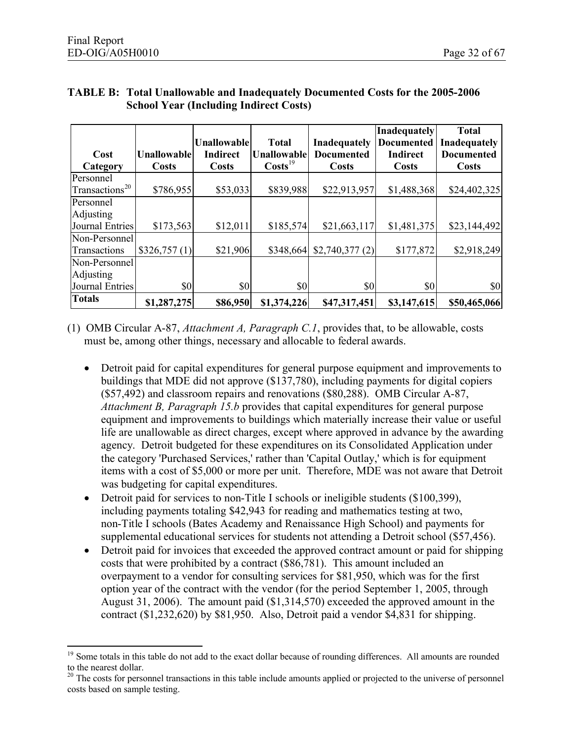|                            |                    | <b>Unallowable</b> | <b>Total</b>        | <b>Inadequately</b> | Inadequately<br><b>Documented</b> | <b>Total</b><br><b>Inadequately</b> |
|----------------------------|--------------------|--------------------|---------------------|---------------------|-----------------------------------|-------------------------------------|
| Cost                       | <b>Unallowable</b> | <b>Indirect</b>    | <b>Unallowable</b>  | <b>Documented</b>   | <b>Indirect</b>                   | <b>Documented</b>                   |
| Category                   | <b>Costs</b>       | <b>Costs</b>       | $\text{Costs}^{19}$ | <b>Costs</b>        | Costs                             | <b>Costs</b>                        |
| Personnel                  |                    |                    |                     |                     |                                   |                                     |
| Transactions <sup>20</sup> | \$786,955          | \$53,033           | \$839,988           | \$22,913,957        | \$1,488,368                       | \$24,402,325                        |
| Personnel                  |                    |                    |                     |                     |                                   |                                     |
| Adjusting                  |                    |                    |                     |                     |                                   |                                     |
| Journal Entries            | \$173,563          | \$12,011           | \$185,574           | \$21,663,117        | \$1,481,375                       | \$23,144,492                        |
| Non-Personnel              |                    |                    |                     |                     |                                   |                                     |
| Transactions               | \$326,757(1)       | \$21,906           | \$348,664           | \$2,740,377(2)      | \$177,872                         | \$2,918,249                         |
| Non-Personnel              |                    |                    |                     |                     |                                   |                                     |
| Adjusting                  |                    |                    |                     |                     |                                   |                                     |
| Journal Entries            | \$0                | \$0                | \$0                 | \$0                 | \$0                               | \$0                                 |
| <b>Totals</b>              | \$1,287,275        | \$86,950           | \$1,374,226         | \$47,317,451        | \$3,147,615                       | \$50,465,066                        |

#### **TABLE B: Total Unallowable and Inadequately Documented Costs for the 2005-2006 School Year (Including Indirect Costs)**

(1) OMB Circular A-87, *Attachment A, Paragraph C.1*, provides that, to be allowable, costs must be, among other things, necessary and allocable to federal awards.

- · Detroit paid for capital expenditures for general purpose equipment and improvements to buildings that MDE did not approve (\$137,780), including payments for digital copiers (\$57,492) and classroom repairs and renovations (\$80,288). OMB Circular A-87, *Attachment B, Paragraph 15.b* provides that capital expenditures for general purpose equipment and improvements to buildings which materially increase their value or useful life are unallowable as direct charges, except where approved in advance by the awarding agency. Detroit budgeted for these expenditures on its Consolidated Application under the category 'Purchased Services,' rather than 'Capital Outlay,' which is for equipment items with a cost of \$5,000 or more per unit. Therefore, MDE was not aware that Detroit was budgeting for capital expenditures.
- Detroit paid for services to non-Title I schools or ineligible students (\$100,399), including payments totaling \$42,943 for reading and mathematics testing at two, non-Title I schools (Bates Academy and Renaissance High School) and payments for supplemental educational services for students not attending a Detroit school (\$57,456).
- Detroit paid for invoices that exceeded the approved contract amount or paid for shipping costs that were prohibited by a contract (\$86,781). This amount included an overpayment to a vendor for consulting services for \$81,950, which was for the first option year of the contract with the vendor (for the period September 1, 2005, through August 31, 2006). The amount paid (\$1,314,570) exceeded the approved amount in the contract (\$1,232,620) by \$81,950. Also, Detroit paid a vendor \$4,831 for shipping.

<sup>&</sup>lt;sup>19</sup> Some totals in this table do not add to the exact dollar because of rounding differences. All amounts are rounded to the nearest dollar.

<sup>&</sup>lt;sup>20</sup> The costs for personnel transactions in this table include amounts applied or projected to the universe of personnel costs based on sample testing.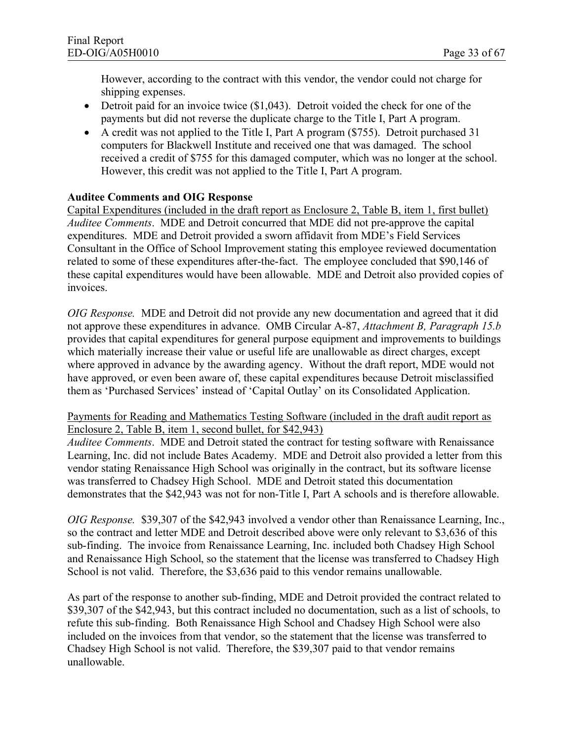However, according to the contract with this vendor, the vendor could not charge for shipping expenses.

- Detroit paid for an invoice twice (\$1,043). Detroit voided the check for one of the payments but did not reverse the duplicate charge to the Title I, Part A program.
- A credit was not applied to the Title I, Part A program (\$755). Detroit purchased 31 computers for Blackwell Institute and received one that was damaged. The school received a credit of \$755 for this damaged computer, which was no longer at the school. However, this credit was not applied to the Title I, Part A program.

#### **Auditee Comments and OIG Response**

Capital Expenditures (included in the draft report as Enclosure 2, Table B, item 1, first bullet) *Auditee Comments*. MDE and Detroit concurred that MDE did not pre-approve the capital expenditures. MDE and Detroit provided a sworn affidavit from MDE's Field Services Consultant in the Office of School Improvement stating this employee reviewed documentation related to some of these expenditures after-the-fact. The employee concluded that \$90,146 of these capital expenditures would have been allowable. MDE and Detroit also provided copies of invoices.

*OIG Response.* MDE and Detroit did not provide any new documentation and agreed that it did not approve these expenditures in advance. OMB Circular A-87, *Attachment B, Paragraph 15.b* provides that capital expenditures for general purpose equipment and improvements to buildings which materially increase their value or useful life are unallowable as direct charges, except where approved in advance by the awarding agency. Without the draft report, MDE would not have approved, or even been aware of, these capital expenditures because Detroit misclassified them as 'Purchased Services' instead of 'Capital Outlay' on its Consolidated Application.

Payments for Reading and Mathematics Testing Software (included in the draft audit report as Enclosure 2, Table B, item 1, second bullet, for \$42,943)

*Auditee Comments*. MDE and Detroit stated the contract for testing software with Renaissance Learning, Inc. did not include Bates Academy. MDE and Detroit also provided a letter from this vendor stating Renaissance High School was originally in the contract, but its software license was transferred to Chadsey High School. MDE and Detroit stated this documentation demonstrates that the \$42,943 was not for non-Title I, Part A schools and is therefore allowable.

*OIG Response.* \$39,307 of the \$42,943 involved a vendor other than Renaissance Learning, Inc., so the contract and letter MDE and Detroit described above were only relevant to \$3,636 of this sub-finding. The invoice from Renaissance Learning, Inc. included both Chadsey High School and Renaissance High School, so the statement that the license was transferred to Chadsey High School is not valid. Therefore, the \$3,636 paid to this vendor remains unallowable.

As part of the response to another sub-finding, MDE and Detroit provided the contract related to \$39,307 of the \$42,943, but this contract included no documentation, such as a list of schools, to refute this sub-finding. Both Renaissance High School and Chadsey High School were also included on the invoices from that vendor, so the statement that the license was transferred to Chadsey High School is not valid. Therefore, the \$39,307 paid to that vendor remains unallowable.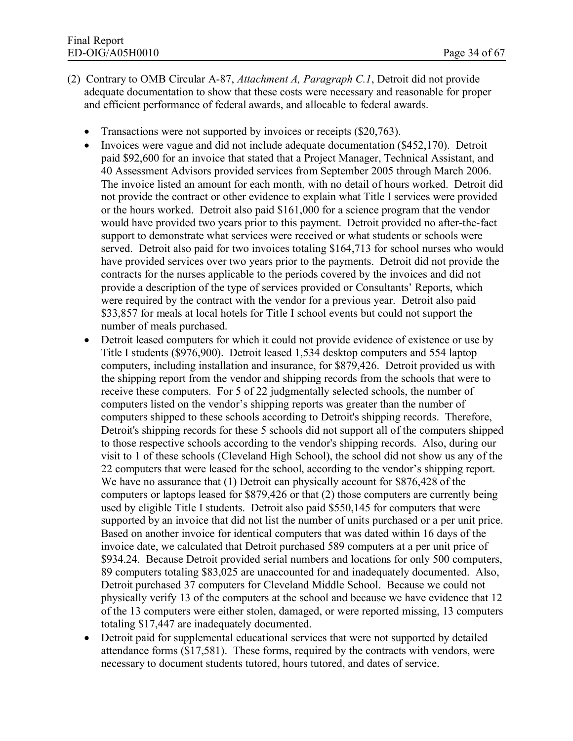- (2) Contrary to OMB Circular A-87, *Attachment A, Paragraph C.1*, Detroit did not provide adequate documentation to show that these costs were necessary and reasonable for proper and efficient performance of federal awards, and allocable to federal awards.
	- Transactions were not supported by invoices or receipts (\$20,763).
	- Invoices were vague and did not include adequate documentation (\$452,170). Detroit paid \$92,600 for an invoice that stated that a Project Manager, Technical Assistant, and 40 Assessment Advisors provided services from September 2005 through March 2006. The invoice listed an amount for each month, with no detail of hours worked. Detroit did not provide the contract or other evidence to explain what Title I services were provided or the hours worked. Detroit also paid \$161,000 for a science program that the vendor would have provided two years prior to this payment. Detroit provided no after-the-fact support to demonstrate what services were received or what students or schools were served. Detroit also paid for two invoices totaling \$164,713 for school nurses who would have provided services over two years prior to the payments. Detroit did not provide the contracts for the nurses applicable to the periods covered by the invoices and did not provide a description of the type of services provided or Consultants' Reports, which were required by the contract with the vendor for a previous year. Detroit also paid \$33,857 for meals at local hotels for Title I school events but could not support the number of meals purchased.
	- Detroit leased computers for which it could not provide evidence of existence or use by Title I students (\$976,900). Detroit leased 1,534 desktop computers and 554 laptop computers, including installation and insurance, for \$879,426. Detroit provided us with the shipping report from the vendor and shipping records from the schools that were to receive these computers. For 5 of 22 judgmentally selected schools, the number of computers listed on the vendor's shipping reports was greater than the number of computers shipped to these schools according to Detroit's shipping records. Therefore, Detroit's shipping records for these 5 schools did not support all of the computers shipped to those respective schools according to the vendor's shipping records. Also, during our visit to 1 of these schools (Cleveland High School), the school did not show us any of the 22 computers that were leased for the school, according to the vendor's shipping report. We have no assurance that (1) Detroit can physically account for \$876,428 of the computers or laptops leased for \$879,426 or that (2) those computers are currently being used by eligible Title I students. Detroit also paid \$550,145 for computers that were supported by an invoice that did not list the number of units purchased or a per unit price. Based on another invoice for identical computers that was dated within 16 days of the invoice date, we calculated that Detroit purchased 589 computers at a per unit price of \$934.24. Because Detroit provided serial numbers and locations for only 500 computers, 89 computers totaling \$83,025 are unaccounted for and inadequately documented. Also, Detroit purchased 37 computers for Cleveland Middle School. Because we could not physically verify 13 of the computers at the school and because we have evidence that 12 of the 13 computers were either stolen, damaged, or were reported missing, 13 computers totaling \$17,447 are inadequately documented.
	- Detroit paid for supplemental educational services that were not supported by detailed attendance forms (\$17,581). These forms, required by the contracts with vendors, were necessary to document students tutored, hours tutored, and dates of service.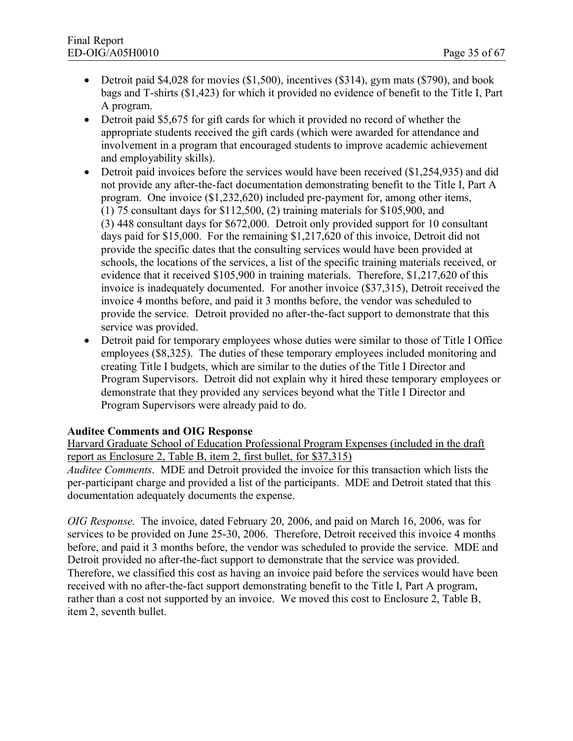- Detroit paid \$4,028 for movies  $(\$1,500)$ , incentives  $(\$314)$ , gym mats  $(\$790)$ , and book bags and T-shirts (\$1,423) for which it provided no evidence of benefit to the Title I, Part A program.
- Detroit paid \$5,675 for gift cards for which it provided no record of whether the appropriate students received the gift cards (which were awarded for attendance and involvement in a program that encouraged students to improve academic achievement and employability skills).
- Detroit paid invoices before the services would have been received (\$1,254,935) and did not provide any after-the-fact documentation demonstrating benefit to the Title I, Part A program. One invoice (\$1,232,620) included pre-payment for, among other items, (1) 75 consultant days for \$112,500, (2) training materials for \$105,900, and (3) 448 consultant days for \$672,000. Detroit only provided support for 10 consultant days paid for \$15,000. For the remaining \$1,217,620 of this invoice, Detroit did not provide the specific dates that the consulting services would have been provided at schools, the locations of the services, a list of the specific training materials received, or evidence that it received \$105,900 in training materials. Therefore, \$1,217,620 of this invoice is inadequately documented. For another invoice (\$37,315), Detroit received the invoice 4 months before, and paid it 3 months before, the vendor was scheduled to provide the service. Detroit provided no after-the-fact support to demonstrate that this service was provided.
- Detroit paid for temporary employees whose duties were similar to those of Title I Office employees (\$8,325). The duties of these temporary employees included monitoring and creating Title I budgets, which are similar to the duties of the Title I Director and Program Supervisors. Detroit did not explain why it hired these temporary employees or demonstrate that they provided any services beyond what the Title I Director and Program Supervisors were already paid to do.

#### **Auditee Comments and OIG Response**

Harvard Graduate School of Education Professional Program Expenses (included in the draft report as Enclosure 2, Table B, item 2, first bullet, for \$37,315)

*Auditee Comments*. MDE and Detroit provided the invoice for this transaction which lists the per-participant charge and provided a list of the participants. MDE and Detroit stated that this documentation adequately documents the expense.

*OIG Response.* The invoice, dated February 20, 2006, and paid on March 16, 2006, was for services to be provided on June 25-30, 2006. Therefore, Detroit received this invoice 4 months before, and paid it 3 months before, the vendor was scheduled to provide the service. MDE and Detroit provided no after-the-fact support to demonstrate that the service was provided. Therefore, we classified this cost as having an invoice paid before the services would have been received with no after-the-fact support demonstrating benefit to the Title I, Part A program, rather than a cost not supported by an invoice. We moved this cost to Enclosure 2, Table B, item 2, seventh bullet.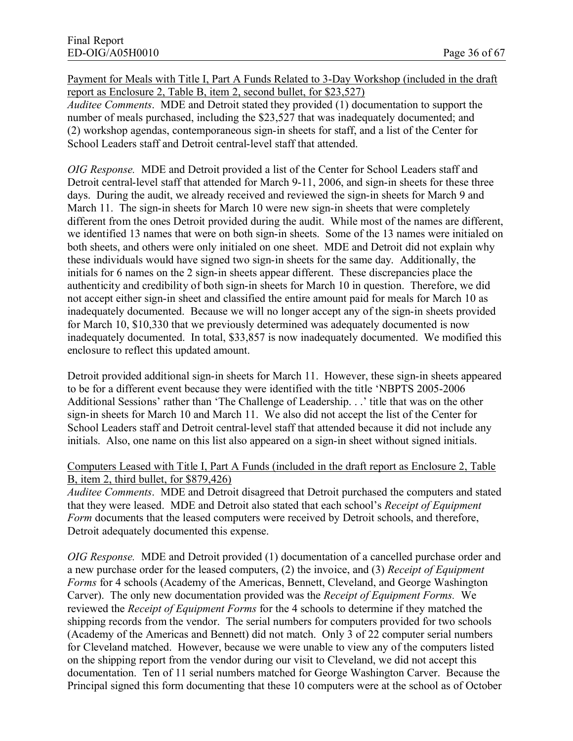Payment for Meals with Title I, Part A Funds Related to 3-Day Workshop (included in the draft report as Enclosure 2, Table B, item 2, second bullet, for \$23,527) *Auditee Comments*. MDE and Detroit stated they provided (1) documentation to support the number of meals purchased, including the \$23,527 that was inadequately documented; and (2) workshop agendas, contemporaneous sign-in sheets for staff, and a list of the Center for School Leaders staff and Detroit central-level staff that attended.

*OIG Response.* MDE and Detroit provided a list of the Center for School Leaders staff and Detroit central-level staff that attended for March 9-11, 2006, and sign-in sheets for these three days. During the audit, we already received and reviewed the sign-in sheets for March 9 and March 11. The sign-in sheets for March 10 were new sign-in sheets that were completely different from the ones Detroit provided during the audit. While most of the names are different, we identified 13 names that were on both sign-in sheets. Some of the 13 names were initialed on both sheets, and others were only initialed on one sheet. MDE and Detroit did not explain why these individuals would have signed two sign-in sheets for the same day. Additionally, the initials for 6 names on the 2 sign-in sheets appear different. These discrepancies place the authenticity and credibility of both sign-in sheets for March 10 in question. Therefore, we did not accept either sign-in sheet and classified the entire amount paid for meals for March 10 as inadequately documented. Because we will no longer accept any of the sign-in sheets provided for March 10, \$10,330 that we previously determined was adequately documented is now inadequately documented. In total, \$33,857 is now inadequately documented. We modified this enclosure to reflect this updated amount.

Detroit provided additional sign-in sheets for March 11. However, these sign-in sheets appeared to be for a different event because they were identified with the title 'NBPTS 2005-2006 Additional Sessions' rather than 'The Challenge of Leadership. . .' title that was on the other sign-in sheets for March 10 and March 11. We also did not accept the list of the Center for School Leaders staff and Detroit central-level staff that attended because it did not include any initials. Also, one name on this list also appeared on a sign-in sheet without signed initials.

#### Computers Leased with Title I, Part A Funds (included in the draft report as Enclosure 2, Table B, item 2, third bullet, for \$879,426)

*Auditee Comments*. MDE and Detroit disagreed that Detroit purchased the computers and stated that they were leased. MDE and Detroit also stated that each school's *Receipt of Equipment Form* documents that the leased computers were received by Detroit schools, and therefore, Detroit adequately documented this expense.

*OIG Response.* MDE and Detroit provided (1) documentation of a cancelled purchase order and a new purchase order for the leased computers, (2) the invoice, and (3) *Receipt of Equipment Forms* for 4 schools (Academy of the Americas, Bennett, Cleveland, and George Washington Carver). The only new documentation provided was the *Receipt of Equipment Forms.* We reviewed the *Receipt of Equipment Forms* for the 4 schools to determine if they matched the shipping records from the vendor. The serial numbers for computers provided for two schools (Academy of the Americas and Bennett) did not match. Only 3 of 22 computer serial numbers for Cleveland matched. However, because we were unable to view any of the computers listed on the shipping report from the vendor during our visit to Cleveland, we did not accept this documentation. Ten of 11 serial numbers matched for George Washington Carver. Because the Principal signed this form documenting that these 10 computers were at the school as of October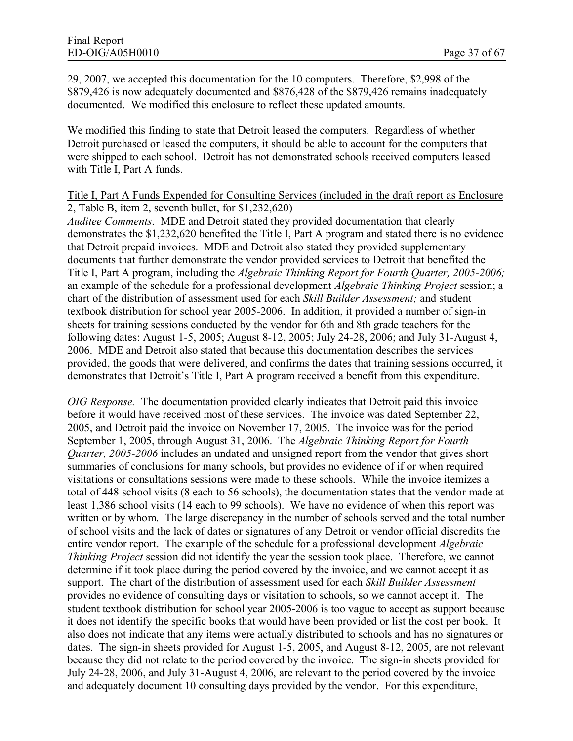29, 2007, we accepted this documentation for the 10 computers. Therefore, \$2,998 of the \$879,426 is now adequately documented and \$876,428 of the \$879,426 remains inadequately documented. We modified this enclosure to reflect these updated amounts.

We modified this finding to state that Detroit leased the computers. Regardless of whether Detroit purchased or leased the computers, it should be able to account for the computers that were shipped to each school. Detroit has not demonstrated schools received computers leased with Title I, Part A funds.

#### Title I, Part A Funds Expended for Consulting Services (included in the draft report as Enclosure 2, Table B, item 2, seventh bullet, for \$1,232,620)

*Auditee Comments*. MDE and Detroit stated they provided documentation that clearly demonstrates the \$1,232,620 benefited the Title I, Part A program and stated there is no evidence that Detroit prepaid invoices. MDE and Detroit also stated they provided supplementary documents that further demonstrate the vendor provided services to Detroit that benefited the Title I, Part A program, including the *Algebraic Thinking Report for Fourth Quarter, 2005-2006;* an example of the schedule for a professional development *Algebraic Thinking Project* session; a chart of the distribution of assessment used for each *Skill Builder Assessment;* and student textbook distribution for school year 2005-2006. In addition, it provided a number of sign-in sheets for training sessions conducted by the vendor for 6th and 8th grade teachers for the following dates: August 1-5, 2005; August 8-12, 2005; July 24-28, 2006; and July 31-August 4, 2006. MDE and Detroit also stated that because this documentation describes the services provided, the goods that were delivered, and confirms the dates that training sessions occurred, it demonstrates that Detroit's Title I, Part A program received a benefit from this expenditure.

*OIG Response.* The documentation provided clearly indicates that Detroit paid this invoice before it would have received most of these services. The invoice was dated September 22, 2005, and Detroit paid the invoice on November 17, 2005. The invoice was for the period September 1, 2005, through August 31, 2006. The *Algebraic Thinking Report for Fourth Quarter, 2005-2006* includes an undated and unsigned report from the vendor that gives short summaries of conclusions for many schools, but provides no evidence of if or when required visitations or consultations sessions were made to these schools. While the invoice itemizes a total of 448 school visits (8 each to 56 schools), the documentation states that the vendor made at least 1,386 school visits (14 each to 99 schools). We have no evidence of when this report was written or by whom. The large discrepancy in the number of schools served and the total number of school visits and the lack of dates or signatures of any Detroit or vendor official discredits the entire vendor report. The example of the schedule for a professional development *Algebraic Thinking Project* session did not identify the year the session took place. Therefore, we cannot determine if it took place during the period covered by the invoice, and we cannot accept it as support. The chart of the distribution of assessment used for each *Skill Builder Assessment* provides no evidence of consulting days or visitation to schools, so we cannot accept it. The student textbook distribution for school year 2005-2006 is too vague to accept as support because it does not identify the specific books that would have been provided or list the cost per book. It also does not indicate that any items were actually distributed to schools and has no signatures or dates. The sign-in sheets provided for August 1-5, 2005, and August 8-12, 2005, are not relevant because they did not relate to the period covered by the invoice. The sign-in sheets provided for July 24-28, 2006, and July 31-August 4, 2006, are relevant to the period covered by the invoice and adequately document 10 consulting days provided by the vendor. For this expenditure,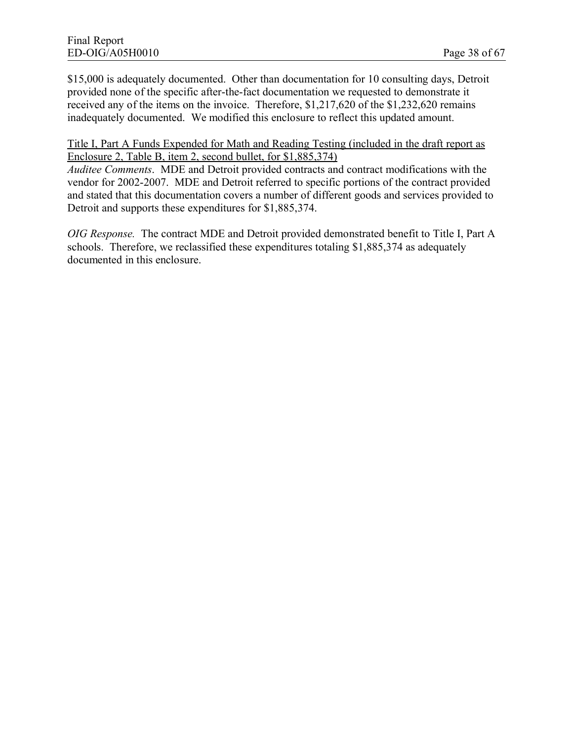\$15,000 is adequately documented. Other than documentation for 10 consulting days, Detroit provided none of the specific after-the-fact documentation we requested to demonstrate it received any of the items on the invoice. Therefore, \$1,217,620 of the \$1,232,620 remains inadequately documented. We modified this enclosure to reflect this updated amount.

#### Title I, Part A Funds Expended for Math and Reading Testing (included in the draft report as Enclosure 2, Table B, item 2, second bullet, for \$1,885,374)

*Auditee Comments*. MDE and Detroit provided contracts and contract modifications with the vendor for 2002-2007. MDE and Detroit referred to specific portions of the contract provided and stated that this documentation covers a number of different goods and services provided to Detroit and supports these expenditures for \$1,885,374.

*OIG Response.* The contract MDE and Detroit provided demonstrated benefit to Title I, Part A schools. Therefore, we reclassified these expenditures totaling \$1,885,374 as adequately documented in this enclosure.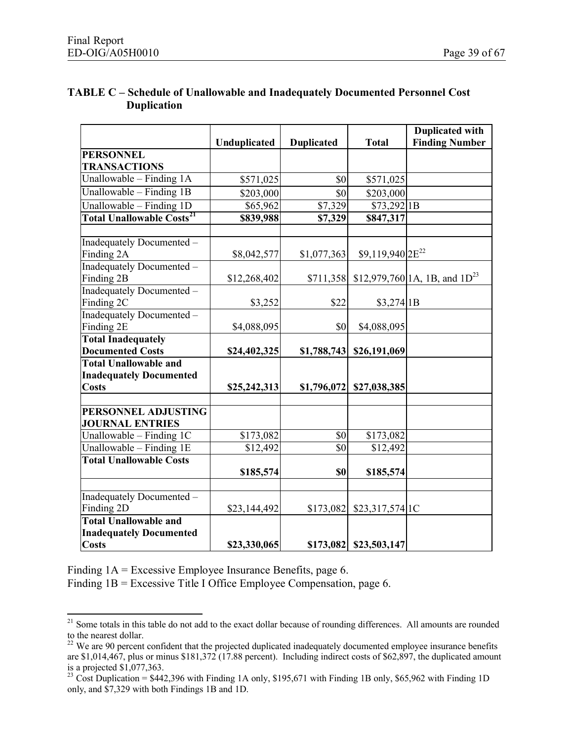|                                             |              |                   |                                         | <b>Duplicated with</b>             |
|---------------------------------------------|--------------|-------------------|-----------------------------------------|------------------------------------|
|                                             | Unduplicated | <b>Duplicated</b> | <b>Total</b>                            | <b>Finding Number</b>              |
| <b>PERSONNEL</b>                            |              |                   |                                         |                                    |
| <b>TRANSACTIONS</b>                         |              |                   |                                         |                                    |
| Unallowable - Finding 1A                    | \$571,025    | \$0               | \$571,025                               |                                    |
| Unallowable - Finding 1B                    | \$203,000    | \$0               | \$203,000                               |                                    |
| Unallowable - Finding 1D                    | \$65,962     | \$7,329           | \$73,292 1B                             |                                    |
| <b>Total Unallowable Costs<sup>21</sup></b> | \$839,988    | \$7,329           | \$847,317                               |                                    |
|                                             |              |                   |                                         |                                    |
| Inadequately Documented -                   |              |                   |                                         |                                    |
| Finding 2A                                  | \$8,042,577  | \$1,077,363       | $$9,119,940$ <sub>2E<sup>22</sup></sub> |                                    |
| Inadequately Documented -                   |              |                   |                                         |                                    |
| Finding 2B                                  | \$12,268,402 | \$711,358         |                                         | \$12,979,760 1A, 1B, and $1D^{23}$ |
| Inadequately Documented -                   |              |                   |                                         |                                    |
| Finding 2C                                  | \$3,252      | \$22              | \$3,274 1B                              |                                    |
| <b>Inadequately Documented -</b>            |              |                   |                                         |                                    |
| Finding 2E                                  | \$4,088,095  | \$0               | \$4,088,095                             |                                    |
| <b>Total Inadequately</b>                   |              |                   |                                         |                                    |
| <b>Documented Costs</b>                     | \$24,402,325 | \$1,788,743       | \$26,191,069                            |                                    |
| <b>Total Unallowable and</b>                |              |                   |                                         |                                    |
| <b>Inadequately Documented</b>              |              |                   |                                         |                                    |
| <b>Costs</b>                                | \$25,242,313 | \$1,796,072       | \$27,038,385                            |                                    |
|                                             |              |                   |                                         |                                    |
| PERSONNEL ADJUSTING                         |              |                   |                                         |                                    |
| <b>JOURNAL ENTRIES</b>                      |              |                   |                                         |                                    |
| Unallowable - Finding 1C                    | \$173,082    | $\overline{\$0}$  | \$173,082                               |                                    |
| Unallowable - Finding 1E                    | \$12,492     | $\overline{\$0}$  | \$12,492                                |                                    |
| <b>Total Unallowable Costs</b>              |              |                   |                                         |                                    |
|                                             | \$185,574    | \$0               | \$185,574                               |                                    |
| Inadequately Documented -                   |              |                   |                                         |                                    |
| Finding 2D                                  | \$23,144,492 | \$173,082         | \$23,317,574 1C                         |                                    |
| <b>Total Unallowable and</b>                |              |                   |                                         |                                    |
| <b>Inadequately Documented</b>              |              |                   |                                         |                                    |
| <b>Costs</b>                                | \$23,330,065 |                   | \$173,082 \$23,503,147                  |                                    |

#### **TABLE C – Schedule of Unallowable and Inadequately Documented Personnel Cost Duplication**

Finding 1A = Excessive Employee Insurance Benefits, page 6.

Finding 1B = Excessive Title I Office Employee Compensation, page 6.

<sup>&</sup>lt;sup>21</sup> Some totals in this table do not add to the exact dollar because of rounding differences. All amounts are rounded to the nearest dollar.

 $22$  We are 90 percent confident that the projected duplicated inadequately documented employee insurance benefits are \$1,014,467, plus or minus \$181,372 (17.88 percent). Including indirect costs of \$62,897, the duplicated amount is a projected \$1,077,363.

<sup>&</sup>lt;sup>23</sup> Cost Duplication =  $$442,396$  with Finding 1A only, \$195,671 with Finding 1B only, \$65,962 with Finding 1D only, and \$7,329 with both Findings 1B and 1D.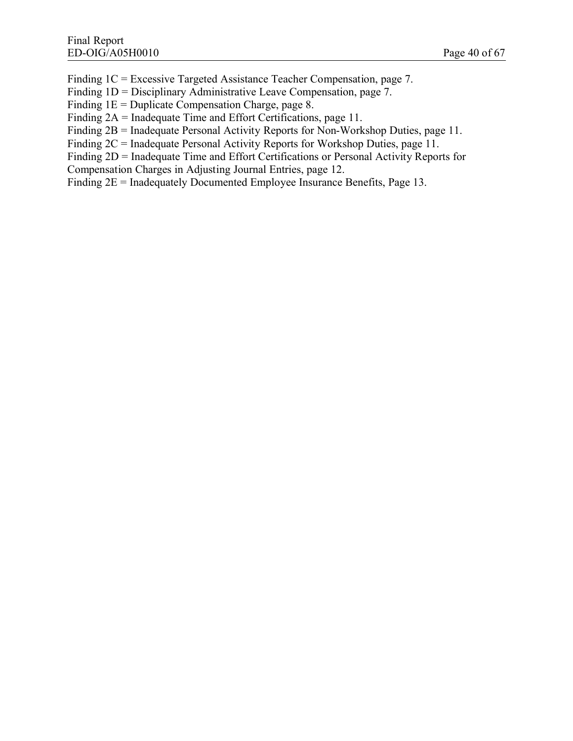Finding 1C = Excessive Targeted Assistance Teacher Compensation, page 7.

Finding 1D = Disciplinary Administrative Leave Compensation, page 7.

Finding  $1E =$  Duplicate Compensation Charge, page 8.

Finding 2A = Inadequate Time and Effort Certifications, page 11.

Finding 2B = Inadequate Personal Activity Reports for Non-Workshop Duties, page 11.

Finding 2C = Inadequate Personal Activity Reports for Workshop Duties, page 11.

Finding 2D = Inadequate Time and Effort Certifications or Personal Activity Reports for

Compensation Charges in Adjusting Journal Entries, page 12.

Finding 2E = Inadequately Documented Employee Insurance Benefits, Page 13.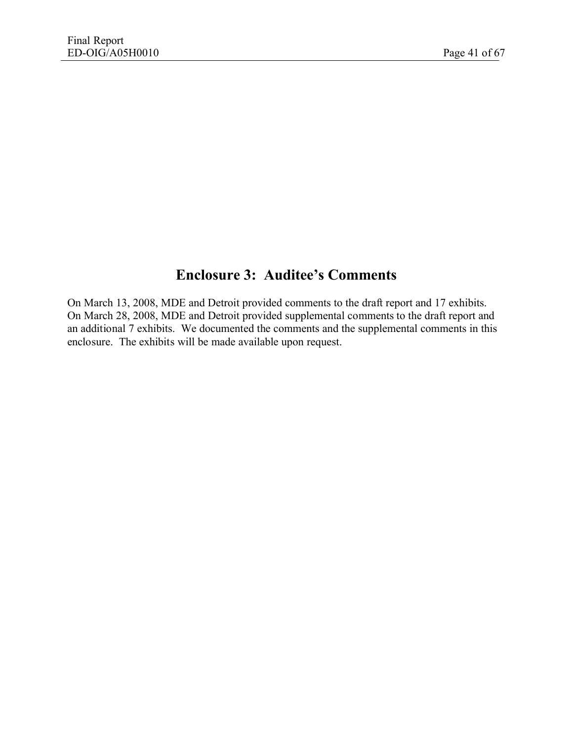# **Enclosure 3: Auditee's Comments**

On March 13, 2008, MDE and Detroit provided comments to the draft report and 17 exhibits. On March 28, 2008, MDE and Detroit provided supplemental comments to the draft report and an additional 7 exhibits. We documented the comments and the supplemental comments in this enclosure. The exhibits will be made available upon request.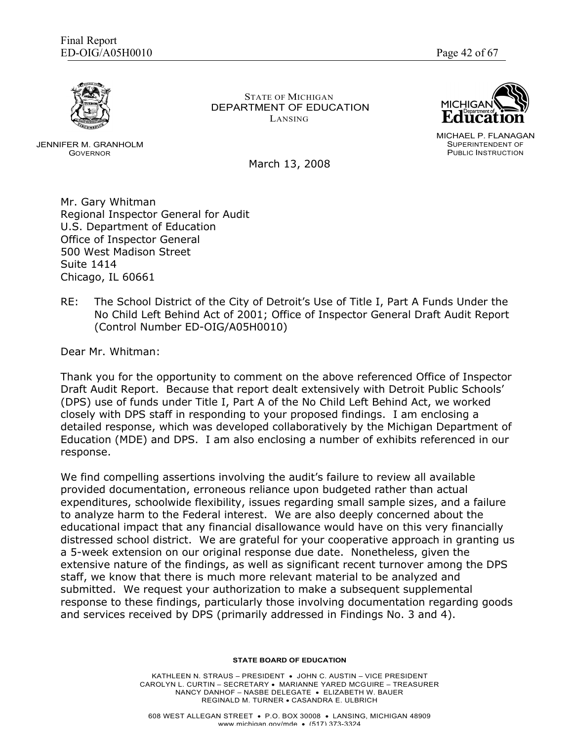

JENNIFER M. GRANHOLM GOVERNOR

STATE OF MICHIGAN DEPARTMENT OF EDUCATION LANSING



MICHAEL P. FLANAGAN SUPERINTENDENT OF PUBLIC INSTRUCTION

March 13, 2008

Mr. Gary Whitman Regional Inspector General for Audit U.S. Department of Education Office of Inspector General 500 West Madison Street Suite 1414 Chicago, IL 60661

RE: The School District of the City of Detroit's Use of Title I, Part A Funds Under the No Child Left Behind Act of 2001; Office of Inspector General Draft Audit Report (Control Number ED-OIG/A05H0010)

Dear Mr. Whitman:

Thank you for the opportunity to comment on the above referenced Office of Inspector Draft Audit Report. Because that report dealt extensively with Detroit Public Schools' (DPS) use of funds under Title I, Part A of the No Child Left Behind Act, we worked closely with DPS staff in responding to your proposed findings. I am enclosing a detailed response, which was developed collaboratively by the Michigan Department of Education (MDE) and DPS. I am also enclosing a number of exhibits referenced in our response.

We find compelling assertions involving the audit's failure to review all available provided documentation, erroneous reliance upon budgeted rather than actual expenditures, schoolwide flexibility, issues regarding small sample sizes, and a failure to analyze harm to the Federal interest. We are also deeply concerned about the educational impact that any financial disallowance would have on this very financially distressed school district. We are grateful for your cooperative approach in granting us a 5-week extension on our original response due date. Nonetheless, given the extensive nature of the findings, as well as significant recent turnover among the DPS staff, we know that there is much more relevant material to be analyzed and submitted. We request your authorization to make a subsequent supplemental response to these findings, particularly those involving documentation regarding goods and services received by DPS (primarily addressed in Findings No. 3 and 4).

**STATE BOARD OF EDUCATION**

KATHLEEN N. STRAUS – PRESIDENT · JOHN C. AUSTIN – VICE PRESIDENT CAROLYN L. CURTIN – SECRETARY · MARIANNE YARED MCGUIRE – TREASURER NANCY DANHOF – NASBE DELEGATE · ELIZABETH W. BAUER REGINALD M. TURNER · CASANDRA E. ULBRICH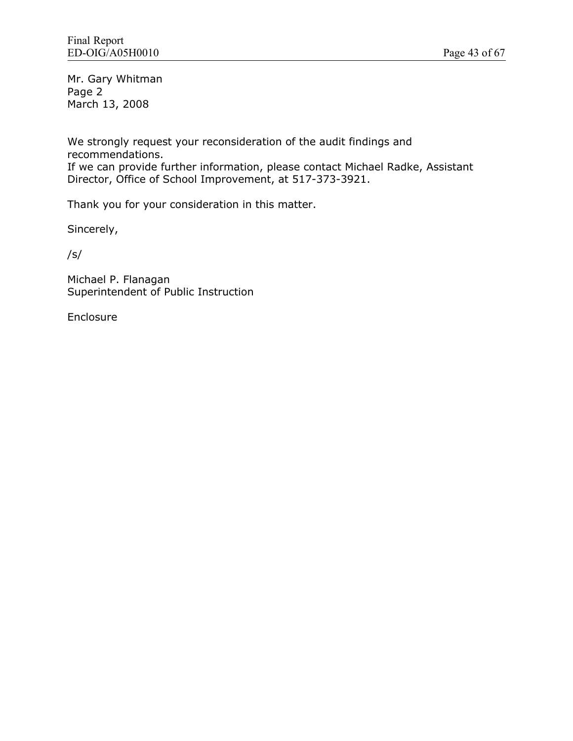Mr. Gary Whitman Page 2 March 13, 2008

We strongly request your reconsideration of the audit findings and recommendations.

If we can provide further information, please contact Michael Radke, Assistant Director, Office of School Improvement, at 517-373-3921.

Thank you for your consideration in this matter.

Sincerely,

/s/

Michael P. Flanagan Superintendent of Public Instruction

Enclosure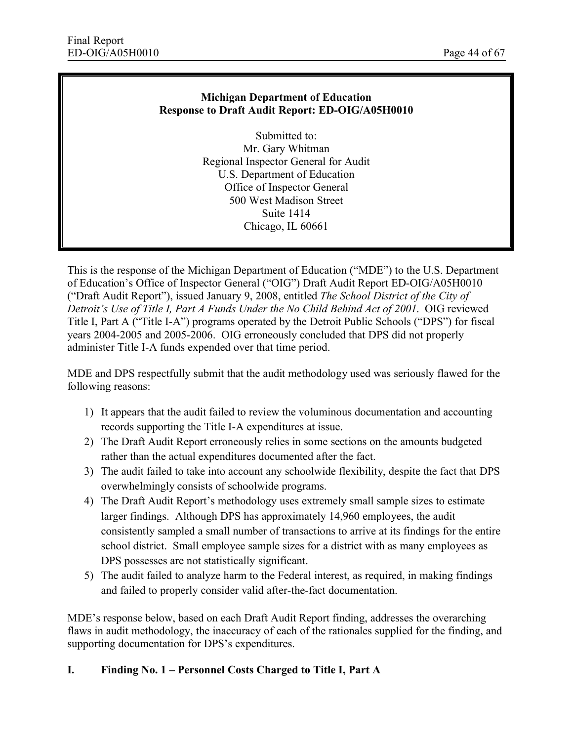#### **Michigan Department of Education Response to Draft Audit Report: ED-OIG/A05H0010**

Submitted to: Mr. Gary Whitman Regional Inspector General for Audit U.S. Department of Education Office of Inspector General 500 West Madison Street Suite 1414 Chicago, IL 60661

This is the response of the Michigan Department of Education ("MDE") to the U.S. Department of Education's Office of Inspector General ("OIG") Draft Audit Report ED-OIG/A05H0010 ("Draft Audit Report"), issued January 9, 2008, entitled *The School District of the City of Detroit's Use of Title I, Part A Funds Under the No Child Behind Act of 2001*. OIG reviewed Title I, Part A ("Title I-A") programs operated by the Detroit Public Schools ("DPS") for fiscal years 2004-2005 and 2005-2006. OIG erroneously concluded that DPS did not properly administer Title I-A funds expended over that time period.

MDE and DPS respectfully submit that the audit methodology used was seriously flawed for the following reasons:

- 1) It appears that the audit failed to review the voluminous documentation and accounting records supporting the Title I-A expenditures at issue.
- 2) The Draft Audit Report erroneously relies in some sections on the amounts budgeted rather than the actual expenditures documented after the fact.
- 3) The audit failed to take into account any schoolwide flexibility, despite the fact that DPS overwhelmingly consists of schoolwide programs.
- 4) The Draft Audit Report's methodology uses extremely small sample sizes to estimate larger findings. Although DPS has approximately 14,960 employees, the audit consistently sampled a small number of transactions to arrive at its findings for the entire school district. Small employee sample sizes for a district with as many employees as DPS possesses are not statistically significant.
- 5) The audit failed to analyze harm to the Federal interest, as required, in making findings and failed to properly consider valid after-the-fact documentation.

MDE's response below, based on each Draft Audit Report finding, addresses the overarching flaws in audit methodology, the inaccuracy of each of the rationales supplied for the finding, and supporting documentation for DPS's expenditures.

#### **I. Finding No. 1 – Personnel Costs Charged to Title I, Part A**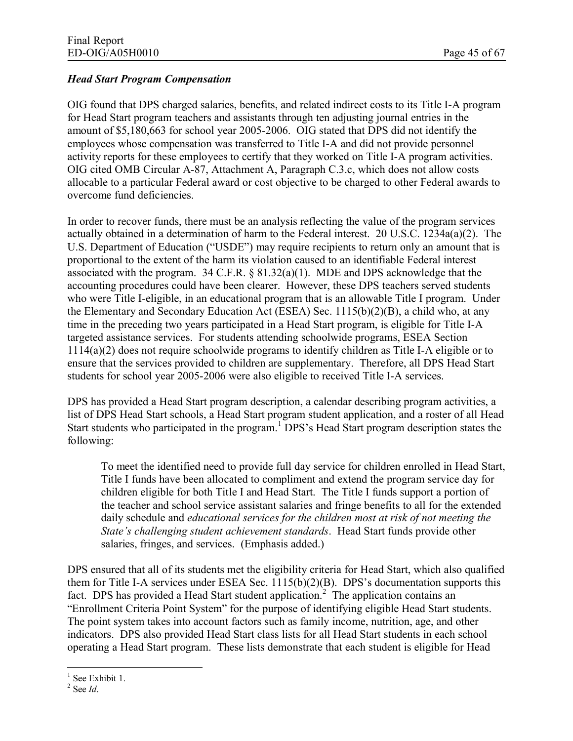#### *Head Start Program Compensation*

OIG found that DPS charged salaries, benefits, and related indirect costs to its Title I-A program for Head Start program teachers and assistants through ten adjusting journal entries in the amount of \$5,180,663 for school year 2005-2006. OIG stated that DPS did not identify the employees whose compensation was transferred to Title I-A and did not provide personnel activity reports for these employees to certify that they worked on Title I-A program activities. OIG cited OMB Circular A-87, Attachment A, Paragraph C.3.c, which does not allow costs allocable to a particular Federal award or cost objective to be charged to other Federal awards to overcome fund deficiencies.

In order to recover funds, there must be an analysis reflecting the value of the program services actually obtained in a determination of harm to the Federal interest. 20 U.S.C. 1234a(a)(2). The U.S. Department of Education ("USDE") may require recipients to return only an amount that is proportional to the extent of the harm its violation caused to an identifiable Federal interest associated with the program. 34 C.F.R. § 81.32(a)(1). MDE and DPS acknowledge that the accounting procedures could have been clearer. However, these DPS teachers served students who were Title I-eligible, in an educational program that is an allowable Title I program. Under the Elementary and Secondary Education Act (ESEA) Sec. 1115(b)(2)(B), a child who, at any time in the preceding two years participated in a Head Start program, is eligible for Title I-A targeted assistance services. For students attending schoolwide programs, ESEA Section 1114(a)(2) does not require schoolwide programs to identify children as Title I-A eligible or to ensure that the services provided to children are supplementary. Therefore, all DPS Head Start students for school year 2005-2006 were also eligible to received Title I-A services.

DPS has provided a Head Start program description, a calendar describing program activities, a list of DPS Head Start schools, a Head Start program student application, and a roster of all Head Start students who participated in the program.<sup>1</sup> DPS's Head Start program description states the following:

To meet the identified need to provide full day service for children enrolled in Head Start, Title I funds have been allocated to compliment and extend the program service day for children eligible for both Title I and Head Start. The Title I funds support a portion of the teacher and school service assistant salaries and fringe benefits to all for the extended daily schedule and *educational services for the children most at risk of not meeting the State's challenging student achievement standards*. Head Start funds provide other salaries, fringes, and services. (Emphasis added.)

DPS ensured that all of its students met the eligibility criteria for Head Start, which also qualified them for Title I-A services under ESEA Sec. 1115(b)(2)(B). DPS's documentation supports this fact. DPS has provided a Head Start student application.<sup>2</sup> The application contains an "Enrollment Criteria Point System" for the purpose of identifying eligible Head Start students. The point system takes into account factors such as family income, nutrition, age, and other indicators. DPS also provided Head Start class lists for all Head Start students in each school operating a Head Start program. These lists demonstrate that each student is eligible for Head

<sup>&</sup>lt;sup>1</sup> See Exhibit 1.

<sup>2</sup> See *Id*.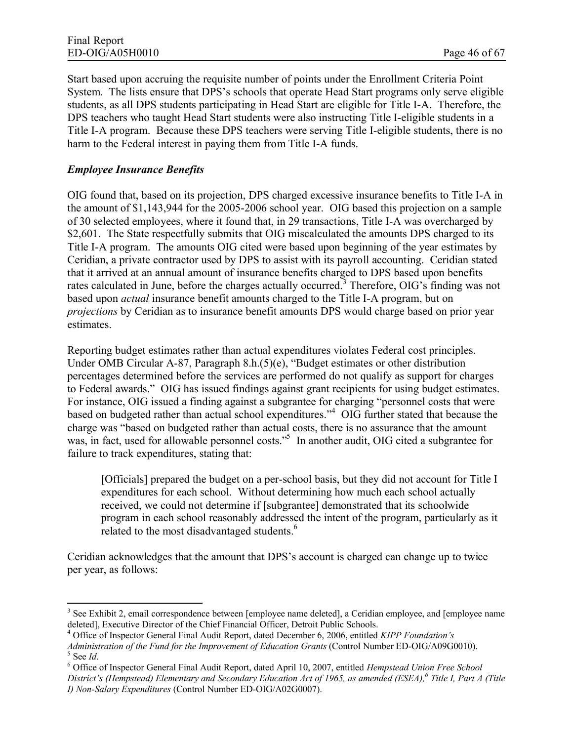Start based upon accruing the requisite number of points under the Enrollment Criteria Point System. The lists ensure that DPS's schools that operate Head Start programs only serve eligible students, as all DPS students participating in Head Start are eligible for Title I-A. Therefore, the DPS teachers who taught Head Start students were also instructing Title I-eligible students in a Title I-A program. Because these DPS teachers were serving Title I-eligible students, there is no harm to the Federal interest in paying them from Title I-A funds.

### *Employee Insurance Benefits*

OIG found that, based on its projection, DPS charged excessive insurance benefits to Title I-A in the amount of \$1,143,944 for the 2005-2006 school year. OIG based this projection on a sample of 30 selected employees, where it found that, in 29 transactions, Title I-A was overcharged by \$2,601. The State respectfully submits that OIG miscalculated the amounts DPS charged to its Title I-A program. The amounts OIG cited were based upon beginning of the year estimates by Ceridian, a private contractor used by DPS to assist with its payroll accounting. Ceridian stated that it arrived at an annual amount of insurance benefits charged to DPS based upon benefits rates calculated in June, before the charges actually occurred.<sup>3</sup> Therefore, OIG's finding was not based upon *actual* insurance benefit amounts charged to the Title I-A program, but on *projections* by Ceridian as to insurance benefit amounts DPS would charge based on prior year estimates.

Reporting budget estimates rather than actual expenditures violates Federal cost principles. Under OMB Circular A-87, Paragraph 8.h.(5)(e), "Budget estimates or other distribution percentages determined before the services are performed do not qualify as support for charges to Federal awards." OIG has issued findings against grant recipients for using budget estimates. For instance, OIG issued a finding against a subgrantee for charging "personnel costs that were based on budgeted rather than actual school expenditures."<sup>4</sup> OIG further stated that because the charge was "based on budgeted rather than actual costs, there is no assurance that the amount was, in fact, used for allowable personnel costs."<sup>5</sup> In another audit, OIG cited a subgrantee for failure to track expenditures, stating that:

[Officials] prepared the budget on a per-school basis, but they did not account for Title I expenditures for each school. Without determining how much each school actually received, we could not determine if [subgrantee] demonstrated that its schoolwide program in each school reasonably addressed the intent of the program, particularly as it related to the most disadvantaged students. $<sup>6</sup>$ </sup>

Ceridian acknowledges that the amount that DPS's account is charged can change up to twice per year, as follows:

<sup>&</sup>lt;sup>3</sup> See Exhibit 2, email correspondence between [employee name deleted], a Ceridian employee, and [employee name deleted], Executive Director of the Chief Financial Officer, Detroit Public Schools.

<sup>4</sup> Office of Inspector General Final Audit Report, dated December 6, 2006, entitled *KIPP Foundation's* 

*Administration of the Fund for the Improvement of Education Grants* (Control Number ED-OIG/A09G0010). 5 See *Id*.

<sup>6</sup> Office of Inspector General Final Audit Report, dated April 10, 2007, entitled *Hempstead Union Free School District's (Hempstead) Elementary and Secondary Education Act of 1965, as amended (ESEA),<sup>6</sup> Title I, Part A (Title I) Non-Salary Expenditures* (Control Number ED-OIG/A02G0007).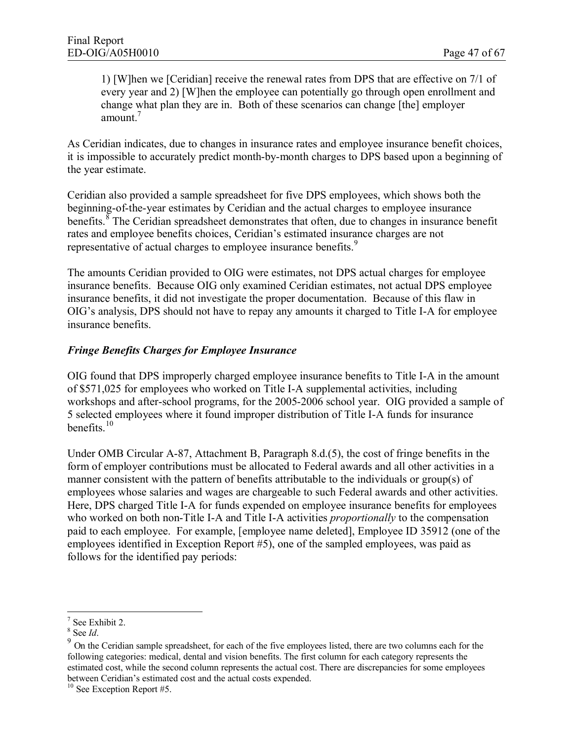1) [W]hen we [Ceridian] receive the renewal rates from DPS that are effective on 7/1 of every year and 2) [W]hen the employee can potentially go through open enrollment and change what plan they are in. Both of these scenarios can change [the] employer amount.<sup>7</sup>

As Ceridian indicates, due to changes in insurance rates and employee insurance benefit choices, it is impossible to accurately predict month-by-month charges to DPS based upon a beginning of the year estimate.

Ceridian also provided a sample spreadsheet for five DPS employees, which shows both the beginning-of-the-year estimates by Ceridian and the actual charges to employee insurance benefits.  $\delta$  The Ceridian spreadsheet demonstrates that often, due to changes in insurance benefit rates and employee benefits choices, Ceridian's estimated insurance charges are not representative of actual charges to employee insurance benefits.<sup>9</sup>

The amounts Ceridian provided to OIG were estimates, not DPS actual charges for employee insurance benefits. Because OIG only examined Ceridian estimates, not actual DPS employee insurance benefits, it did not investigate the proper documentation. Because of this flaw in OIG's analysis, DPS should not have to repay any amounts it charged to Title I-A for employee insurance benefits.

#### *Fringe Benefits Charges for Employee Insurance*

OIG found that DPS improperly charged employee insurance benefits to Title I-A in the amount of \$571,025 for employees who worked on Title I-A supplemental activities, including workshops and after-school programs, for the 2005-2006 school year. OIG provided a sample of 5 selected employees where it found improper distribution of Title I-A funds for insurance benefits.<sup>10</sup>

Under OMB Circular A-87, Attachment B, Paragraph 8.d.(5), the cost of fringe benefits in the form of employer contributions must be allocated to Federal awards and all other activities in a manner consistent with the pattern of benefits attributable to the individuals or group(s) of employees whose salaries and wages are chargeable to such Federal awards and other activities. Here, DPS charged Title I-A for funds expended on employee insurance benefits for employees who worked on both non-Title I-A and Title I-A activities *proportionally* to the compensation paid to each employee. For example, [employee name deleted], Employee ID 35912 (one of the employees identified in Exception Report #5), one of the sampled employees, was paid as follows for the identified pay periods:

<sup>7</sup> See Exhibit 2.

<sup>8</sup> See *Id*.

<sup>&</sup>lt;sup>9</sup> On the Ceridian sample spreadsheet, for each of the five employees listed, there are two columns each for the following categories: medical, dental and vision benefits. The first column for each category represents the estimated cost, while the second column represents the actual cost. There are discrepancies for some employees between Ceridian's estimated cost and the actual costs expended.

<sup>&</sup>lt;sup>10</sup> See Exception Report #5.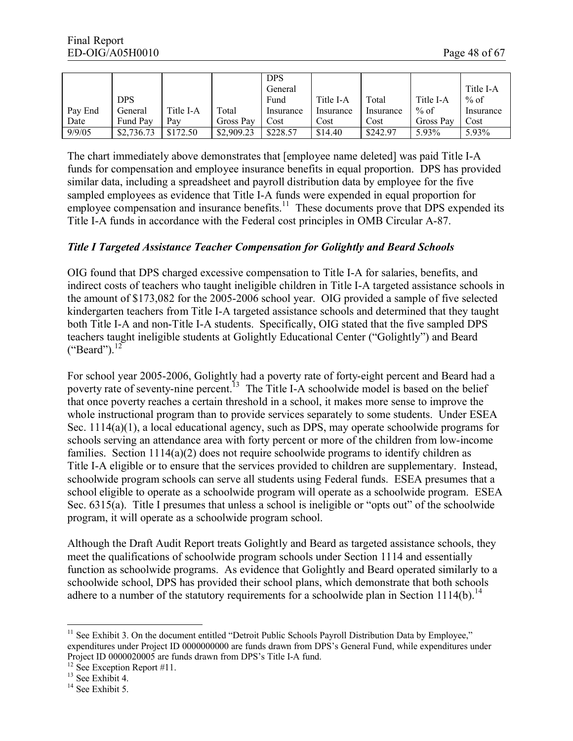|         |            |           |            | <b>DPS</b> |           |           |           |           |
|---------|------------|-----------|------------|------------|-----------|-----------|-----------|-----------|
|         |            |           |            | General    |           |           |           | Title I-A |
|         | <b>DPS</b> |           |            | Fund       | Title I-A | Total     | Title I-A | $%$ of    |
| Pay End | General    | Title I-A | Total      | Insurance  | Insurance | Insurance | $%$ of    | Insurance |
| Date    | Fund Pay   | Pav       | Gross Pay  | Cost       | Cost      | Cost      | Gross Pay | Cost      |
| 9/9/05  | \$2,736.73 | \$172.50  | \$2,909.23 | \$228.57   | \$14.40   | \$242.97  | 5.93%     | 5.93%     |

The chart immediately above demonstrates that [employee name deleted] was paid Title I-A funds for compensation and employee insurance benefits in equal proportion. DPS has provided similar data, including a spreadsheet and payroll distribution data by employee for the five sampled employees as evidence that Title I-A funds were expended in equal proportion for employee compensation and insurance benefits.<sup>11</sup> These documents prove that DPS expended its Title I-A funds in accordance with the Federal cost principles in OMB Circular A-87.

#### *Title I Targeted Assistance Teacher Compensation for Golightly and Beard Schools*

OIG found that DPS charged excessive compensation to Title I-A for salaries, benefits, and indirect costs of teachers who taught ineligible children in Title I-A targeted assistance schools in the amount of \$173,082 for the 2005-2006 school year. OIG provided a sample of five selected kindergarten teachers from Title I-A targeted assistance schools and determined that they taught both Title I-A and non-Title I-A students. Specifically, OIG stated that the five sampled DPS teachers taught ineligible students at Golightly Educational Center ("Golightly") and Beard  $("Beard")$ <sup>12</sup>

For school year 2005-2006, Golightly had a poverty rate of forty-eight percent and Beard had a poverty rate of seventy-nine percent.<sup>13</sup> The Title I-A schoolwide model is based on the belief that once poverty reaches a certain threshold in a school, it makes more sense to improve the whole instructional program than to provide services separately to some students. Under ESEA Sec. 1114(a)(1), a local educational agency, such as DPS, may operate schoolwide programs for schools serving an attendance area with forty percent or more of the children from low-income families. Section 1114(a)(2) does not require schoolwide programs to identify children as Title I-A eligible or to ensure that the services provided to children are supplementary. Instead, schoolwide program schools can serve all students using Federal funds. ESEA presumes that a school eligible to operate as a schoolwide program will operate as a schoolwide program. ESEA Sec. 6315(a). Title I presumes that unless a school is ineligible or "opts out" of the schoolwide program, it will operate as a schoolwide program school.

Although the Draft Audit Report treats Golightly and Beard as targeted assistance schools, they meet the qualifications of schoolwide program schools under Section 1114 and essentially function as schoolwide programs. As evidence that Golightly and Beard operated similarly to a schoolwide school, DPS has provided their school plans, which demonstrate that both schools adhere to a number of the statutory requirements for a schoolwide plan in Section 1114(b).<sup>14</sup>

 $11$  See Exhibit 3. On the document entitled "Detroit Public Schools Payroll Distribution Data by Employee," expenditures under Project ID 0000000000 are funds drawn from DPS's General Fund, while expenditures under Project ID 0000020005 are funds drawn from DPS's Title I-A fund.

<sup>&</sup>lt;sup>12</sup> See Exception Report #11.

<sup>&</sup>lt;sup>13</sup> See Exhibit 4.

<sup>&</sup>lt;sup>14</sup> See Exhibit 5.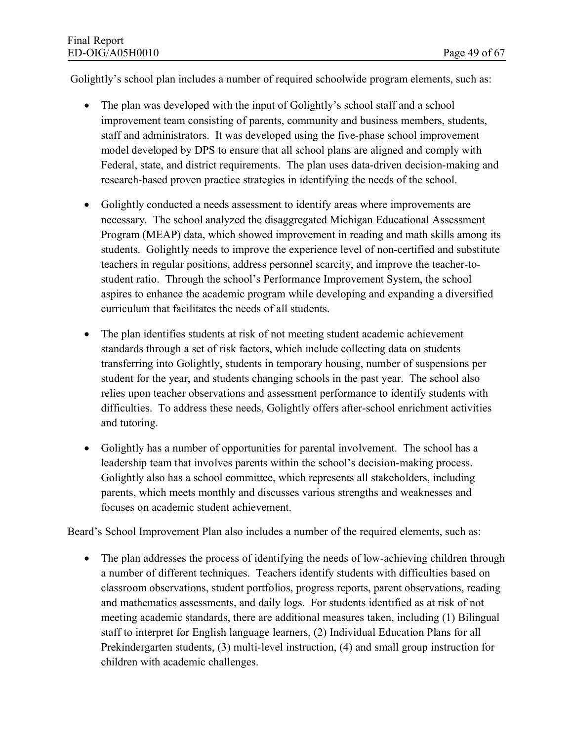Golightly's school plan includes a number of required schoolwide program elements, such as:

- The plan was developed with the input of Golightly's school staff and a school improvement team consisting of parents, community and business members, students, staff and administrators. It was developed using the five-phase school improvement model developed by DPS to ensure that all school plans are aligned and comply with Federal, state, and district requirements. The plan uses data-driven decision-making and research-based proven practice strategies in identifying the needs of the school.
- · Golightly conducted a needs assessment to identify areas where improvements are necessary. The school analyzed the disaggregated Michigan Educational Assessment Program (MEAP) data, which showed improvement in reading and math skills among its students. Golightly needs to improve the experience level of non-certified and substitute teachers in regular positions, address personnel scarcity, and improve the teacher-tostudent ratio. Through the school's Performance Improvement System, the school aspires to enhance the academic program while developing and expanding a diversified curriculum that facilitates the needs of all students.
- The plan identifies students at risk of not meeting student academic achievement standards through a set of risk factors, which include collecting data on students transferring into Golightly, students in temporary housing, number of suspensions per student for the year, and students changing schools in the past year. The school also relies upon teacher observations and assessment performance to identify students with difficulties. To address these needs, Golightly offers after-school enrichment activities and tutoring.
- · Golightly has a number of opportunities for parental involvement. The school has a leadership team that involves parents within the school's decision-making process. Golightly also has a school committee, which represents all stakeholders, including parents, which meets monthly and discusses various strengths and weaknesses and focuses on academic student achievement.

Beard's School Improvement Plan also includes a number of the required elements, such as:

• The plan addresses the process of identifying the needs of low-achieving children through a number of different techniques. Teachers identify students with difficulties based on classroom observations, student portfolios, progress reports, parent observations, reading and mathematics assessments, and daily logs. For students identified as at risk of not meeting academic standards, there are additional measures taken, including (1) Bilingual staff to interpret for English language learners, (2) Individual Education Plans for all Prekindergarten students, (3) multi-level instruction, (4) and small group instruction for children with academic challenges.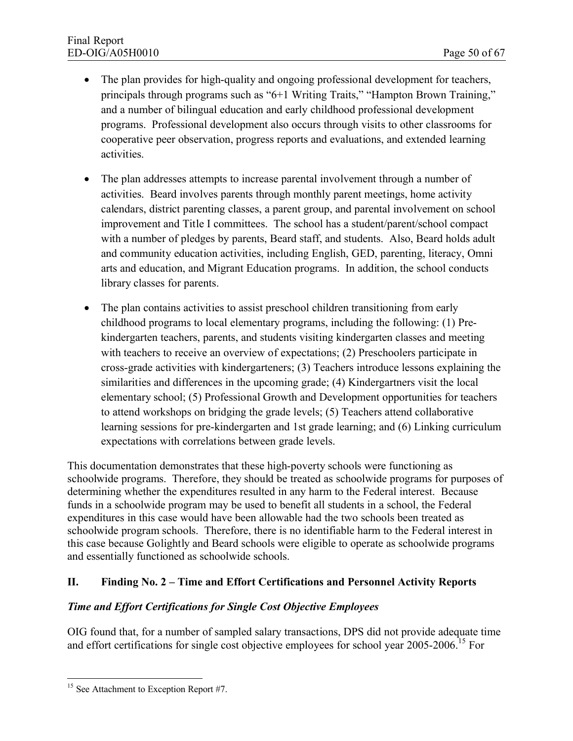- The plan provides for high-quality and ongoing professional development for teachers, principals through programs such as "6+1 Writing Traits," "Hampton Brown Training," and a number of bilingual education and early childhood professional development programs. Professional development also occurs through visits to other classrooms for cooperative peer observation, progress reports and evaluations, and extended learning activities.
- · The plan addresses attempts to increase parental involvement through a number of activities. Beard involves parents through monthly parent meetings, home activity calendars, district parenting classes, a parent group, and parental involvement on school improvement and Title I committees. The school has a student/parent/school compact with a number of pledges by parents, Beard staff, and students. Also, Beard holds adult and community education activities, including English, GED, parenting, literacy, Omni arts and education, and Migrant Education programs. In addition, the school conducts library classes for parents.
- The plan contains activities to assist preschool children transitioning from early childhood programs to local elementary programs, including the following: (1) Prekindergarten teachers, parents, and students visiting kindergarten classes and meeting with teachers to receive an overview of expectations; (2) Preschoolers participate in cross-grade activities with kindergarteners; (3) Teachers introduce lessons explaining the similarities and differences in the upcoming grade; (4) Kindergartners visit the local elementary school; (5) Professional Growth and Development opportunities for teachers to attend workshops on bridging the grade levels; (5) Teachers attend collaborative learning sessions for pre-kindergarten and 1st grade learning; and (6) Linking curriculum expectations with correlations between grade levels.

This documentation demonstrates that these high-poverty schools were functioning as schoolwide programs. Therefore, they should be treated as schoolwide programs for purposes of determining whether the expenditures resulted in any harm to the Federal interest. Because funds in a schoolwide program may be used to benefit all students in a school, the Federal expenditures in this case would have been allowable had the two schools been treated as schoolwide program schools. Therefore, there is no identifiable harm to the Federal interest in this case because Golightly and Beard schools were eligible to operate as schoolwide programs and essentially functioned as schoolwide schools.

# **II. Finding No. 2 – Time and Effort Certifications and Personnel Activity Reports**

#### *Time and Effort Certifications for Single Cost Objective Employees*

OIG found that, for a number of sampled salary transactions, DPS did not provide adequate time and effort certifications for single cost objective employees for school year 2005-2006.<sup>15</sup> For

<sup>&</sup>lt;sup>15</sup> See Attachment to Exception Report #7.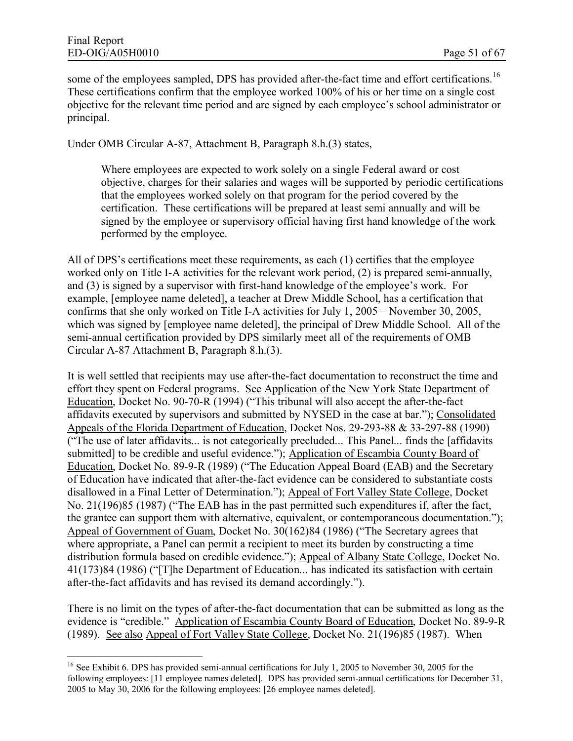some of the employees sampled, DPS has provided after-the-fact time and effort certifications.<sup>16</sup> These certifications confirm that the employee worked 100% of his or her time on a single cost objective for the relevant time period and are signed by each employee's school administrator or principal.

Under OMB Circular A-87, Attachment B, Paragraph 8.h.(3) states,

Where employees are expected to work solely on a single Federal award or cost objective, charges for their salaries and wages will be supported by periodic certifications that the employees worked solely on that program for the period covered by the certification. These certifications will be prepared at least semi annually and will be signed by the employee or supervisory official having first hand knowledge of the work performed by the employee.

All of DPS's certifications meet these requirements, as each (1) certifies that the employee worked only on Title I-A activities for the relevant work period, (2) is prepared semi-annually, and (3) is signed by a supervisor with first-hand knowledge of the employee's work. For example, [employee name deleted], a teacher at Drew Middle School, has a certification that confirms that she only worked on Title I-A activities for July 1, 2005 – November 30, 2005, which was signed by [employee name deleted], the principal of Drew Middle School. All of the semi-annual certification provided by DPS similarly meet all of the requirements of OMB Circular A-87 Attachment B, Paragraph 8.h.(3).

It is well settled that recipients may use after-the-fact documentation to reconstruct the time and effort they spent on Federal programs. See Application of the New York State Department of Education, Docket No. 90-70-R (1994) ("This tribunal will also accept the after-the-fact affidavits executed by supervisors and submitted by NYSED in the case at bar."); Consolidated Appeals of the Florida Department of Education, Docket Nos. 29-293-88 & 33-297-88 (1990) ("The use of later affidavits... is not categorically precluded... This Panel... finds the [affidavits submitted] to be credible and useful evidence."); Application of Escambia County Board of Education, Docket No. 89-9-R (1989) ("The Education Appeal Board (EAB) and the Secretary of Education have indicated that after-the-fact evidence can be considered to substantiate costs disallowed in a Final Letter of Determination."); Appeal of Fort Valley State College, Docket No. 21(196)85 (1987) ("The EAB has in the past permitted such expenditures if, after the fact, the grantee can support them with alternative, equivalent, or contemporaneous documentation."); Appeal of Government of Guam, Docket No. 30(162)84 (1986) ("The Secretary agrees that where appropriate, a Panel can permit a recipient to meet its burden by constructing a time distribution formula based on credible evidence."); Appeal of Albany State College, Docket No. 41(173)84 (1986) ("[T]he Department of Education... has indicated its satisfaction with certain after-the-fact affidavits and has revised its demand accordingly.").

There is no limit on the types of after-the-fact documentation that can be submitted as long as the evidence is "credible." Application of Escambia County Board of Education, Docket No. 89-9-R (1989). See also Appeal of Fort Valley State College, Docket No. 21(196)85 (1987). When

<sup>&</sup>lt;sup>16</sup> See Exhibit 6. DPS has provided semi-annual certifications for July 1, 2005 to November 30, 2005 for the following employees: [11 employee names deleted]. DPS has provided semi-annual certifications for December 31, 2005 to May 30, 2006 for the following employees: [26 employee names deleted].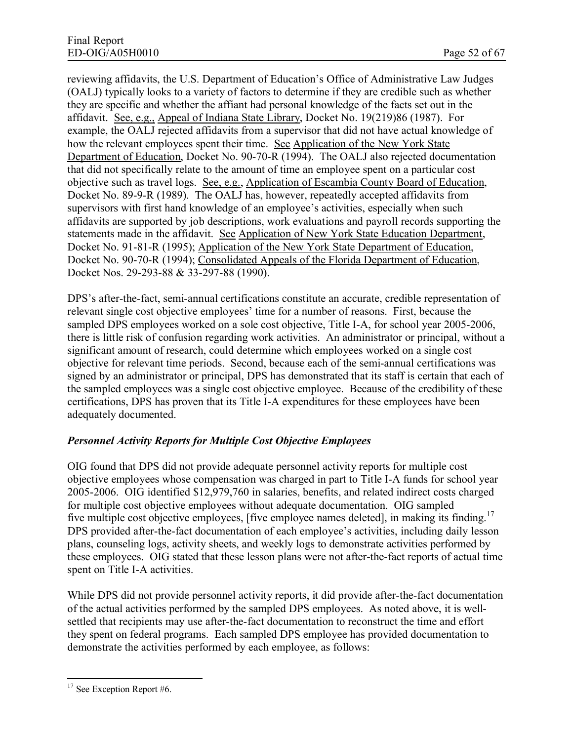reviewing affidavits, the U.S. Department of Education's Office of Administrative Law Judges (OALJ) typically looks to a variety of factors to determine if they are credible such as whether they are specific and whether the affiant had personal knowledge of the facts set out in the affidavit. See, e.g., Appeal of Indiana State Library, Docket No. 19(219)86 (1987). For example, the OALJ rejected affidavits from a supervisor that did not have actual knowledge of how the relevant employees spent their time. See Application of the New York State Department of Education, Docket No. 90-70-R (1994). The OALJ also rejected documentation that did not specifically relate to the amount of time an employee spent on a particular cost objective such as travel logs. See, e.g., Application of Escambia County Board of Education, Docket No. 89-9-R (1989). The OALJ has, however, repeatedly accepted affidavits from supervisors with first hand knowledge of an employee's activities, especially when such affidavits are supported by job descriptions, work evaluations and payroll records supporting the statements made in the affidavit. See Application of New York State Education Department, Docket No. 91-81-R (1995); Application of the New York State Department of Education, Docket No. 90-70-R (1994); Consolidated Appeals of the Florida Department of Education, Docket Nos. 29-293-88 & 33-297-88 (1990).

DPS's after-the-fact, semi-annual certifications constitute an accurate, credible representation of relevant single cost objective employees' time for a number of reasons. First, because the sampled DPS employees worked on a sole cost objective, Title I-A, for school year 2005-2006, there is little risk of confusion regarding work activities. An administrator or principal, without a significant amount of research, could determine which employees worked on a single cost objective for relevant time periods. Second, because each of the semi-annual certifications was signed by an administrator or principal, DPS has demonstrated that its staff is certain that each of the sampled employees was a single cost objective employee. Because of the credibility of these certifications, DPS has proven that its Title I-A expenditures for these employees have been adequately documented.

# *Personnel Activity Reports for Multiple Cost Objective Employees*

OIG found that DPS did not provide adequate personnel activity reports for multiple cost objective employees whose compensation was charged in part to Title I-A funds for school year 2005-2006. OIG identified \$12,979,760 in salaries, benefits, and related indirect costs charged for multiple cost objective employees without adequate documentation. OIG sampled five multiple cost objective employees. [five employee names deleted], in making its finding.<sup>17</sup> DPS provided after-the-fact documentation of each employee's activities, including daily lesson plans, counseling logs, activity sheets, and weekly logs to demonstrate activities performed by these employees. OIG stated that these lesson plans were not after-the-fact reports of actual time spent on Title I-A activities.

While DPS did not provide personnel activity reports, it did provide after-the-fact documentation of the actual activities performed by the sampled DPS employees. As noted above, it is wellsettled that recipients may use after-the-fact documentation to reconstruct the time and effort they spent on federal programs. Each sampled DPS employee has provided documentation to demonstrate the activities performed by each employee, as follows:

<sup>&</sup>lt;sup>17</sup> See Exception Report #6.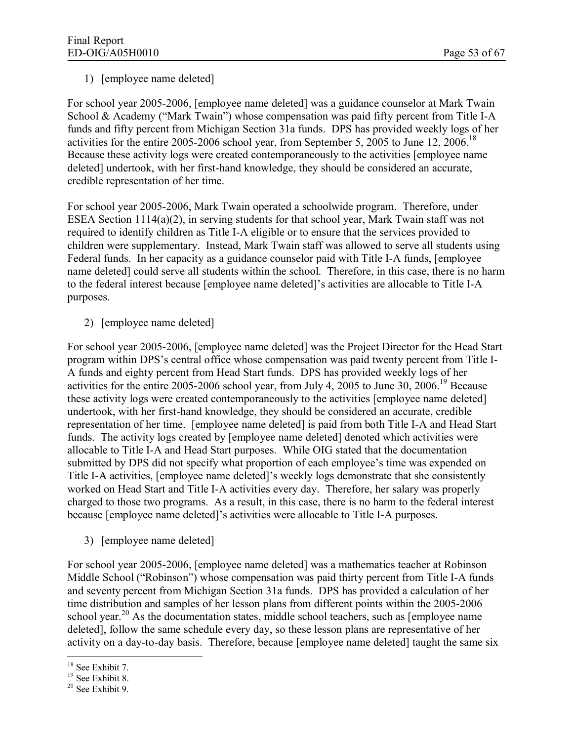#### 1) [employee name deleted]

For school year 2005-2006, [employee name deleted] was a guidance counselor at Mark Twain School & Academy ("Mark Twain") whose compensation was paid fifty percent from Title I-A funds and fifty percent from Michigan Section 31a funds. DPS has provided weekly logs of her activities for the entire 2005-2006 school year, from September 5, 2005 to June 12, 2006.<sup>18</sup> Because these activity logs were created contemporaneously to the activities [employee name deleted] undertook, with her first-hand knowledge, they should be considered an accurate, credible representation of her time.

For school year 2005-2006, Mark Twain operated a schoolwide program. Therefore, under ESEA Section 1114(a)(2), in serving students for that school year, Mark Twain staff was not required to identify children as Title I-A eligible or to ensure that the services provided to children were supplementary. Instead, Mark Twain staff was allowed to serve all students using Federal funds. In her capacity as a guidance counselor paid with Title I-A funds, [employee name deleted] could serve all students within the school. Therefore, in this case, there is no harm to the federal interest because [employee name deleted]'s activities are allocable to Title I-A purposes.

2) [employee name deleted]

For school year 2005-2006, [employee name deleted] was the Project Director for the Head Start program within DPS's central office whose compensation was paid twenty percent from Title I-A funds and eighty percent from Head Start funds. DPS has provided weekly logs of her activities for the entire 2005-2006 school year, from July 4, 2005 to June 30, 2006.<sup>19</sup> Because these activity logs were created contemporaneously to the activities [employee name deleted] undertook, with her first-hand knowledge, they should be considered an accurate, credible representation of her time. [employee name deleted] is paid from both Title I-A and Head Start funds. The activity logs created by [employee name deleted] denoted which activities were allocable to Title I-A and Head Start purposes. While OIG stated that the documentation submitted by DPS did not specify what proportion of each employee's time was expended on Title I-A activities, [employee name deleted]'s weekly logs demonstrate that she consistently worked on Head Start and Title I-A activities every day. Therefore, her salary was properly charged to those two programs. As a result, in this case, there is no harm to the federal interest because [employee name deleted]'s activities were allocable to Title I-A purposes.

3) [employee name deleted]

For school year 2005-2006, [employee name deleted] was a mathematics teacher at Robinson Middle School ("Robinson") whose compensation was paid thirty percent from Title I-A funds and seventy percent from Michigan Section 31a funds. DPS has provided a calculation of her time distribution and samples of her lesson plans from different points within the 2005-2006 school year.<sup>20</sup> As the documentation states, middle school teachers, such as [employee name deleted], follow the same schedule every day, so these lesson plans are representative of her activity on a day-to-day basis. Therefore, because [employee name deleted] taught the same six

<sup>&</sup>lt;sup>18</sup> See Exhibit 7.

 $19$  See Exhibit 8.

<sup>20</sup> See Exhibit 9.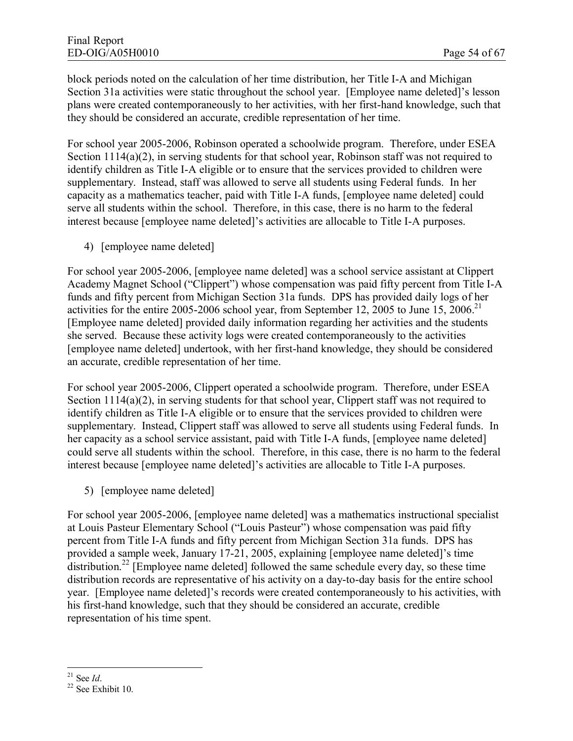block periods noted on the calculation of her time distribution, her Title I-A and Michigan Section 31a activities were static throughout the school year. [Employee name deleted]'s lesson plans were created contemporaneously to her activities, with her first-hand knowledge, such that they should be considered an accurate, credible representation of her time.

For school year 2005-2006, Robinson operated a schoolwide program. Therefore, under ESEA Section 1114(a)(2), in serving students for that school year, Robinson staff was not required to identify children as Title I-A eligible or to ensure that the services provided to children were supplementary. Instead, staff was allowed to serve all students using Federal funds. In her capacity as a mathematics teacher, paid with Title I-A funds, [employee name deleted] could serve all students within the school. Therefore, in this case, there is no harm to the federal interest because [employee name deleted]'s activities are allocable to Title I-A purposes.

4) [employee name deleted]

For school year 2005-2006, [employee name deleted] was a school service assistant at Clippert Academy Magnet School ("Clippert") whose compensation was paid fifty percent from Title I-A funds and fifty percent from Michigan Section 31a funds. DPS has provided daily logs of her activities for the entire 2005-2006 school year, from September 12, 2005 to June 15, 2006.<sup>21</sup> [Employee name deleted] provided daily information regarding her activities and the students she served. Because these activity logs were created contemporaneously to the activities [employee name deleted] undertook, with her first-hand knowledge, they should be considered an accurate, credible representation of her time.

For school year 2005-2006, Clippert operated a schoolwide program. Therefore, under ESEA Section 1114(a)(2), in serving students for that school year, Clippert staff was not required to identify children as Title I-A eligible or to ensure that the services provided to children were supplementary. Instead, Clippert staff was allowed to serve all students using Federal funds. In her capacity as a school service assistant, paid with Title I-A funds, [employee name deleted] could serve all students within the school. Therefore, in this case, there is no harm to the federal interest because [employee name deleted]'s activities are allocable to Title I-A purposes.

5) [employee name deleted]

For school year 2005-2006, [employee name deleted] was a mathematics instructional specialist at Louis Pasteur Elementary School ("Louis Pasteur") whose compensation was paid fifty percent from Title I-A funds and fifty percent from Michigan Section 31a funds. DPS has provided a sample week, January 17-21, 2005, explaining [employee name deleted]'s time distribution.<sup>22</sup> [Employee name deleted] followed the same schedule every day, so these time distribution records are representative of his activity on a day-to-day basis for the entire school year. [Employee name deleted]'s records were created contemporaneously to his activities, with his first-hand knowledge, such that they should be considered an accurate, credible representation of his time spent.

<sup>21</sup> See *Id*.

<sup>22</sup> See Exhibit 10.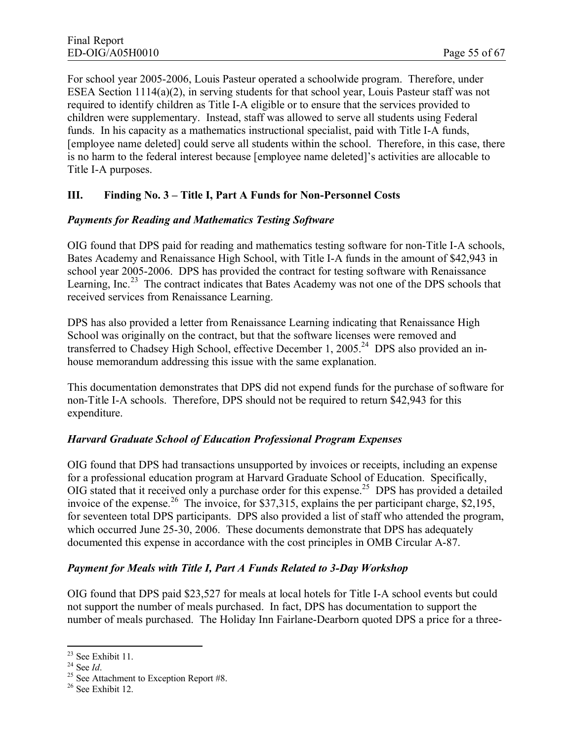For school year 2005-2006, Louis Pasteur operated a schoolwide program. Therefore, under ESEA Section 1114(a)(2), in serving students for that school year, Louis Pasteur staff was not required to identify children as Title I-A eligible or to ensure that the services provided to children were supplementary. Instead, staff was allowed to serve all students using Federal funds. In his capacity as a mathematics instructional specialist, paid with Title I-A funds, [employee name deleted] could serve all students within the school. Therefore, in this case, there is no harm to the federal interest because [employee name deleted]'s activities are allocable to Title I-A purposes.

## **III. Finding No. 3 – Title I, Part A Funds for Non-Personnel Costs**

#### *Payments for Reading and Mathematics Testing Software*

OIG found that DPS paid for reading and mathematics testing software for non-Title I-A schools, Bates Academy and Renaissance High School, with Title I-A funds in the amount of \$42,943 in school year 2005-2006. DPS has provided the contract for testing software with Renaissance Learning, Inc.<sup>23</sup> The contract indicates that Bates Academy was not one of the DPS schools that received services from Renaissance Learning.

DPS has also provided a letter from Renaissance Learning indicating that Renaissance High School was originally on the contract, but that the software licenses were removed and transferred to Chadsey High School, effective December 1, 2005.<sup>24</sup> DPS also provided an inhouse memorandum addressing this issue with the same explanation.

This documentation demonstrates that DPS did not expend funds for the purchase of software for non-Title I-A schools. Therefore, DPS should not be required to return \$42,943 for this expenditure.

#### *Harvard Graduate School of Education Professional Program Expenses*

OIG found that DPS had transactions unsupported by invoices or receipts, including an expense for a professional education program at Harvard Graduate School of Education. Specifically, OIG stated that it received only a purchase order for this expense.<sup>25</sup> DPS has provided a detailed invoice of the expense.<sup>26</sup> The invoice, for \$37,315, explains the per participant charge, \$2,195, for seventeen total DPS participants. DPS also provided a list of staff who attended the program, which occurred June 25-30, 2006. These documents demonstrate that DPS has adequately documented this expense in accordance with the cost principles in OMB Circular A-87.

#### *Payment for Meals with Title I, Part A Funds Related to 3-Day Workshop*

OIG found that DPS paid \$23,527 for meals at local hotels for Title I-A school events but could not support the number of meals purchased. In fact, DPS has documentation to support the number of meals purchased. The Holiday Inn Fairlane-Dearborn quoted DPS a price for a three-

<sup>23</sup> See Exhibit 11.

<sup>24</sup> See *Id*.

 $25$  See Attachment to Exception Report #8.

<sup>26</sup> See Exhibit 12.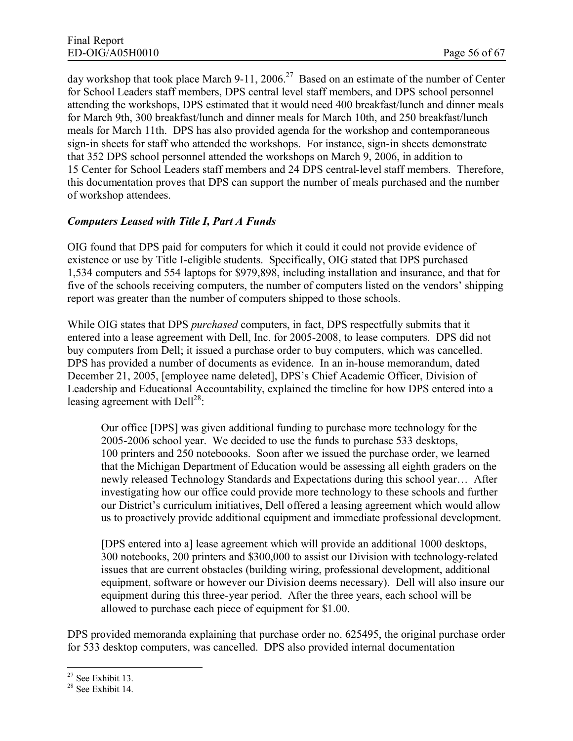day workshop that took place March 9-11, 2006.<sup>27</sup> Based on an estimate of the number of Center for School Leaders staff members, DPS central level staff members, and DPS school personnel attending the workshops, DPS estimated that it would need 400 breakfast/lunch and dinner meals for March 9th, 300 breakfast/lunch and dinner meals for March 10th, and 250 breakfast/lunch meals for March 11th. DPS has also provided agenda for the workshop and contemporaneous sign-in sheets for staff who attended the workshops. For instance, sign-in sheets demonstrate that 352 DPS school personnel attended the workshops on March 9, 2006, in addition to 15 Center for School Leaders staff members and 24 DPS central-level staff members. Therefore, this documentation proves that DPS can support the number of meals purchased and the number of workshop attendees.

#### *Computers Leased with Title I, Part A Funds*

OIG found that DPS paid for computers for which it could it could not provide evidence of existence or use by Title I-eligible students. Specifically, OIG stated that DPS purchased 1,534 computers and 554 laptops for \$979,898, including installation and insurance, and that for five of the schools receiving computers, the number of computers listed on the vendors' shipping report was greater than the number of computers shipped to those schools.

While OIG states that DPS *purchased* computers, in fact, DPS respectfully submits that it entered into a lease agreement with Dell, Inc. for 2005-2008, to lease computers. DPS did not buy computers from Dell; it issued a purchase order to buy computers, which was cancelled. DPS has provided a number of documents as evidence. In an in-house memorandum, dated December 21, 2005, [employee name deleted], DPS's Chief Academic Officer, Division of Leadership and Educational Accountability, explained the timeline for how DPS entered into a leasing agreement with Dell<sup>28</sup>:

Our office [DPS] was given additional funding to purchase more technology for the 2005-2006 school year. We decided to use the funds to purchase 533 desktops, 100 printers and 250 noteboooks. Soon after we issued the purchase order, we learned that the Michigan Department of Education would be assessing all eighth graders on the newly released Technology Standards and Expectations during this school year… After investigating how our office could provide more technology to these schools and further our District's curriculum initiatives, Dell offered a leasing agreement which would allow us to proactively provide additional equipment and immediate professional development.

[DPS entered into a] lease agreement which will provide an additional 1000 desktops, 300 notebooks, 200 printers and \$300,000 to assist our Division with technology-related issues that are current obstacles (building wiring, professional development, additional equipment, software or however our Division deems necessary). Dell will also insure our equipment during this three-year period. After the three years, each school will be allowed to purchase each piece of equipment for \$1.00.

DPS provided memoranda explaining that purchase order no. 625495, the original purchase order for 533 desktop computers, was cancelled. DPS also provided internal documentation

<sup>27</sup> See Exhibit 13.

<sup>28</sup> See Exhibit 14.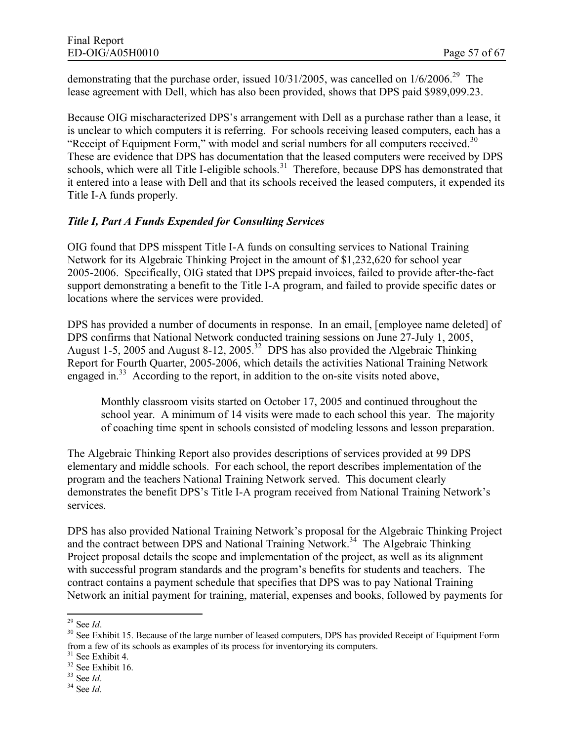demonstrating that the purchase order, issued  $10/31/2005$ , was cancelled on  $1/6/2006$ <sup>29</sup>. The lease agreement with Dell, which has also been provided, shows that DPS paid \$989,099.23.

Because OIG mischaracterized DPS's arrangement with Dell as a purchase rather than a lease, it is unclear to which computers it is referring. For schools receiving leased computers, each has a "Receipt of Equipment Form," with model and serial numbers for all computers received. $30$ These are evidence that DPS has documentation that the leased computers were received by DPS schools, which were all Title I-eligible schools.<sup>31</sup> Therefore, because DPS has demonstrated that it entered into a lease with Dell and that its schools received the leased computers, it expended its Title I-A funds properly.

#### *Title I, Part A Funds Expended for Consulting Services*

OIG found that DPS misspent Title I-A funds on consulting services to National Training Network for its Algebraic Thinking Project in the amount of \$1,232,620 for school year 2005-2006. Specifically, OIG stated that DPS prepaid invoices, failed to provide after-the-fact support demonstrating a benefit to the Title I-A program, and failed to provide specific dates or locations where the services were provided.

DPS has provided a number of documents in response. In an email, [employee name deleted] of DPS confirms that National Network conducted training sessions on June 27-July 1, 2005, August 1-5, 2005 and August 8-12, 2005<sup>32</sup> DPS has also provided the Algebraic Thinking Report for Fourth Quarter, 2005-2006, which details the activities National Training Network engaged in. $33$  According to the report, in addition to the on-site visits noted above,

Monthly classroom visits started on October 17, 2005 and continued throughout the school year. A minimum of 14 visits were made to each school this year. The majority of coaching time spent in schools consisted of modeling lessons and lesson preparation.

The Algebraic Thinking Report also provides descriptions of services provided at 99 DPS elementary and middle schools. For each school, the report describes implementation of the program and the teachers National Training Network served. This document clearly demonstrates the benefit DPS's Title I-A program received from National Training Network's services.

DPS has also provided National Training Network's proposal for the Algebraic Thinking Project and the contract between DPS and National Training Network.<sup>34</sup> The Algebraic Thinking Project proposal details the scope and implementation of the project, as well as its alignment with successful program standards and the program's benefits for students and teachers. The contract contains a payment schedule that specifies that DPS was to pay National Training Network an initial payment for training, material, expenses and books, followed by payments for

<sup>29</sup> See *Id*.

<sup>&</sup>lt;sup>30</sup> See Exhibit 15. Because of the large number of leased computers, DPS has provided Receipt of Equipment Form from a few of its schools as examples of its process for inventorying its computers.

<sup>31</sup> See Exhibit 4.

 $32$  See Exhibit 16.

<sup>33</sup> See *Id*.

<sup>34</sup> See *Id.*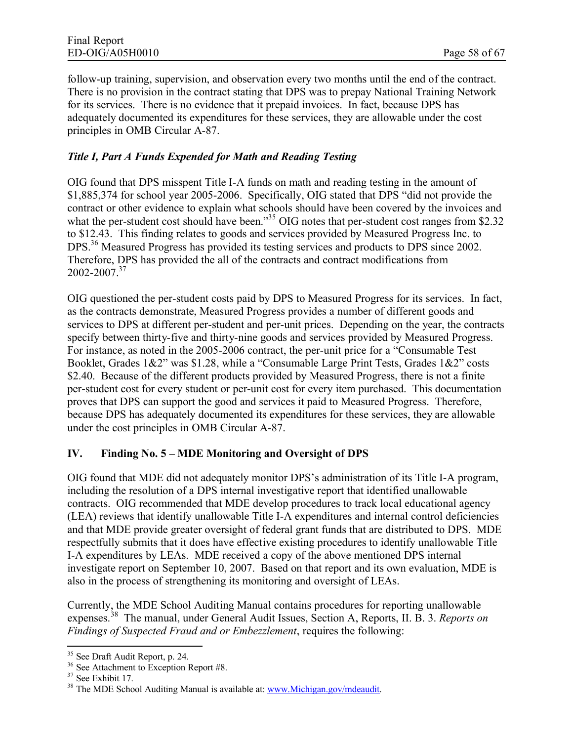follow-up training, supervision, and observation every two months until the end of the contract. There is no provision in the contract stating that DPS was to prepay National Training Network for its services. There is no evidence that it prepaid invoices. In fact, because DPS has adequately documented its expenditures for these services, they are allowable under the cost principles in OMB Circular A-87.

## *Title I, Part A Funds Expended for Math and Reading Testing*

OIG found that DPS misspent Title I-A funds on math and reading testing in the amount of \$1,885,374 for school year 2005-2006. Specifically, OIG stated that DPS "did not provide the contract or other evidence to explain what schools should have been covered by the invoices and what the per-student cost should have been."<sup>35</sup> OIG notes that per-student cost ranges from \$2.32 to \$12.43. This finding relates to goods and services provided by Measured Progress Inc. to DPS.<sup>36</sup> Measured Progress has provided its testing services and products to DPS since 2002. Therefore, DPS has provided the all of the contracts and contract modifications from  $2002 - 2007.<sup>37</sup>$ 

OIG questioned the per-student costs paid by DPS to Measured Progress for its services. In fact, as the contracts demonstrate, Measured Progress provides a number of different goods and services to DPS at different per-student and per-unit prices. Depending on the year, the contracts specify between thirty-five and thirty-nine goods and services provided by Measured Progress. For instance, as noted in the 2005-2006 contract, the per-unit price for a "Consumable Test Booklet, Grades 1&2" was \$1.28, while a "Consumable Large Print Tests, Grades 1&2" costs \$2.40. Because of the different products provided by Measured Progress, there is not a finite per-student cost for every student or per-unit cost for every item purchased. This documentation proves that DPS can support the good and services it paid to Measured Progress. Therefore, because DPS has adequately documented its expenditures for these services, they are allowable under the cost principles in OMB Circular A-87.

#### **IV. Finding No. 5 – MDE Monitoring and Oversight of DPS**

OIG found that MDE did not adequately monitor DPS's administration of its Title I-A program, including the resolution of a DPS internal investigative report that identified unallowable contracts. OIG recommended that MDE develop procedures to track local educational agency (LEA) reviews that identify unallowable Title I-A expenditures and internal control deficiencies and that MDE provide greater oversight of federal grant funds that are distributed to DPS. MDE respectfully submits that it does have effective existing procedures to identify unallowable Title I-A expenditures by LEAs. MDE received a copy of the above mentioned DPS internal investigate report on September 10, 2007. Based on that report and its own evaluation, MDE is also in the process of strengthening its monitoring and oversight of LEAs.

Currently, the MDE School Auditing Manual contains procedures for reporting unallowable expenses.<sup>38</sup> The manual, under General Audit Issues, Section A, Reports, II. B. 3. *Reports on Findings of Suspected Fraud and or Embezzlement*, requires the following:

<sup>35</sup> See Draft Audit Report, p. 24.

<sup>&</sup>lt;sup>36</sup> See Attachment to Exception Report #8.

<sup>&</sup>lt;sup>37</sup> See Exhibit 17.

<sup>&</sup>lt;sup>38</sup> The MDE School Auditing Manual is available at: [www.Michigan.gov/mdeaudit.](www.Michigan.gov/mdeaudit)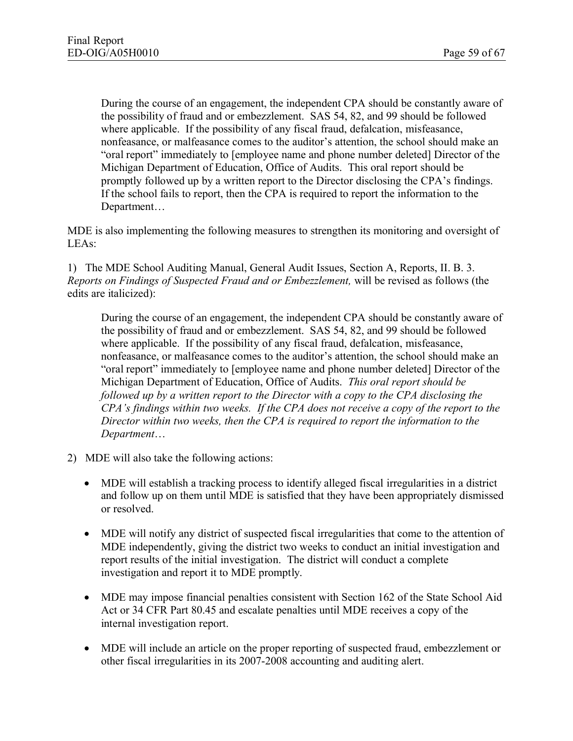During the course of an engagement, the independent CPA should be constantly aware of the possibility of fraud and or embezzlement. SAS 54, 82, and 99 should be followed where applicable. If the possibility of any fiscal fraud, defalcation, misfeasance, nonfeasance, or malfeasance comes to the auditor's attention, the school should make an "oral report" immediately to [employee name and phone number deleted] Director of the Michigan Department of Education, Office of Audits. This oral report should be promptly followed up by a written report to the Director disclosing the CPA's findings. If the school fails to report, then the CPA is required to report the information to the Department…

MDE is also implementing the following measures to strengthen its monitoring and oversight of LEAs:

1) The MDE School Auditing Manual, General Audit Issues, Section A, Reports, II. B. 3. *Reports on Findings of Suspected Fraud and or Embezzlement,* will be revised as follows (the edits are italicized):

During the course of an engagement, the independent CPA should be constantly aware of the possibility of fraud and or embezzlement. SAS 54, 82, and 99 should be followed where applicable. If the possibility of any fiscal fraud, defalcation, misfeasance, nonfeasance, or malfeasance comes to the auditor's attention, the school should make an "oral report" immediately to [employee name and phone number deleted] Director of the Michigan Department of Education, Office of Audits. *This oral report should be followed up by a written report to the Director with a copy to the CPA disclosing the CPA's findings within two weeks. If the CPA does not receive a copy of the report to the Director within two weeks, then the CPA is required to report the information to the Department*…

- 2) MDE will also take the following actions:
	- MDE will establish a tracking process to identify alleged fiscal irregularities in a district and follow up on them until MDE is satisfied that they have been appropriately dismissed or resolved.
	- MDE will notify any district of suspected fiscal irregularities that come to the attention of MDE independently, giving the district two weeks to conduct an initial investigation and report results of the initial investigation. The district will conduct a complete investigation and report it to MDE promptly.
	- MDE may impose financial penalties consistent with Section 162 of the State School Aid Act or 34 CFR Part 80.45 and escalate penalties until MDE receives a copy of the internal investigation report.
	- · MDE will include an article on the proper reporting of suspected fraud, embezzlement or other fiscal irregularities in its 2007-2008 accounting and auditing alert.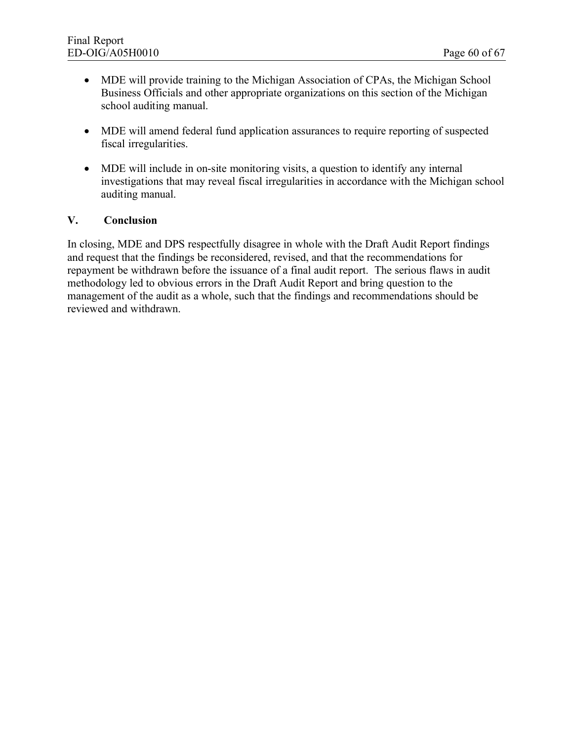- MDE will provide training to the Michigan Association of CPAs, the Michigan School Business Officials and other appropriate organizations on this section of the Michigan school auditing manual.
- · MDE will amend federal fund application assurances to require reporting of suspected fiscal irregularities.
- MDE will include in on-site monitoring visits, a question to identify any internal investigations that may reveal fiscal irregularities in accordance with the Michigan school auditing manual.

#### **V. Conclusion**

In closing, MDE and DPS respectfully disagree in whole with the Draft Audit Report findings and request that the findings be reconsidered, revised, and that the recommendations for repayment be withdrawn before the issuance of a final audit report. The serious flaws in audit methodology led to obvious errors in the Draft Audit Report and bring question to the management of the audit as a whole, such that the findings and recommendations should be reviewed and withdrawn.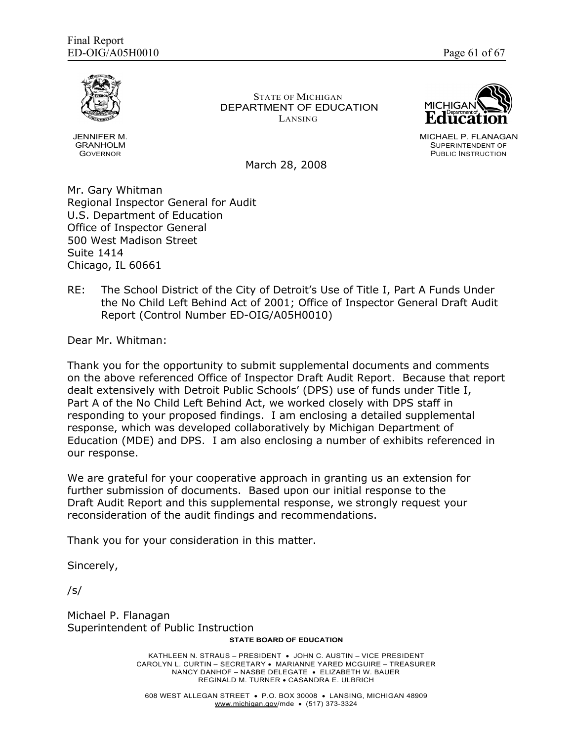

JENNIFER M. GRANHOLM GOVERNOR

STATE OF MICHIGAN DEPARTMENT OF EDUCATION LANSING



MICHAEL P. FLANAGAN SUPERINTENDENT OF PUBLIC INSTRUCTION

March 28, 2008

Mr. Gary Whitman Regional Inspector General for Audit U.S. Department of Education Office of Inspector General 500 West Madison Street Suite 1414 Chicago, IL 60661

RE: The School District of the City of Detroit's Use of Title I, Part A Funds Under the No Child Left Behind Act of 2001; Office of Inspector General Draft Audit Report (Control Number ED-OIG/A05H0010)

Dear Mr. Whitman:

Thank you for the opportunity to submit supplemental documents and comments on the above referenced Office of Inspector Draft Audit Report. Because that report dealt extensively with Detroit Public Schools' (DPS) use of funds under Title I, Part A of the No Child Left Behind Act, we worked closely with DPS staff in responding to your proposed findings. I am enclosing a detailed supplemental response, which was developed collaboratively by Michigan Department of Education (MDE) and DPS. I am also enclosing a number of exhibits referenced in our response.

We are grateful for your cooperative approach in granting us an extension for further submission of documents. Based upon our initial response to the Draft Audit Report and this supplemental response, we strongly request your reconsideration of the audit findings and recommendations.

Thank you for your consideration in this matter.

Sincerely,

/s/

Michael P. Flanagan Superintendent of Public Instruction

#### **STATE BOARD OF EDUCATION**

KATHLEEN N. STRAUS – PRESIDENT · JOHN C. AUSTIN – VICE PRESIDENT CAROLYN L. CURTIN – SECRETARY · MARIANNE YARED MCGUIRE – TREASURER NANCY DANHOF – NASBE DELEGATE · ELIZABETH W. BAUER REGINALD M. TURNER · CASANDRA E. ULBRICH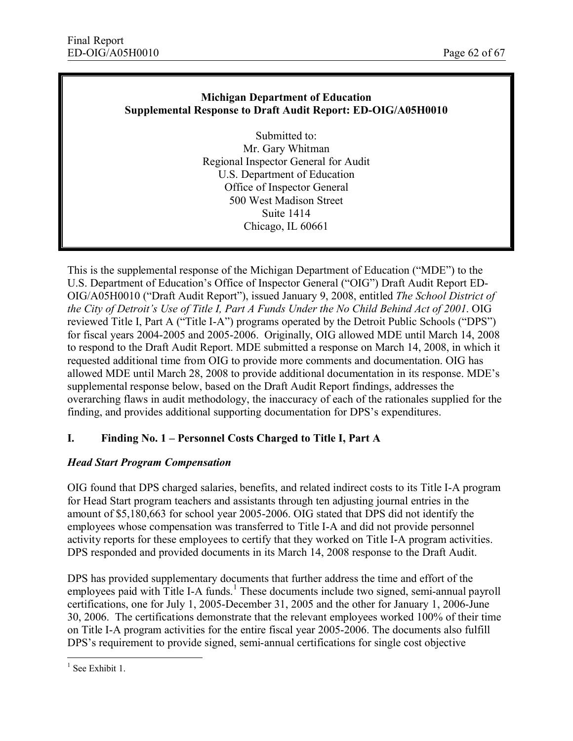#### **Michigan Department of Education Supplemental Response to Draft Audit Report: ED-OIG/A05H0010**

Submitted to: Mr. Gary Whitman Regional Inspector General for Audit U.S. Department of Education Office of Inspector General 500 West Madison Street Suite 1414 Chicago, IL 60661

This is the supplemental response of the Michigan Department of Education ("MDE") to the U.S. Department of Education's Office of Inspector General ("OIG") Draft Audit Report ED-OIG/A05H0010 ("Draft Audit Report"), issued January 9, 2008, entitled *The School District of the City of Detroit's Use of Title I, Part A Funds Under the No Child Behind Act of 2001*. OIG reviewed Title I, Part A ("Title I-A") programs operated by the Detroit Public Schools ("DPS") for fiscal years 2004-2005 and 2005-2006. Originally, OIG allowed MDE until March 14, 2008 to respond to the Draft Audit Report. MDE submitted a response on March 14, 2008, in which it requested additional time from OIG to provide more comments and documentation. OIG has allowed MDE until March 28, 2008 to provide additional documentation in its response. MDE's supplemental response below, based on the Draft Audit Report findings, addresses the overarching flaws in audit methodology, the inaccuracy of each of the rationales supplied for the finding, and provides additional supporting documentation for DPS's expenditures.

# **I. Finding No. 1 – Personnel Costs Charged to Title I, Part A**

#### *Head Start Program Compensation*

OIG found that DPS charged salaries, benefits, and related indirect costs to its Title I-A program for Head Start program teachers and assistants through ten adjusting journal entries in the amount of \$5,180,663 for school year 2005-2006. OIG stated that DPS did not identify the employees whose compensation was transferred to Title I-A and did not provide personnel activity reports for these employees to certify that they worked on Title I-A program activities. DPS responded and provided documents in its March 14, 2008 response to the Draft Audit.

DPS has provided supplementary documents that further address the time and effort of the employees paid with Title I-A funds.<sup>1</sup> These documents include two signed, semi-annual payroll certifications, one for July 1, 2005-December 31, 2005 and the other for January 1, 2006-June 30, 2006. The certifications demonstrate that the relevant employees worked 100% of their time on Title I-A program activities for the entire fiscal year 2005-2006. The documents also fulfill DPS's requirement to provide signed, semi-annual certifications for single cost objective

<sup>&</sup>lt;sup>1</sup> See Exhibit 1.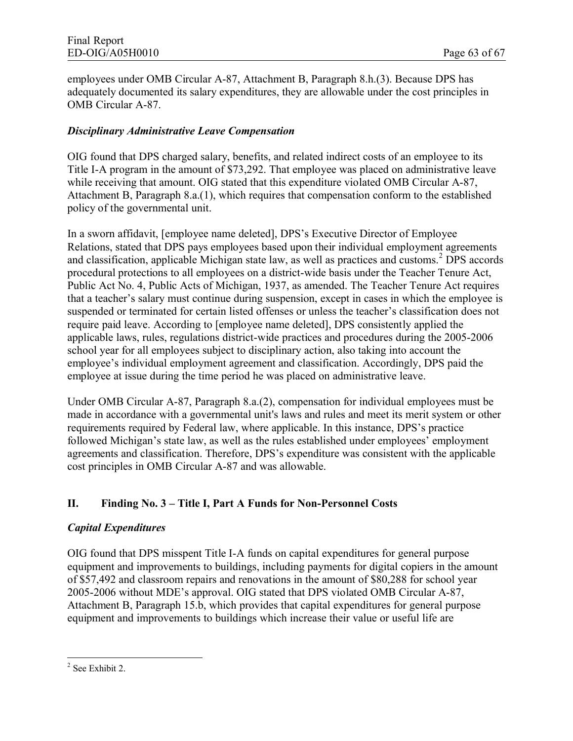employees under OMB Circular A-87, Attachment B, Paragraph 8.h.(3). Because DPS has adequately documented its salary expenditures, they are allowable under the cost principles in OMB Circular A-87.

### *Disciplinary Administrative Leave Compensation*

OIG found that DPS charged salary, benefits, and related indirect costs of an employee to its Title I-A program in the amount of \$73,292. That employee was placed on administrative leave while receiving that amount. OIG stated that this expenditure violated OMB Circular A-87, Attachment B, Paragraph 8.a.(1), which requires that compensation conform to the established policy of the governmental unit.

In a sworn affidavit, [employee name deleted], DPS's Executive Director of Employee Relations, stated that DPS pays employees based upon their individual employment agreements and classification, applicable Michigan state law, as well as practices and customs.<sup>2</sup> DPS accords procedural protections to all employees on a district-wide basis under the Teacher Tenure Act, Public Act No. 4, Public Acts of Michigan, 1937, as amended. The Teacher Tenure Act requires that a teacher's salary must continue during suspension, except in cases in which the employee is suspended or terminated for certain listed offenses or unless the teacher's classification does not require paid leave. According to [employee name deleted], DPS consistently applied the applicable laws, rules, regulations district-wide practices and procedures during the 2005-2006 school year for all employees subject to disciplinary action, also taking into account the employee's individual employment agreement and classification. Accordingly, DPS paid the employee at issue during the time period he was placed on administrative leave.

Under OMB Circular A-87, Paragraph 8.a.(2), compensation for individual employees must be made in accordance with a governmental unit's laws and rules and meet its merit system or other requirements required by Federal law, where applicable. In this instance, DPS's practice followed Michigan's state law, as well as the rules established under employees' employment agreements and classification. Therefore, DPS's expenditure was consistent with the applicable cost principles in OMB Circular A-87 and was allowable.

# **II. Finding No. 3 – Title I, Part A Funds for Non-Personnel Costs**

#### *Capital Expenditures*

OIG found that DPS misspent Title I-A funds on capital expenditures for general purpose equipment and improvements to buildings, including payments for digital copiers in the amount of \$57,492 and classroom repairs and renovations in the amount of \$80,288 for school year 2005-2006 without MDE's approval. OIG stated that DPS violated OMB Circular A-87, Attachment B, Paragraph 15.b, which provides that capital expenditures for general purpose equipment and improvements to buildings which increase their value or useful life are

<sup>&</sup>lt;sup>2</sup> See Exhibit 2.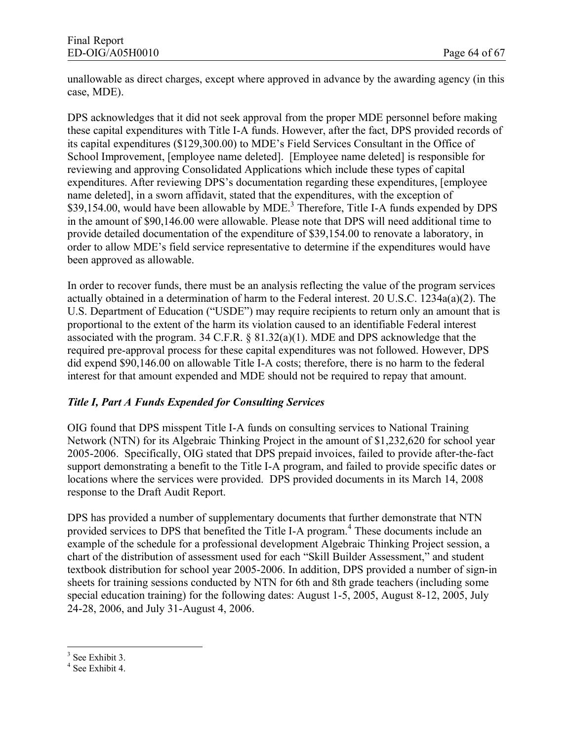unallowable as direct charges, except where approved in advance by the awarding agency (in this case, MDE).

DPS acknowledges that it did not seek approval from the proper MDE personnel before making these capital expenditures with Title I-A funds. However, after the fact, DPS provided records of its capital expenditures (\$129,300.00) to MDE's Field Services Consultant in the Office of School Improvement, [employee name deleted]. [Employee name deleted] is responsible for reviewing and approving Consolidated Applications which include these types of capital expenditures. After reviewing DPS's documentation regarding these expenditures, [employee name deleted], in a sworn affidavit, stated that the expenditures, with the exception of \$39,154.00, would have been allowable by MDE.<sup>3</sup> Therefore, Title I-A funds expended by DPS in the amount of \$90,146.00 were allowable. Please note that DPS will need additional time to provide detailed documentation of the expenditure of \$39,154.00 to renovate a laboratory, in order to allow MDE's field service representative to determine if the expenditures would have been approved as allowable.

In order to recover funds, there must be an analysis reflecting the value of the program services actually obtained in a determination of harm to the Federal interest. 20 U.S.C. 1234a(a)(2). The U.S. Department of Education ("USDE") may require recipients to return only an amount that is proportional to the extent of the harm its violation caused to an identifiable Federal interest associated with the program. 34 C.F.R. § 81.32(a)(1). MDE and DPS acknowledge that the required pre-approval process for these capital expenditures was not followed. However, DPS did expend \$90,146.00 on allowable Title I-A costs; therefore, there is no harm to the federal interest for that amount expended and MDE should not be required to repay that amount.

# *Title I, Part A Funds Expended for Consulting Services*

OIG found that DPS misspent Title I-A funds on consulting services to National Training Network (NTN) for its Algebraic Thinking Project in the amount of \$1,232,620 for school year 2005-2006. Specifically, OIG stated that DPS prepaid invoices, failed to provide after-the-fact support demonstrating a benefit to the Title I-A program, and failed to provide specific dates or locations where the services were provided. DPS provided documents in its March 14, 2008 response to the Draft Audit Report.

DPS has provided a number of supplementary documents that further demonstrate that NTN provided services to DPS that benefited the Title I-A program.<sup>4</sup> These documents include an example of the schedule for a professional development Algebraic Thinking Project session, a chart of the distribution of assessment used for each "Skill Builder Assessment," and student textbook distribution for school year 2005-2006. In addition, DPS provided a number of sign-in sheets for training sessions conducted by NTN for 6th and 8th grade teachers (including some special education training) for the following dates: August 1-5, 2005, August 8-12, 2005, July 24-28, 2006, and July 31-August 4, 2006.

<sup>&</sup>lt;sup>3</sup> See Exhibit 3.

<sup>4</sup> See Exhibit 4.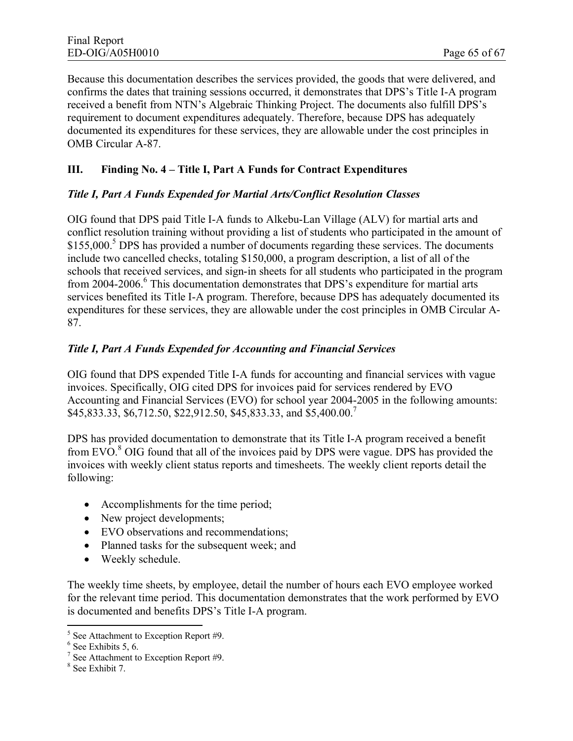Because this documentation describes the services provided, the goods that were delivered, and confirms the dates that training sessions occurred, it demonstrates that DPS's Title I-A program received a benefit from NTN's Algebraic Thinking Project. The documents also fulfill DPS's requirement to document expenditures adequately. Therefore, because DPS has adequately documented its expenditures for these services, they are allowable under the cost principles in OMB Circular A-87.

## **III. Finding No. 4 – Title I, Part A Funds for Contract Expenditures**

#### *Title I, Part A Funds Expended for Martial Arts/Conflict Resolution Classes*

OIG found that DPS paid Title I-A funds to Alkebu-Lan Village (ALV) for martial arts and conflict resolution training without providing a list of students who participated in the amount of \$155,000.<sup>5</sup> DPS has provided a number of documents regarding these services. The documents include two cancelled checks, totaling \$150,000, a program description, a list of all of the schools that received services, and sign-in sheets for all students who participated in the program from 2004-2006.<sup>6</sup> This documentation demonstrates that DPS's expenditure for martial arts services benefited its Title I-A program. Therefore, because DPS has adequately documented its expenditures for these services, they are allowable under the cost principles in OMB Circular A-87.

#### *Title I, Part A Funds Expended for Accounting and Financial Services*

OIG found that DPS expended Title I-A funds for accounting and financial services with vague invoices. Specifically, OIG cited DPS for invoices paid for services rendered by EVO Accounting and Financial Services (EVO) for school year 2004-2005 in the following amounts: \$45,833.33, \$6,712.50, \$22,912.50, \$45,833.33, and \$5,400.00.<sup>7</sup>

DPS has provided documentation to demonstrate that its Title I-A program received a benefit from EVO. $8$  OIG found that all of the invoices paid by DPS were vague. DPS has provided the invoices with weekly client status reports and timesheets. The weekly client reports detail the following:

- Accomplishments for the time period;
- New project developments;
- EVO observations and recommendations;
- Planned tasks for the subsequent week; and
- Weekly schedule.

The weekly time sheets, by employee, detail the number of hours each EVO employee worked for the relevant time period. This documentation demonstrates that the work performed by EVO is documented and benefits DPS's Title I-A program.

<sup>5</sup> See Attachment to Exception Report #9.

<sup>6</sup> See Exhibits 5, 6.

<sup>7</sup> See Attachment to Exception Report #9.

<sup>8</sup> See Exhibit 7.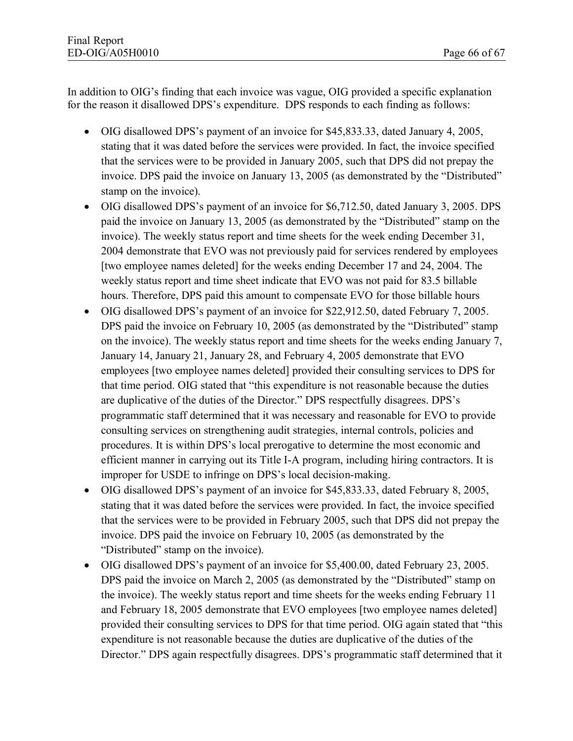In addition to OIG's finding that each invoice was vague, OIG provided a specific explanation for the reason it disallowed DPS's expenditure. DPS responds to each finding as follows:

- · OIG disallowed DPS's payment of an invoice for \$45,833.33, dated January 4, 2005, stating that it was dated before the services were provided. In fact, the invoice specified that the services were to be provided in January 2005, such that DPS did not prepay the invoice. DPS paid the invoice on January 13, 2005 (as demonstrated by the "Distributed" stamp on the invoice).
- OIG disallowed DPS's payment of an invoice for \$6,712.50, dated January 3, 2005. DPS paid the invoice on January 13, 2005 (as demonstrated by the "Distributed" stamp on the invoice). The weekly status report and time sheets for the week ending December 31, 2004 demonstrate that EVO was not previously paid for services rendered by employees [two employee names deleted] for the weeks ending December 17 and 24, 2004. The weekly status report and time sheet indicate that EVO was not paid for 83.5 billable hours. Therefore, DPS paid this amount to compensate EVO for those billable hours
- · OIG disallowed DPS's payment of an invoice for \$22,912.50, dated February 7, 2005. DPS paid the invoice on February 10, 2005 (as demonstrated by the "Distributed" stamp on the invoice). The weekly status report and time sheets for the weeks ending January 7, January 14, January 21, January 28, and February 4, 2005 demonstrate that EVO employees [two employee names deleted] provided their consulting services to DPS for that time period. OIG stated that "this expenditure is not reasonable because the duties are duplicative of the duties of the Director." DPS respectfully disagrees. DPS's programmatic staff determined that it was necessary and reasonable for EVO to provide consulting services on strengthening audit strategies, internal controls, policies and procedures. It is within DPS's local prerogative to determine the most economic and efficient manner in carrying out its Title I-A program, including hiring contractors. It is improper for USDE to infringe on DPS's local decision-making.
- · OIG disallowed DPS's payment of an invoice for \$45,833.33, dated February 8, 2005, stating that it was dated before the services were provided. In fact, the invoice specified that the services were to be provided in February 2005, such that DPS did not prepay the invoice. DPS paid the invoice on February 10, 2005 (as demonstrated by the "Distributed" stamp on the invoice).
- · OIG disallowed DPS's payment of an invoice for \$5,400.00, dated February 23, 2005. DPS paid the invoice on March 2, 2005 (as demonstrated by the "Distributed" stamp on the invoice). The weekly status report and time sheets for the weeks ending February 11 and February 18, 2005 demonstrate that EVO employees [two employee names deleted] provided their consulting services to DPS for that time period. OIG again stated that "this expenditure is not reasonable because the duties are duplicative of the duties of the Director." DPS again respectfully disagrees. DPS's programmatic staff determined that it